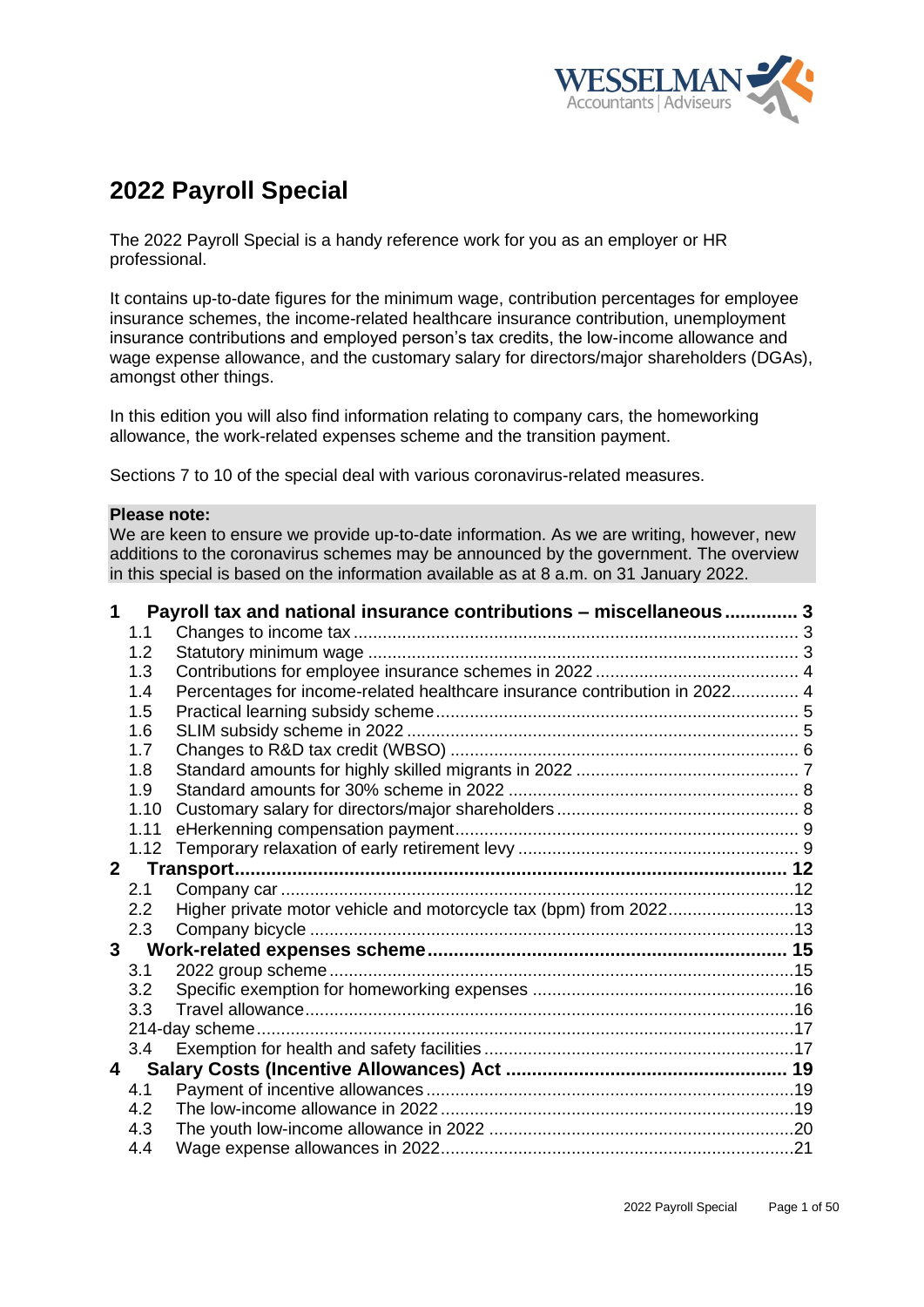

# **2022 Payroll Special**

The 2022 Payroll Special is a handy reference work for you as an employer or HR professional.

It contains up-to-date figures for the minimum wage, contribution percentages for employee insurance schemes, the income-related healthcare insurance contribution, unemployment insurance contributions and employed person's tax credits, the low-income allowance and wage expense allowance, and the customary salary for directors/major shareholders (DGAs), amongst other things.

In this edition you will also find information relating to company cars, the homeworking allowance, the work-related expenses scheme and the transition payment.

Sections 7 to 10 of the special deal with various coronavirus-related measures.

#### **Please note:**

We are keen to ensure we provide up-to-date information. As we are writing, however, new additions to the coronavirus schemes may be announced by the government. The overview in this special is based on the information available as at 8 a.m. on 31 January 2022.

| 1              |                | Payroll tax and national insurance contributions - miscellaneous 3         |  |
|----------------|----------------|----------------------------------------------------------------------------|--|
|                | 1.1            |                                                                            |  |
|                | 1.2            |                                                                            |  |
|                | 1.3            |                                                                            |  |
|                | 1.4            | Percentages for income-related healthcare insurance contribution in 2022 4 |  |
|                | 1.5            |                                                                            |  |
|                | 1.6            |                                                                            |  |
|                | 1.7            |                                                                            |  |
|                | 1.8            |                                                                            |  |
|                | 1.9            |                                                                            |  |
|                | 1.10           |                                                                            |  |
|                | 1.11           |                                                                            |  |
|                | 1.12           |                                                                            |  |
| 2 <sup>7</sup> |                |                                                                            |  |
|                | 2.1            |                                                                            |  |
|                | 2.2            | Higher private motor vehicle and motorcycle tax (bpm) from 202213          |  |
|                | 2.3            |                                                                            |  |
|                | 3 <sup>7</sup> |                                                                            |  |
|                | 3.1            |                                                                            |  |
|                | 3.2            |                                                                            |  |
|                | 3.3            |                                                                            |  |
|                |                |                                                                            |  |
|                | 3.4            |                                                                            |  |
| $\overline{4}$ |                |                                                                            |  |
|                | 4.1            |                                                                            |  |
|                | 4.2            |                                                                            |  |
|                | 4.3            |                                                                            |  |
|                | 4.4            |                                                                            |  |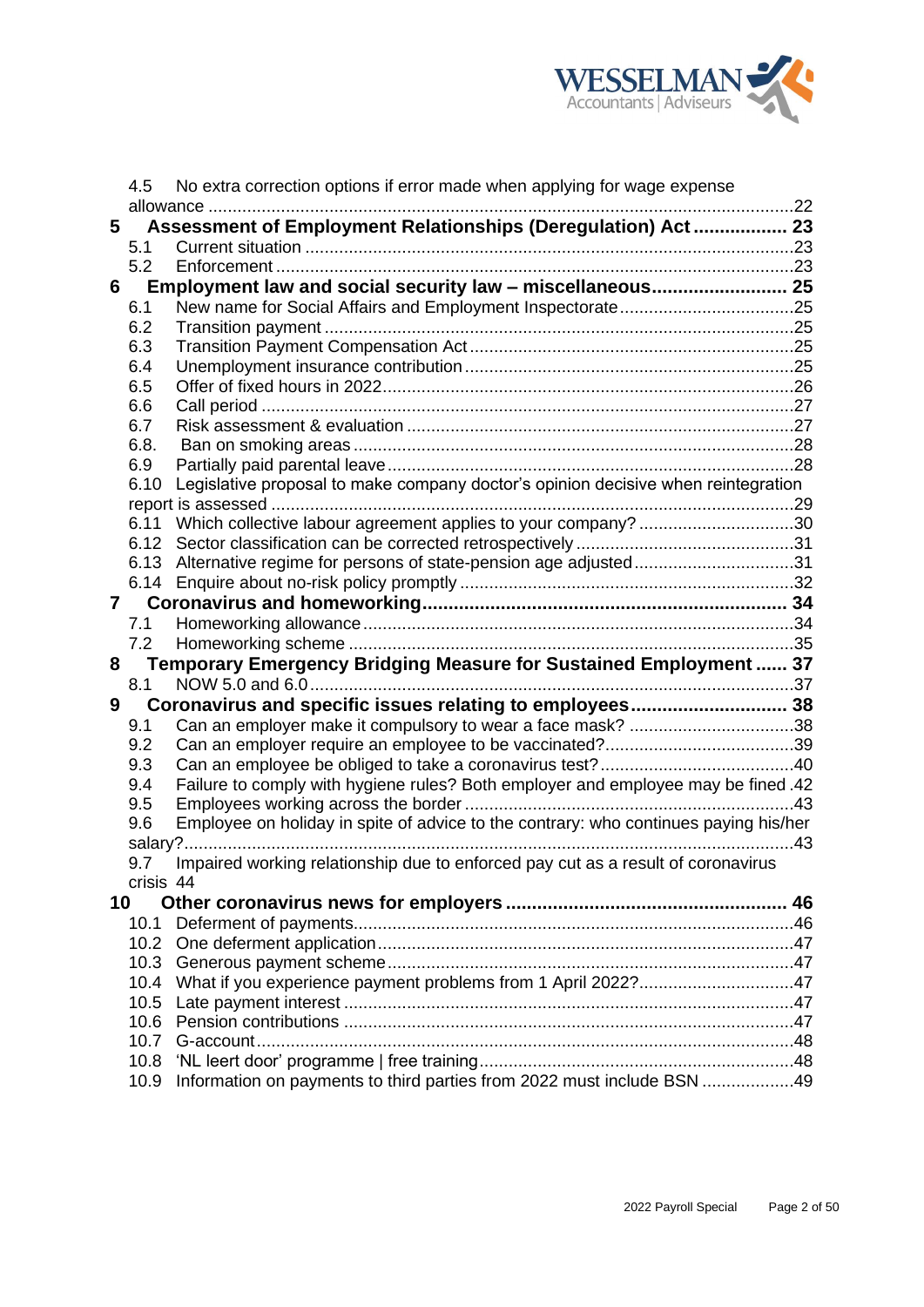

|    | 4.5        | No extra correction options if error made when applying for wage expense             |  |
|----|------------|--------------------------------------------------------------------------------------|--|
|    |            | allowance                                                                            |  |
| 5  |            | Assessment of Employment Relationships (Deregulation) Act 23                         |  |
|    | 5.1        |                                                                                      |  |
|    | 5.2        |                                                                                      |  |
| 6  |            | Employment law and social security law - miscellaneous 25                            |  |
|    | 6.1        |                                                                                      |  |
|    | 6.2        |                                                                                      |  |
|    | 6.3        |                                                                                      |  |
|    | 6.4        |                                                                                      |  |
|    | 6.5<br>6.6 |                                                                                      |  |
|    | 6.7        |                                                                                      |  |
|    | 6.8.       |                                                                                      |  |
|    | 6.9        |                                                                                      |  |
|    | 6.10       | Legislative proposal to make company doctor's opinion decisive when reintegration    |  |
|    |            |                                                                                      |  |
|    | 6.11       | Which collective labour agreement applies to your company? 30                        |  |
|    |            |                                                                                      |  |
|    |            | 6.13 Alternative regime for persons of state-pension age adjusted31                  |  |
|    |            |                                                                                      |  |
| 7  |            |                                                                                      |  |
|    | 7.1        |                                                                                      |  |
|    | 7.2        |                                                                                      |  |
| 8  |            | Temporary Emergency Bridging Measure for Sustained Employment  37                    |  |
|    | 8.1        | NOW 5.0 and 6.0                                                                      |  |
| 9  |            |                                                                                      |  |
|    | 9.1        | Can an employer make it compulsory to wear a face mask? 38                           |  |
|    | 9.2        |                                                                                      |  |
|    | 9.3        |                                                                                      |  |
|    | 9.4        | Failure to comply with hygiene rules? Both employer and employee may be fined .42    |  |
|    | 9.5<br>9.6 | Employee on holiday in spite of advice to the contrary: who continues paying his/her |  |
|    | salary?.   |                                                                                      |  |
|    | 9.7        | Impaired working relationship due to enforced pay cut as a result of coronavirus     |  |
|    | crisis 44  |                                                                                      |  |
| 10 |            |                                                                                      |  |
|    | 10.1       |                                                                                      |  |
|    |            |                                                                                      |  |
|    |            |                                                                                      |  |
|    | 10.4       | What if you experience payment problems from 1 April 2022?47                         |  |
|    | 10.5       |                                                                                      |  |
|    | 10.6       |                                                                                      |  |
|    | 10.7       |                                                                                      |  |
|    | 10.8       |                                                                                      |  |
|    | 10.9       | Information on payments to third parties from 2022 must include BSN 49               |  |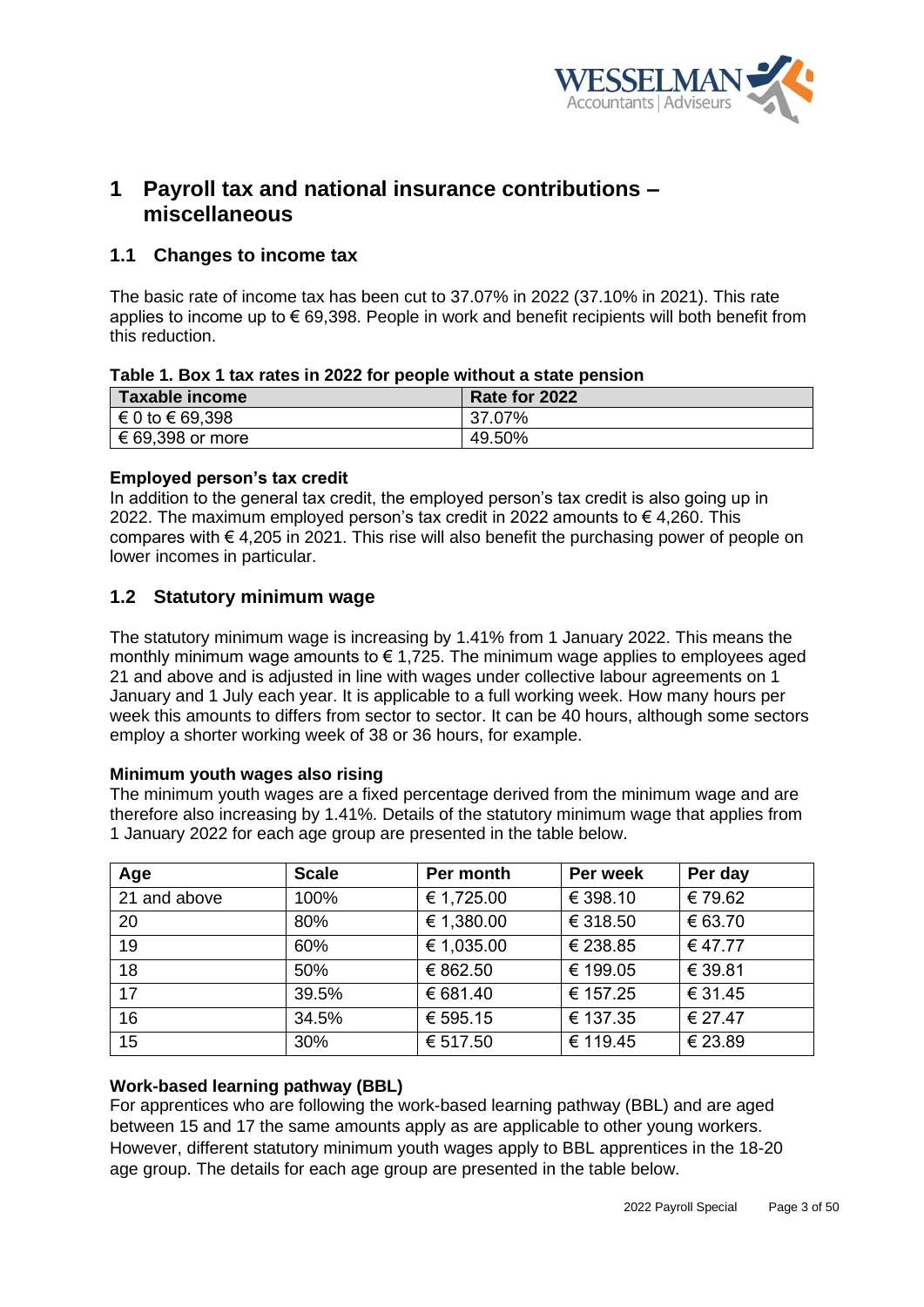

# <span id="page-2-0"></span>**1 Payroll tax and national insurance contributions – miscellaneous**

# <span id="page-2-1"></span>**1.1 Changes to income tax**

The basic rate of income tax has been cut to 37.07% in 2022 (37.10% in 2021). This rate applies to income up to  $\epsilon$  69,398. People in work and benefit recipients will both benefit from this reduction.

| Table T. BOX T tax rates in 2022 for people without a state pension |               |  |  |  |
|---------------------------------------------------------------------|---------------|--|--|--|
| Taxable income                                                      | Rate for 2022 |  |  |  |
| $\in 0$ to $\in 69,398$                                             | 37.07%        |  |  |  |
| $\in$ 69,398 or more                                                | 49.50%        |  |  |  |

# **Table 1. Box 1 tax rates in 2022 for people without a state pension**

# **Employed person's tax credit**

In addition to the general tax credit, the employed person's tax credit is also going up in 2022. The maximum employed person's tax credit in 2022 amounts to € 4,260. This compares with  $\epsilon$  4,205 in 2021. This rise will also benefit the purchasing power of people on lower incomes in particular.

# <span id="page-2-2"></span>**1.2 Statutory minimum wage**

The statutory minimum wage is increasing by 1.41% from 1 January 2022. This means the monthly minimum wage amounts to  $\epsilon$  1,725. The minimum wage applies to employees aged 21 and above and is adjusted in line with wages under collective labour agreements on 1 January and 1 July each year. It is applicable to a full working week. How many hours per week this amounts to differs from sector to sector. It can be 40 hours, although some sectors employ a shorter working week of 38 or 36 hours, for example.

# **Minimum youth wages also rising**

The minimum youth wages are a fixed percentage derived from the minimum wage and are therefore also increasing by 1.41%. Details of the statutory minimum wage that applies from 1 January 2022 for each age group are presented in the table below.

| Age          | <b>Scale</b> | Per month  | Per week | Per day |
|--------------|--------------|------------|----------|---------|
| 21 and above | 100%         | € 1,725.00 | € 398.10 | € 79.62 |
| 20           | 80%          | € 1,380.00 | € 318.50 | € 63.70 |
| 19           | 60%          | € 1,035.00 | € 238.85 | €47.77  |
| 18           | 50%          | € 862.50   | € 199.05 | € 39.81 |
| 17           | 39.5%        | € 681.40   | € 157.25 | € 31.45 |
| 16           | 34.5%        | € 595.15   | € 137.35 | € 27.47 |
| 15           | 30%          | € 517.50   | € 119.45 | € 23.89 |

# **Work-based learning pathway (BBL)**

For apprentices who are following the work-based learning pathway (BBL) and are aged between 15 and 17 the same amounts apply as are applicable to other young workers. However, different statutory minimum youth wages apply to BBL apprentices in the 18-20 age group. The details for each age group are presented in the table below.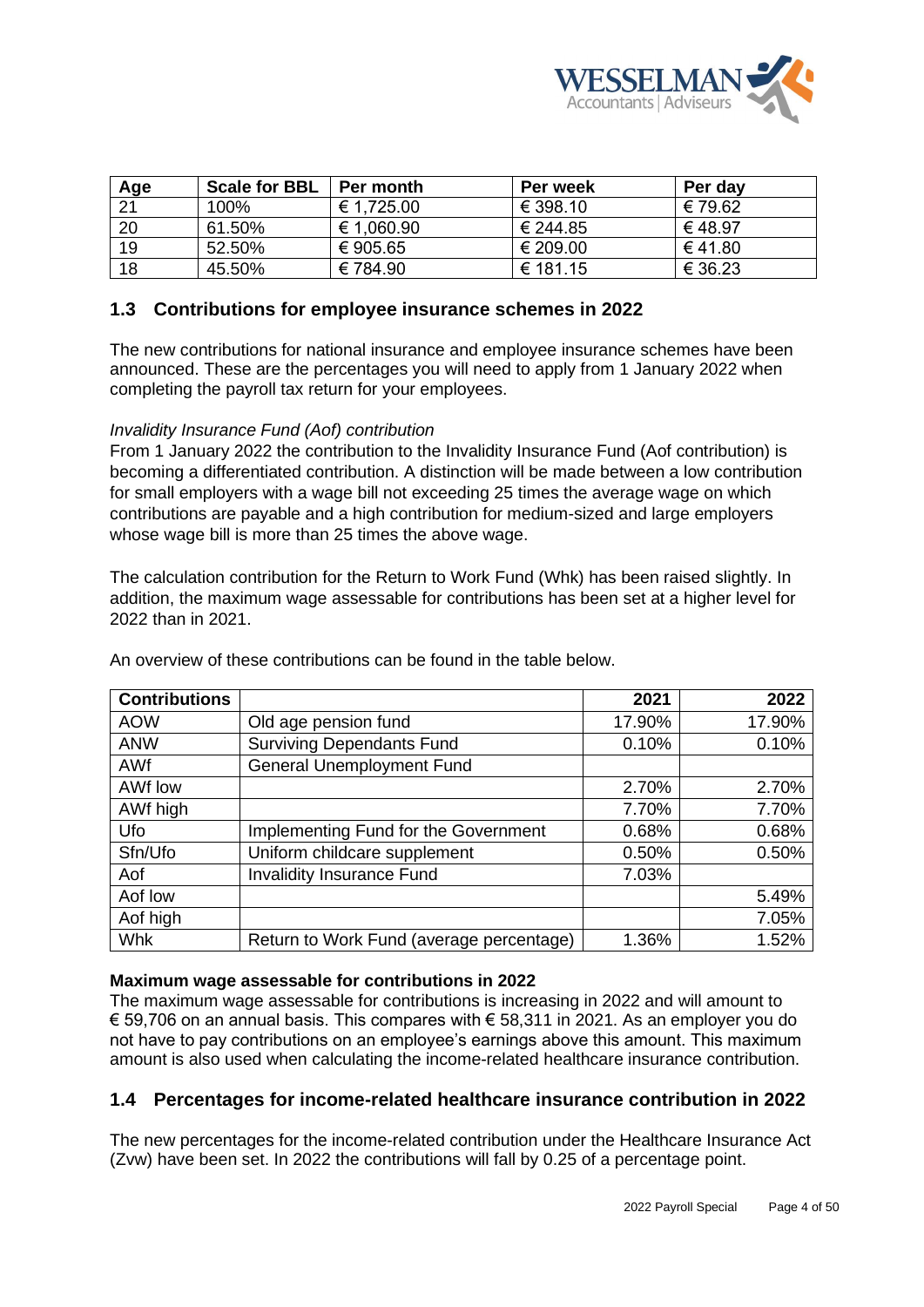

| Age | <b>Scale for BBL</b> | Per month  | <b>Per week</b> | Per day |
|-----|----------------------|------------|-----------------|---------|
| 21  | 100%                 | € 1,725.00 | € 398.10        | € 79.62 |
| 20  | 61.50%               | € 1,060.90 | € 244.85        | € 48.97 |
| 19  | 52.50%               | € 905.65   | € 209.00        | €41.80  |
| 18  | 45.50%               | €784.90    | € 181.15        | € 36.23 |

# <span id="page-3-0"></span>**1.3 Contributions for employee insurance schemes in 2022**

The new contributions for national insurance and employee insurance schemes have been announced. These are the percentages you will need to apply from 1 January 2022 when completing the payroll tax return for your employees.

#### *Invalidity Insurance Fund (Aof) contribution*

From 1 January 2022 the contribution to the Invalidity Insurance Fund (Aof contribution) is becoming a differentiated contribution. A distinction will be made between a low contribution for small employers with a wage bill not exceeding 25 times the average wage on which contributions are payable and a high contribution for medium-sized and large employers whose wage bill is more than 25 times the above wage.

The calculation contribution for the Return to Work Fund (Whk) has been raised slightly. In addition, the maximum wage assessable for contributions has been set at a higher level for 2022 than in 2021.

| <b>Contributions</b> |                                          | 2021   | 2022   |
|----------------------|------------------------------------------|--------|--------|
| <b>AOW</b>           | Old age pension fund                     | 17.90% | 17.90% |
| <b>ANW</b>           | <b>Surviving Dependants Fund</b>         | 0.10%  | 0.10%  |
| <b>AWf</b>           | <b>General Unemployment Fund</b>         |        |        |
| AWf low              |                                          | 2.70%  | 2.70%  |
| AWf high             |                                          | 7.70%  | 7.70%  |
| Ufo                  | Implementing Fund for the Government     | 0.68%  | 0.68%  |
| Sfn/Ufo              | Uniform childcare supplement             | 0.50%  | 0.50%  |
| Aof                  | <b>Invalidity Insurance Fund</b>         | 7.03%  |        |
| Aof low              |                                          |        | 5.49%  |
| Aof high             |                                          |        | 7.05%  |
| <b>Whk</b>           | Return to Work Fund (average percentage) | 1.36%  | 1.52%  |

An overview of these contributions can be found in the table below.

# **Maximum wage assessable for contributions in 2022**

The maximum wage assessable for contributions is increasing in 2022 and will amount to € 59,706 on an annual basis. This compares with € 58,311 in 2021. As an employer you do not have to pay contributions on an employee's earnings above this amount. This maximum amount is also used when calculating the income-related healthcare insurance contribution.

# <span id="page-3-1"></span>**1.4 Percentages for income-related healthcare insurance contribution in 2022**

The new percentages for the income-related contribution under the Healthcare Insurance Act (Zvw) have been set. In 2022 the contributions will fall by 0.25 of a percentage point.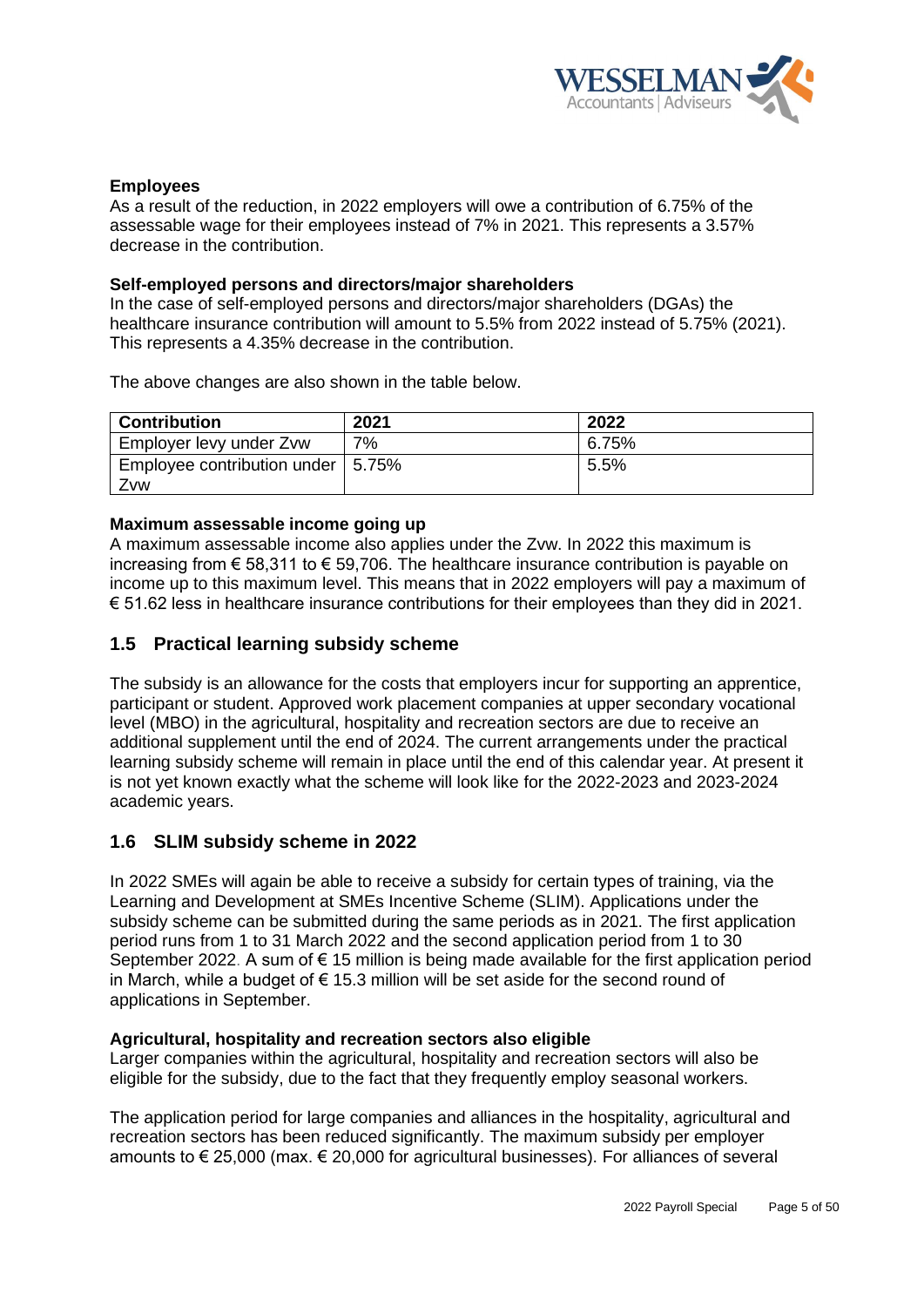

## **Employees**

As a result of the reduction, in 2022 employers will owe a contribution of 6.75% of the assessable wage for their employees instead of 7% in 2021. This represents a 3.57% decrease in the contribution.

### **Self-employed persons and directors/major shareholders**

In the case of self-employed persons and directors/major shareholders (DGAs) the healthcare insurance contribution will amount to 5.5% from 2022 instead of 5.75% (2021). This represents a 4.35% decrease in the contribution.

The above changes are also shown in the table below.

| <b>Contribution</b>                 | 2021  | 2022  |
|-------------------------------------|-------|-------|
| Employer levy under Zvw             | $7\%$ | 6.75% |
| Employee contribution under   5.75% |       | 5.5%  |
| Zvw                                 |       |       |

## **Maximum assessable income going up**

A maximum assessable income also applies under the Zvw. In 2022 this maximum is increasing from  $\epsilon$  58,311 to  $\epsilon$  59,706. The healthcare insurance contribution is payable on income up to this maximum level. This means that in 2022 employers will pay a maximum of € 51.62 less in healthcare insurance contributions for their employees than they did in 2021.

# <span id="page-4-0"></span>**1.5 Practical learning subsidy scheme**

The subsidy is an allowance for the costs that employers incur for supporting an apprentice, participant or student. Approved work placement companies at upper secondary vocational level (MBO) in the agricultural, hospitality and recreation sectors are due to receive an additional supplement until the end of 2024. The current arrangements under the practical learning subsidy scheme will remain in place until the end of this calendar year. At present it is not yet known exactly what the scheme will look like for the 2022-2023 and 2023-2024 academic years.

# <span id="page-4-1"></span>**1.6 SLIM subsidy scheme in 2022**

In 2022 SMEs will again be able to receive a subsidy for certain types of training, via the Learning and Development at SMEs Incentive Scheme (SLIM). Applications under the subsidy scheme can be submitted during the same periods as in 2021. The first application period runs from 1 to 31 March 2022 and the second application period from 1 to 30 September 2022. A sum of € 15 million is being made available for the first application period in March, while a budget of  $\epsilon$  15.3 million will be set aside for the second round of applications in September.

#### **Agricultural, hospitality and recreation sectors also eligible**

Larger companies within the agricultural, hospitality and recreation sectors will also be eligible for the subsidy, due to the fact that they frequently employ seasonal workers.

The application period for large companies and alliances in the hospitality, agricultural and recreation sectors has been reduced significantly. The maximum subsidy per employer amounts to € 25,000 (max. € 20,000 for agricultural businesses). For alliances of several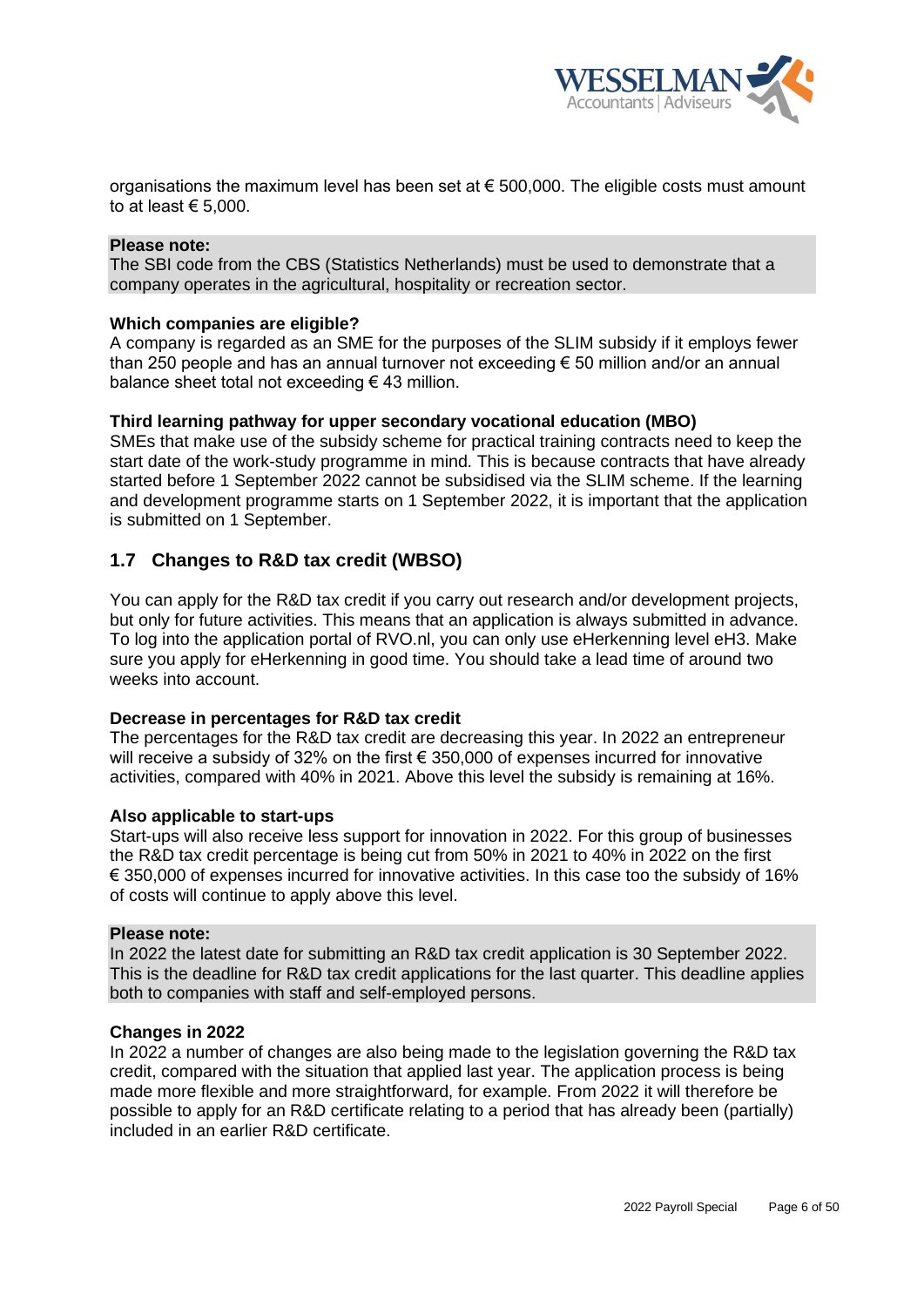

organisations the maximum level has been set at  $\epsilon$  500,000. The eligible costs must amount to at least  $\epsilon$  5.000.

#### **Please note:**

The SBI code from the CBS (Statistics Netherlands) must be used to demonstrate that a company operates in the agricultural, hospitality or recreation sector.

#### **Which companies are eligible?**

A company is regarded as an SME for the purposes of the SLIM subsidy if it employs fewer than 250 people and has an annual turnover not exceeding € 50 million and/or an annual balance sheet total not exceeding  $\epsilon$  43 million.

#### **Third learning pathway for upper secondary vocational education (MBO)**

SMEs that make use of the subsidy scheme for practical training contracts need to keep the start date of the work-study programme in mind. This is because contracts that have already started before 1 September 2022 cannot be subsidised via the SLIM scheme. If the learning and development programme starts on 1 September 2022, it is important that the application is submitted on 1 September.

# <span id="page-5-0"></span>**1.7 Changes to R&D tax credit (WBSO)**

You can apply for the R&D tax credit if you carry out research and/or development projects, but only for future activities. This means that an application is always submitted in advance. To log into the application portal of RVO.nl, you can only use eHerkenning level eH3. Make sure you apply for eHerkenning in good time. You should take a lead time of around two weeks into account.

#### **Decrease in percentages for R&D tax credit**

The percentages for the R&D tax credit are decreasing this year. In 2022 an entrepreneur will receive a subsidy of 32% on the first  $\epsilon$  350,000 of expenses incurred for innovative activities, compared with 40% in 2021. Above this level the subsidy is remaining at 16%.

#### **Also applicable to start-ups**

Start-ups will also receive less support for innovation in 2022. For this group of businesses the R&D tax credit percentage is being cut from 50% in 2021 to 40% in 2022 on the first  $€$  350,000 of expenses incurred for innovative activities. In this case too the subsidy of 16% of costs will continue to apply above this level.

#### **Please note:**

In 2022 the latest date for submitting an R&D tax credit application is 30 September 2022. This is the deadline for R&D tax credit applications for the last quarter. This deadline applies both to companies with staff and self-employed persons.

#### **Changes in 2022**

In 2022 a number of changes are also being made to the legislation governing the R&D tax credit, compared with the situation that applied last year. The application process is being made more flexible and more straightforward, for example. From 2022 it will therefore be possible to apply for an R&D certificate relating to a period that has already been (partially) included in an earlier R&D certificate.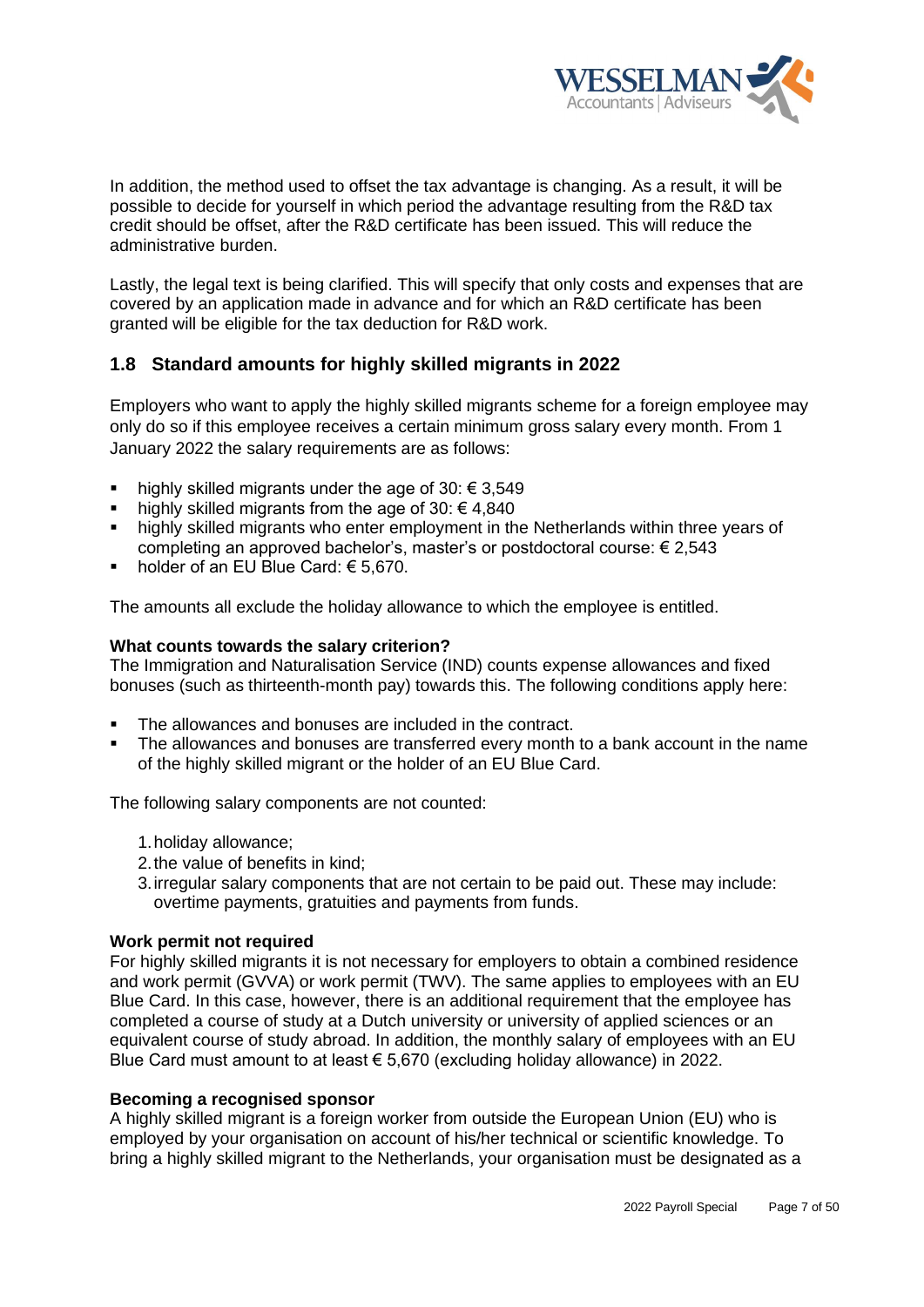

In addition, the method used to offset the tax advantage is changing. As a result, it will be possible to decide for yourself in which period the advantage resulting from the R&D tax credit should be offset, after the R&D certificate has been issued. This will reduce the administrative burden.

Lastly, the legal text is being clarified. This will specify that only costs and expenses that are covered by an application made in advance and for which an R&D certificate has been granted will be eligible for the tax deduction for R&D work.

# <span id="page-6-0"></span>**1.8 Standard amounts for highly skilled migrants in 2022**

Employers who want to apply the highly skilled migrants scheme for a foreign employee may only do so if this employee receives a certain minimum gross salary every month. From 1 January 2022 the salary requirements are as follows:

- highly skilled migrants under the age of 30:  $\epsilon$  3,549
- highly skilled migrants from the age of 30:  $\epsilon$  4,840
- highly skilled migrants who enter employment in the Netherlands within three years of completing an approved bachelor's, master's or postdoctoral course: € 2,543
- holder of an EU Blue Card:  $€ 5,670$ .

The amounts all exclude the holiday allowance to which the employee is entitled.

## **What counts towards the salary criterion?**

The Immigration and Naturalisation Service (IND) counts expense allowances and fixed bonuses (such as thirteenth-month pay) towards this. The following conditions apply here:

- The allowances and bonuses are included in the contract.
- The allowances and bonuses are transferred every month to a bank account in the name of the highly skilled migrant or the holder of an EU Blue Card.

The following salary components are not counted:

- 1.holiday allowance;
- 2.the value of benefits in kind;
- 3.irregular salary components that are not certain to be paid out. These may include: overtime payments, gratuities and payments from funds.

### **Work permit not required**

For highly skilled migrants it is not necessary for employers to obtain a combined residence and work permit (GVVA) or work permit (TWV). The same applies to employees with an EU Blue Card. In this case, however, there is an additional requirement that the employee has completed a course of study at a Dutch university or university of applied sciences or an equivalent course of study abroad. In addition, the monthly salary of employees with an EU Blue Card must amount to at least € 5,670 (excluding holiday allowance) in 2022.

#### **Becoming a recognised sponsor**

A highly skilled migrant is a foreign worker from outside the European Union (EU) who is employed by your organisation on account of his/her technical or scientific knowledge. To bring a highly skilled migrant to the Netherlands, your organisation must be designated as a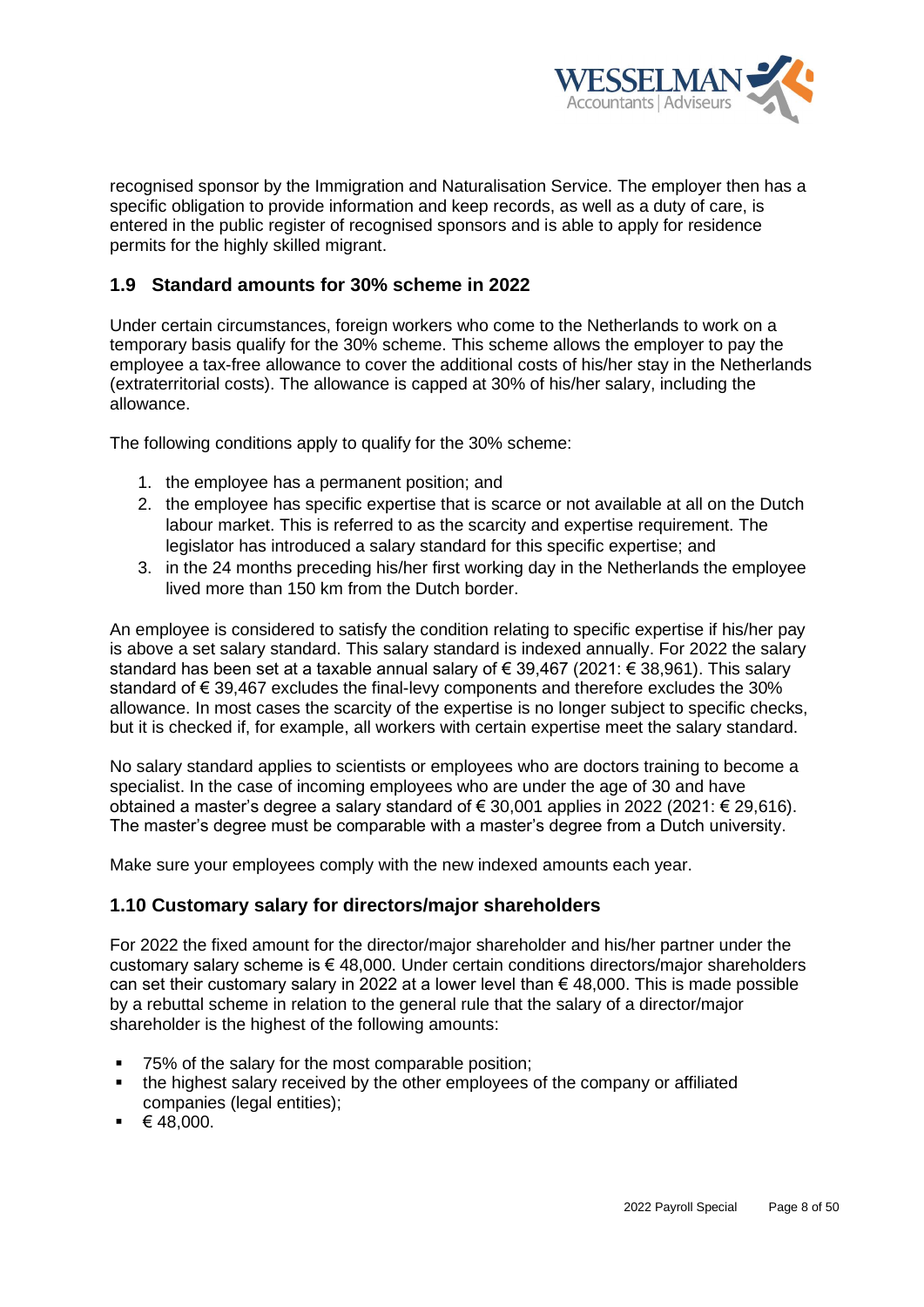

recognised sponsor by the Immigration and Naturalisation Service. The employer then has a specific obligation to provide information and keep records, as well as a duty of care, is entered in the public register of recognised sponsors and is able to apply for residence permits for the highly skilled migrant.

# <span id="page-7-0"></span>**1.9 Standard amounts for 30% scheme in 2022**

Under certain circumstances, foreign workers who come to the Netherlands to work on a temporary basis qualify for the 30% scheme. This scheme allows the employer to pay the employee a tax-free allowance to cover the additional costs of his/her stay in the Netherlands (extraterritorial costs). The allowance is capped at 30% of his/her salary, including the allowance.

The following conditions apply to qualify for the 30% scheme:

- 1. the employee has a permanent position; and
- 2. the employee has specific expertise that is scarce or not available at all on the Dutch labour market. This is referred to as the scarcity and expertise requirement. The legislator has introduced a salary standard for this specific expertise; and
- 3. in the 24 months preceding his/her first working day in the Netherlands the employee lived more than 150 km from the Dutch border.

An employee is considered to satisfy the condition relating to specific expertise if his/her pay is above a set salary standard. This salary standard is indexed annually. For 2022 the salary standard has been set at a taxable annual salary of  $\epsilon$  39,467 (2021:  $\epsilon$  38,961). This salary standard of €39,467 excludes the final-levy components and therefore excludes the 30% allowance. In most cases the scarcity of the expertise is no longer subject to specific checks, but it is checked if, for example, all workers with certain expertise meet the salary standard.

No salary standard applies to scientists or employees who are doctors training to become a specialist. In the case of incoming employees who are under the age of 30 and have obtained a master's degree a salary standard of € 30,001 applies in 2022 (2021: € 29,616). The master's degree must be comparable with a master's degree from a Dutch university.

Make sure your employees comply with the new indexed amounts each year.

# <span id="page-7-1"></span>**1.10 Customary salary for directors/major shareholders**

For 2022 the fixed amount for the director/major shareholder and his/her partner under the customary salary scheme is € 48,000. Under certain conditions directors/major shareholders can set their customary salary in 2022 at a lower level than  $\epsilon$  48,000. This is made possible by a rebuttal scheme in relation to the general rule that the salary of a director/major shareholder is the highest of the following amounts:

- 75% of the salary for the most comparable position;
- the highest salary received by the other employees of the company or affiliated companies (legal entities);
- $\blacksquare$   $\in$  48,000.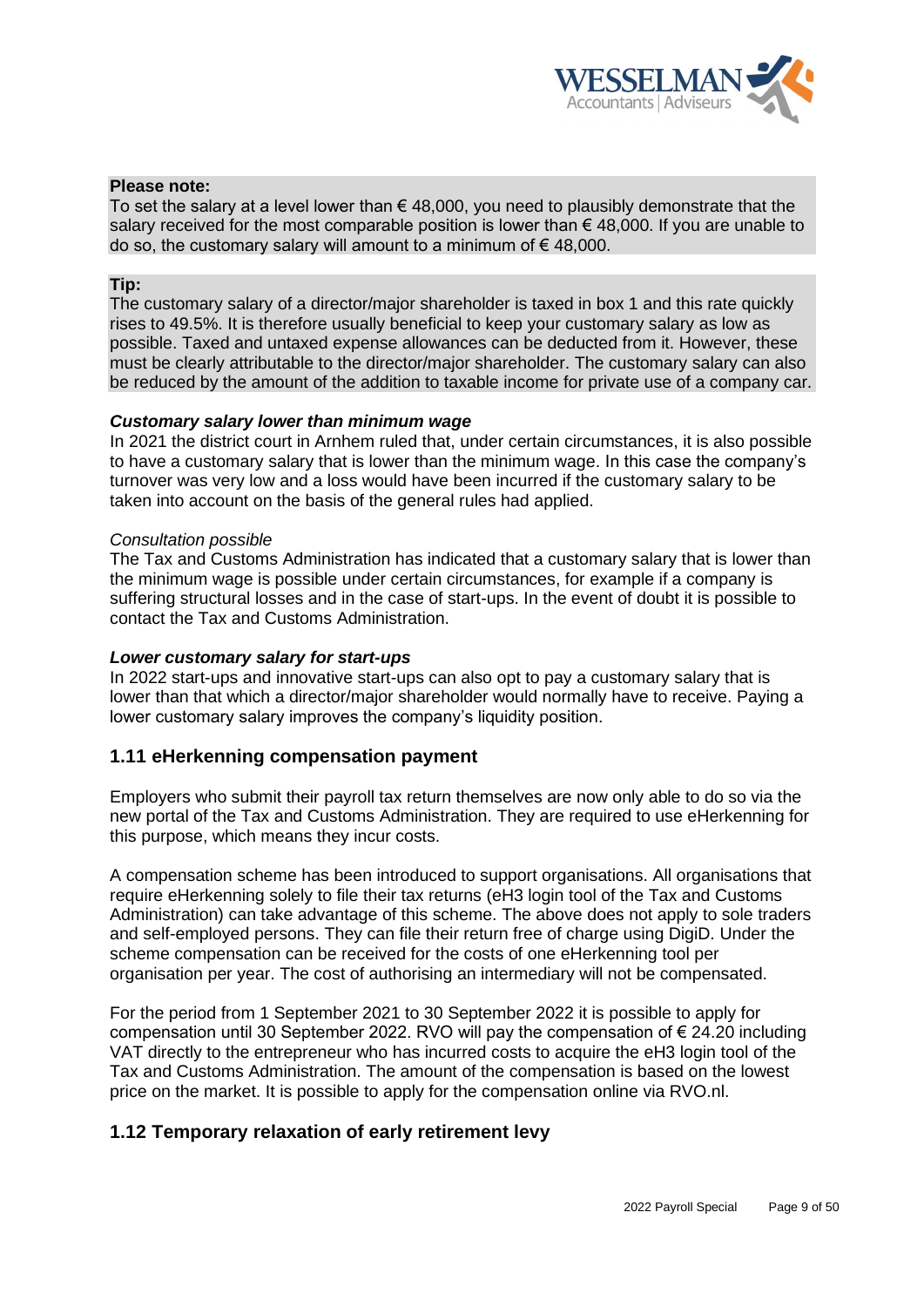

## **Please note:**

To set the salary at a level lower than  $\epsilon$  48,000, you need to plausibly demonstrate that the salary received for the most comparable position is lower than  $\epsilon$  48,000. If you are unable to do so, the customary salary will amount to a minimum of  $\epsilon$  48,000.

#### **Tip:**

The customary salary of a director/major shareholder is taxed in box 1 and this rate quickly rises to 49.5%. It is therefore usually beneficial to keep your customary salary as low as possible. Taxed and untaxed expense allowances can be deducted from it. However, these must be clearly attributable to the director/major shareholder. The customary salary can also be reduced by the amount of the addition to taxable income for private use of a company car.

## *Customary salary lower than minimum wage*

In 2021 the district court in Arnhem ruled that, under certain circumstances, it is also possible to have a customary salary that is lower than the minimum wage. In this case the company's turnover was very low and a loss would have been incurred if the customary salary to be taken into account on the basis of the general rules had applied.

#### *Consultation possible*

The Tax and Customs Administration has indicated that a customary salary that is lower than the minimum wage is possible under certain circumstances, for example if a company is suffering structural losses and in the case of start-ups. In the event of doubt it is possible to contact the Tax and Customs Administration.

### *Lower customary salary for start-ups*

In 2022 start-ups and innovative start-ups can also opt to pay a customary salary that is lower than that which a director/major shareholder would normally have to receive. Paying a lower customary salary improves the company's liquidity position.

# <span id="page-8-0"></span>**1.11 eHerkenning compensation payment**

Employers who submit their payroll tax return themselves are now only able to do so via the new portal of the Tax and Customs Administration. They are required to use eHerkenning for this purpose, which means they incur costs.

A compensation scheme has been introduced to support organisations. All organisations that require eHerkenning solely to file their tax returns (eH3 login tool of the Tax and Customs Administration) can take advantage of this scheme. The above does not apply to sole traders and self-employed persons. They can file their return free of charge using DigiD. Under the scheme compensation can be received for the costs of one eHerkenning tool per organisation per year. The cost of authorising an intermediary will not be compensated.

For the period from 1 September 2021 to 30 September 2022 it is possible to apply for compensation until 30 September 2022. RVO will pay the compensation of  $\epsilon$  24.20 including VAT directly to the entrepreneur who has incurred costs to acquire the eH3 login tool of the Tax and Customs Administration. The amount of the compensation is based on the lowest price on the market. It is possible to apply for the compensation online via RVO.nl.

# <span id="page-8-1"></span>**1.12 Temporary relaxation of early retirement levy**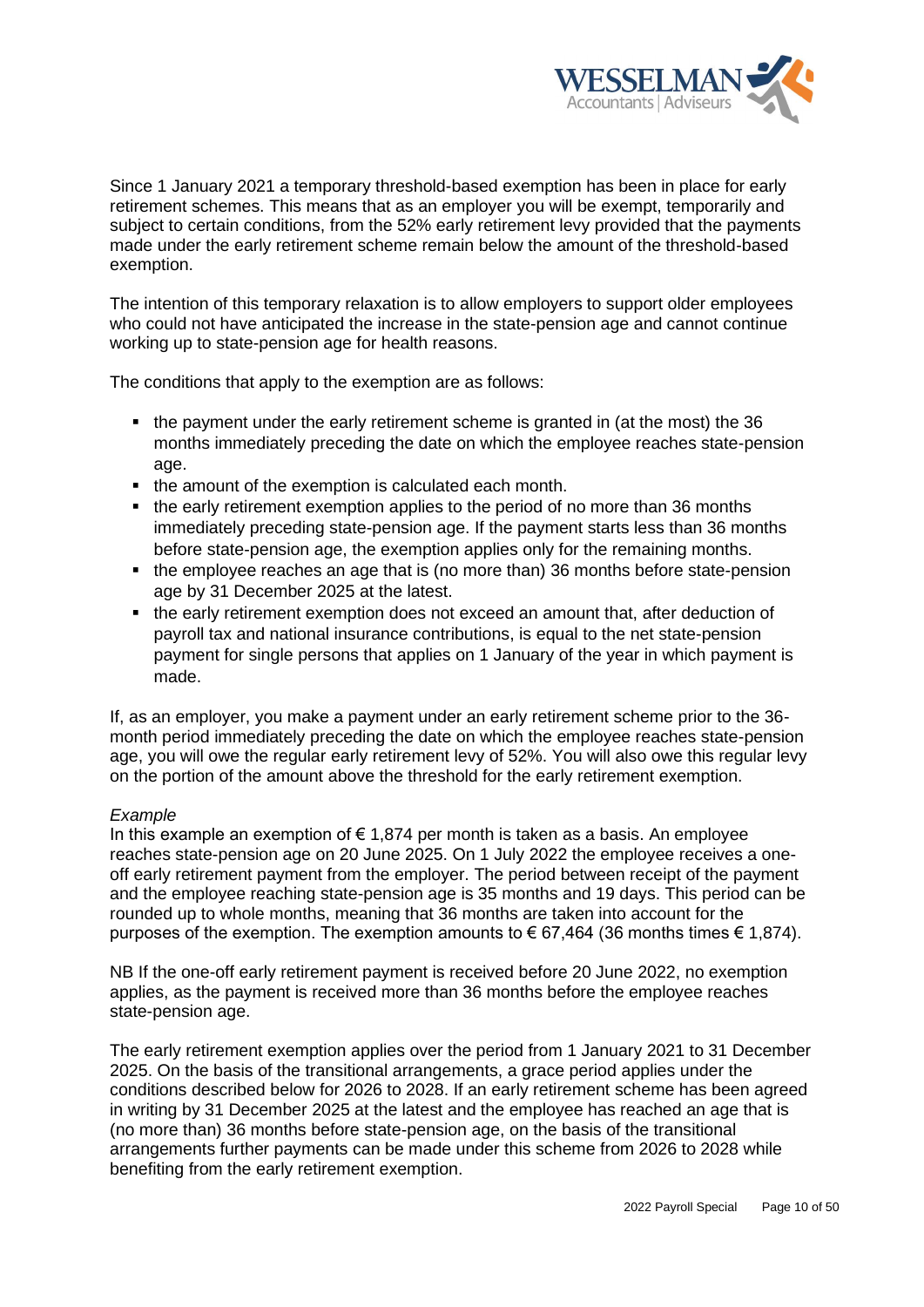

Since 1 January 2021 a temporary threshold-based exemption has been in place for early retirement schemes. This means that as an employer you will be exempt, temporarily and subject to certain conditions, from the 52% early retirement levy provided that the payments made under the early retirement scheme remain below the amount of the threshold-based exemption.

The intention of this temporary relaxation is to allow employers to support older employees who could not have anticipated the increase in the state-pension age and cannot continue working up to state-pension age for health reasons.

The conditions that apply to the exemption are as follows:

- the payment under the early retirement scheme is granted in (at the most) the 36 months immediately preceding the date on which the employee reaches state-pension age.
- the amount of the exemption is calculated each month.
- the early retirement exemption applies to the period of no more than 36 months immediately preceding state-pension age. If the payment starts less than 36 months before state-pension age, the exemption applies only for the remaining months.
- the employee reaches an age that is (no more than) 36 months before state-pension age by 31 December 2025 at the latest.
- the early retirement exemption does not exceed an amount that, after deduction of payroll tax and national insurance contributions, is equal to the net state-pension payment for single persons that applies on 1 January of the year in which payment is made.

If, as an employer, you make a payment under an early retirement scheme prior to the 36 month period immediately preceding the date on which the employee reaches state-pension age, you will owe the regular early retirement levy of 52%. You will also owe this regular levy on the portion of the amount above the threshold for the early retirement exemption.

# *Example*

In this example an exemption of  $\epsilon$  1,874 per month is taken as a basis. An employee reaches state-pension age on 20 June 2025. On 1 July 2022 the employee receives a oneoff early retirement payment from the employer. The period between receipt of the payment and the employee reaching state-pension age is 35 months and 19 days. This period can be rounded up to whole months, meaning that 36 months are taken into account for the purposes of the exemption. The exemption amounts to  $\epsilon$  67,464 (36 months times  $\epsilon$  1,874).

NB If the one-off early retirement payment is received before 20 June 2022, no exemption applies, as the payment is received more than 36 months before the employee reaches state-pension age.

The early retirement exemption applies over the period from 1 January 2021 to 31 December 2025. On the basis of the transitional arrangements, a grace period applies under the conditions described below for 2026 to 2028. If an early retirement scheme has been agreed in writing by 31 December 2025 at the latest and the employee has reached an age that is (no more than) 36 months before state-pension age, on the basis of the transitional arrangements further payments can be made under this scheme from 2026 to 2028 while benefiting from the early retirement exemption.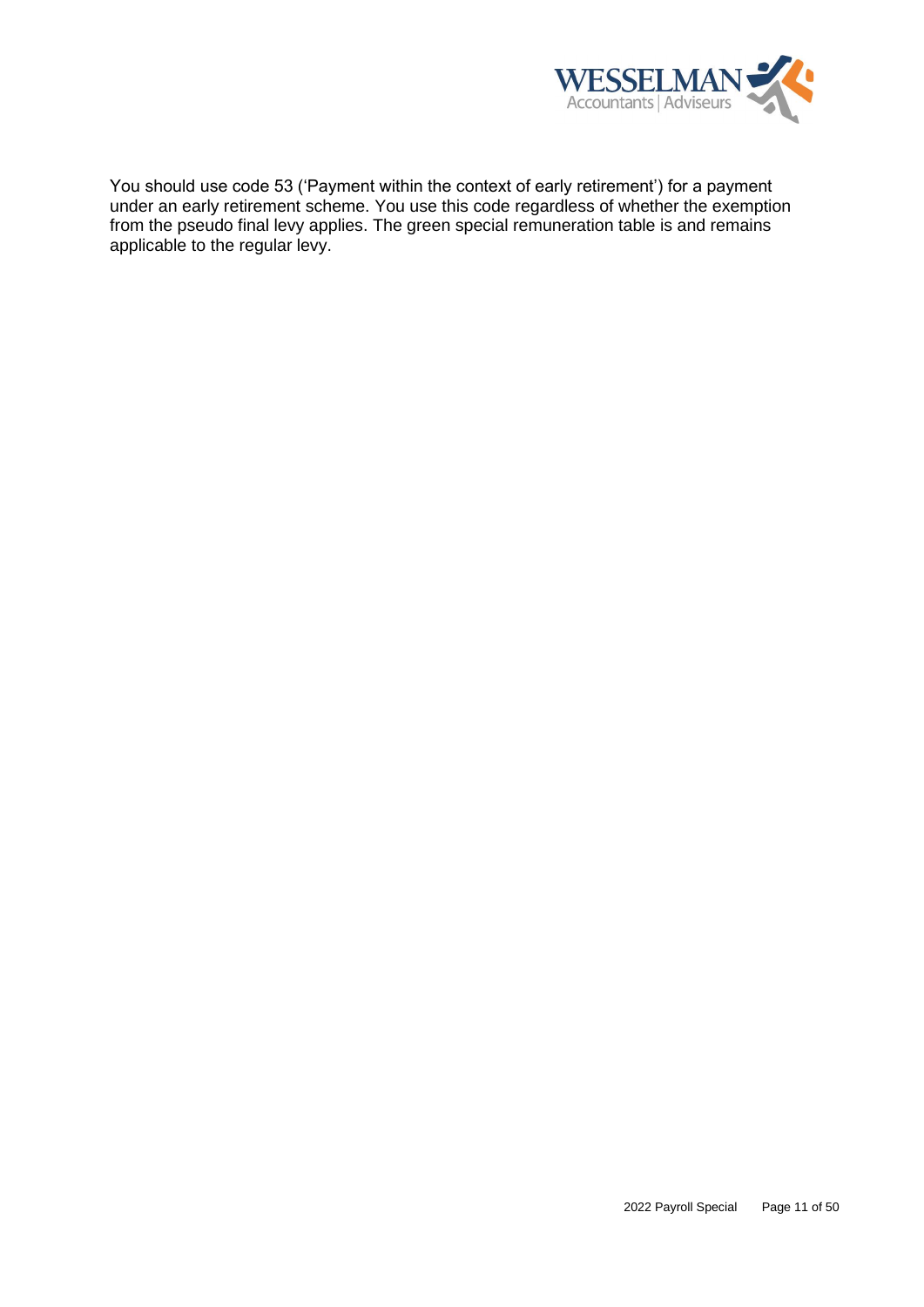

You should use code 53 ('Payment within the context of early retirement') for a payment under an early retirement scheme. You use this code regardless of whether the exemption from the pseudo final levy applies. The green special remuneration table is and remains applicable to the regular levy.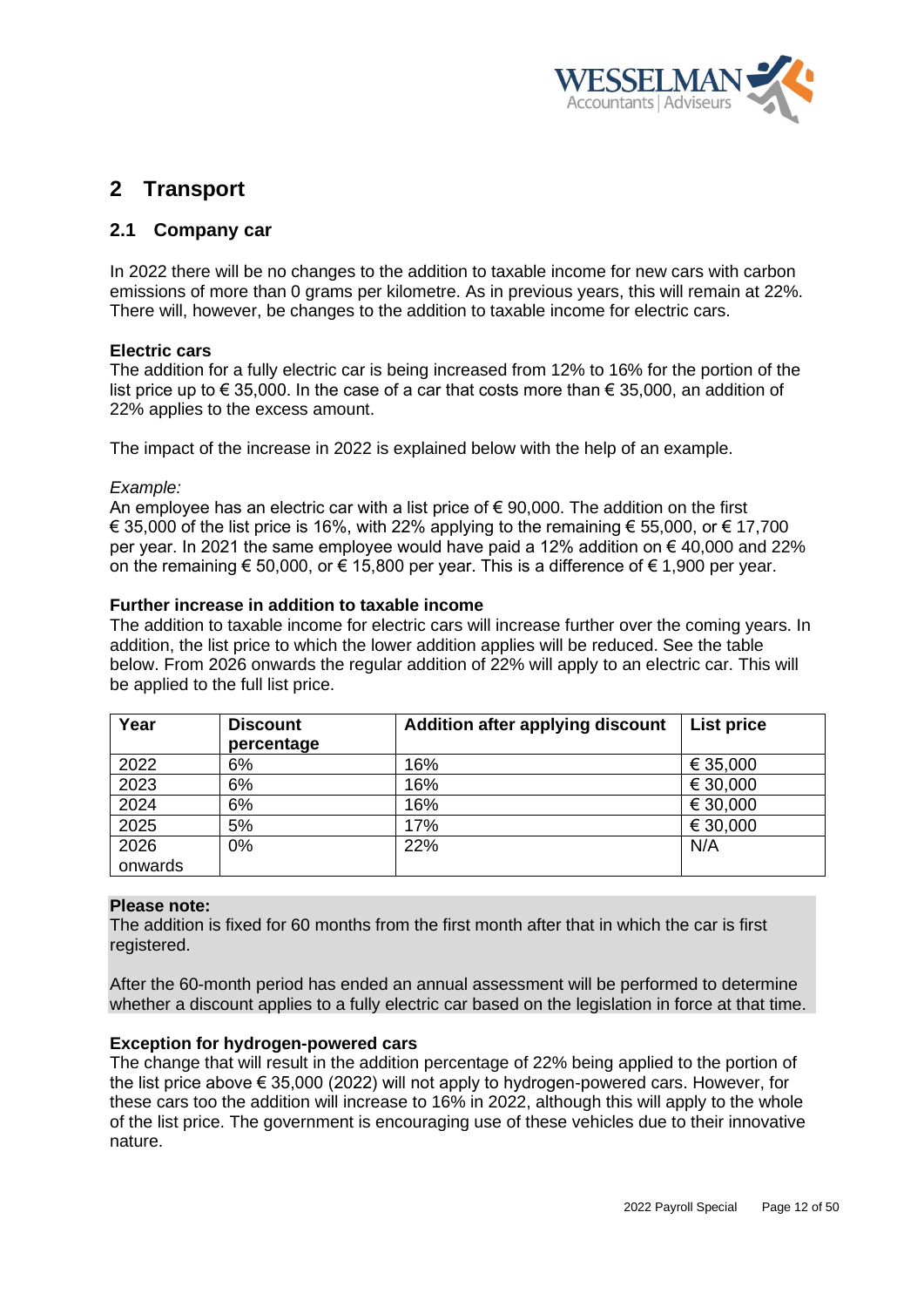

# <span id="page-11-0"></span>**2 Transport**

# <span id="page-11-1"></span>**2.1 Company car**

In 2022 there will be no changes to the addition to taxable income for new cars with carbon emissions of more than 0 grams per kilometre. As in previous years, this will remain at 22%. There will, however, be changes to the addition to taxable income for electric cars.

## **Electric cars**

The addition for a fully electric car is being increased from 12% to 16% for the portion of the list price up to  $\epsilon$  35,000. In the case of a car that costs more than  $\epsilon$  35,000, an addition of 22% applies to the excess amount.

The impact of the increase in 2022 is explained below with the help of an example.

## *Example:*

An employee has an electric car with a list price of  $\epsilon$  90,000. The addition on the first € 35,000 of the list price is 16%, with 22% applying to the remaining € 55,000, or € 17,700 per year. In 2021 the same employee would have paid a 12% addition on  $\epsilon$  40,000 and 22% on the remaining € 50,000, or € 15,800 per year. This is a difference of € 1,900 per year.

## **Further increase in addition to taxable income**

The addition to taxable income for electric cars will increase further over the coming years. In addition, the list price to which the lower addition applies will be reduced. See the table below. From 2026 onwards the regular addition of 22% will apply to an electric car. This will be applied to the full list price.

| Year    | <b>Discount</b><br>percentage | Addition after applying discount | List price |
|---------|-------------------------------|----------------------------------|------------|
| 2022    | 6%                            | 16%                              | € 35,000   |
| 2023    | 6%                            | 16%                              | € 30,000   |
| 2024    | 6%                            | 16%                              | € 30,000   |
| 2025    | 5%                            | 17%                              | € 30,000   |
| 2026    | 0%                            | 22%                              | N/A        |
| onwards |                               |                                  |            |

#### **Please note:**

The addition is fixed for 60 months from the first month after that in which the car is first registered.

After the 60-month period has ended an annual assessment will be performed to determine whether a discount applies to a fully electric car based on the legislation in force at that time.

# **Exception for hydrogen-powered cars**

The change that will result in the addition percentage of 22% being applied to the portion of the list price above € 35,000 (2022) will not apply to hydrogen-powered cars. However, for these cars too the addition will increase to 16% in 2022, although this will apply to the whole of the list price. The government is encouraging use of these vehicles due to their innovative nature.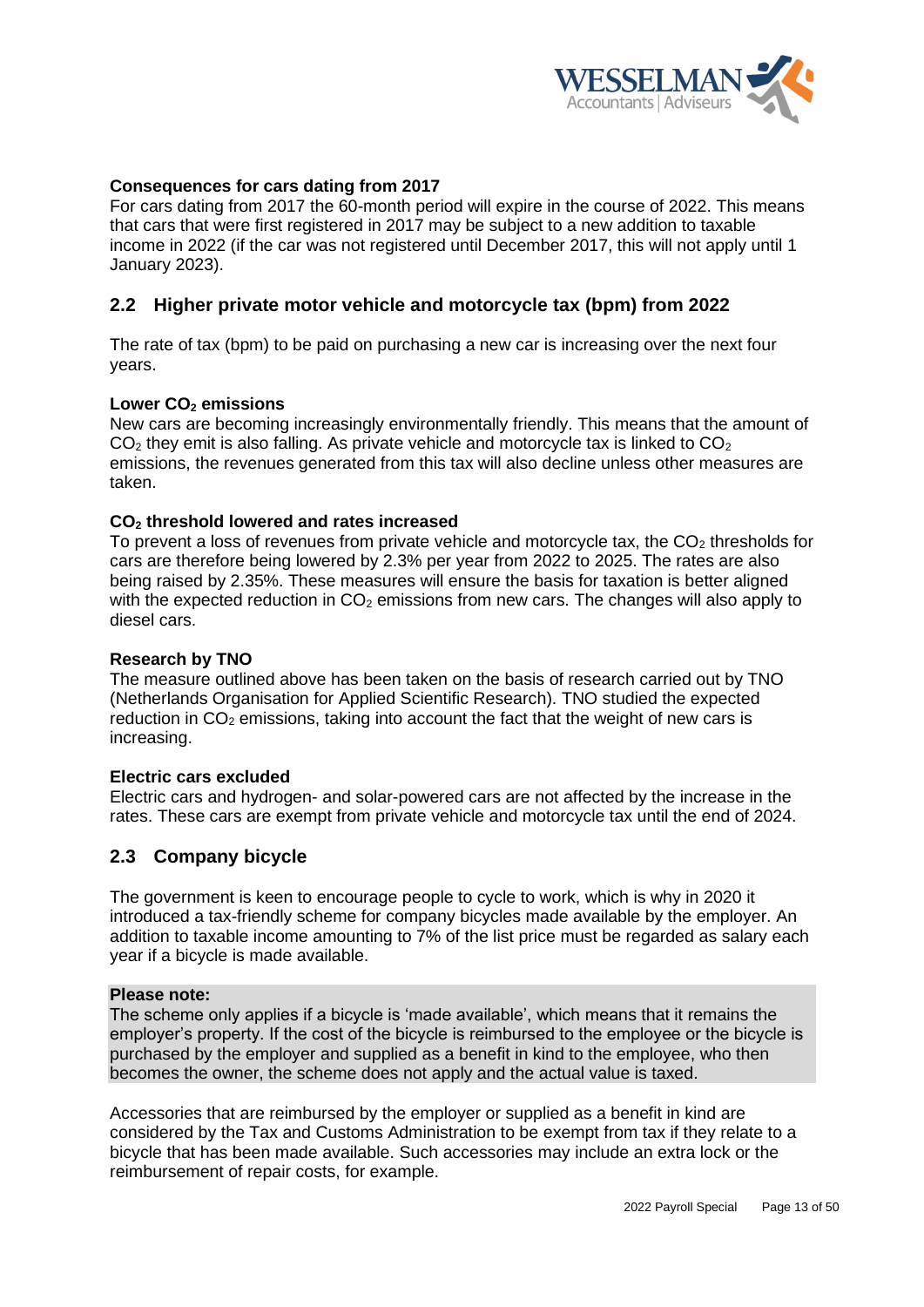

# **Consequences for cars dating from 2017**

For cars dating from 2017 the 60-month period will expire in the course of 2022. This means that cars that were first registered in 2017 may be subject to a new addition to taxable income in 2022 (if the car was not registered until December 2017, this will not apply until 1 January 2023).

# <span id="page-12-0"></span>**2.2 Higher private motor vehicle and motorcycle tax (bpm) from 2022**

The rate of tax (bpm) to be paid on purchasing a new car is increasing over the next four years.

## **Lower CO<sup>2</sup> emissions**

New cars are becoming increasingly environmentally friendly. This means that the amount of  $CO<sub>2</sub>$  they emit is also falling. As private vehicle and motorcycle tax is linked to  $CO<sub>2</sub>$ emissions, the revenues generated from this tax will also decline unless other measures are taken.

## **CO<sup>2</sup> threshold lowered and rates increased**

To prevent a loss of revenues from private vehicle and motorcycle tax, the  $CO<sub>2</sub>$  thresholds for cars are therefore being lowered by 2.3% per year from 2022 to 2025. The rates are also being raised by 2.35%. These measures will ensure the basis for taxation is better aligned with the expected reduction in  $CO<sub>2</sub>$  emissions from new cars. The changes will also apply to diesel cars.

#### **Research by TNO**

The measure outlined above has been taken on the basis of research carried out by TNO (Netherlands Organisation for Applied Scientific Research). TNO studied the expected reduction in  $CO<sub>2</sub>$  emissions, taking into account the fact that the weight of new cars is increasing.

### **Electric cars excluded**

Electric cars and hydrogen- and solar-powered cars are not affected by the increase in the rates. These cars are exempt from private vehicle and motorcycle tax until the end of 2024.

# <span id="page-12-1"></span>**2.3 Company bicycle**

The government is keen to encourage people to cycle to work, which is why in 2020 it introduced a tax-friendly scheme for company bicycles made available by the employer. An addition to taxable income amounting to 7% of the list price must be regarded as salary each year if a bicycle is made available.

### **Please note:**

The scheme only applies if a bicycle is 'made available', which means that it remains the employer's property. If the cost of the bicycle is reimbursed to the employee or the bicycle is purchased by the employer and supplied as a benefit in kind to the employee, who then becomes the owner, the scheme does not apply and the actual value is taxed.

Accessories that are reimbursed by the employer or supplied as a benefit in kind are considered by the Tax and Customs Administration to be exempt from tax if they relate to a bicycle that has been made available. Such accessories may include an extra lock or the reimbursement of repair costs, for example.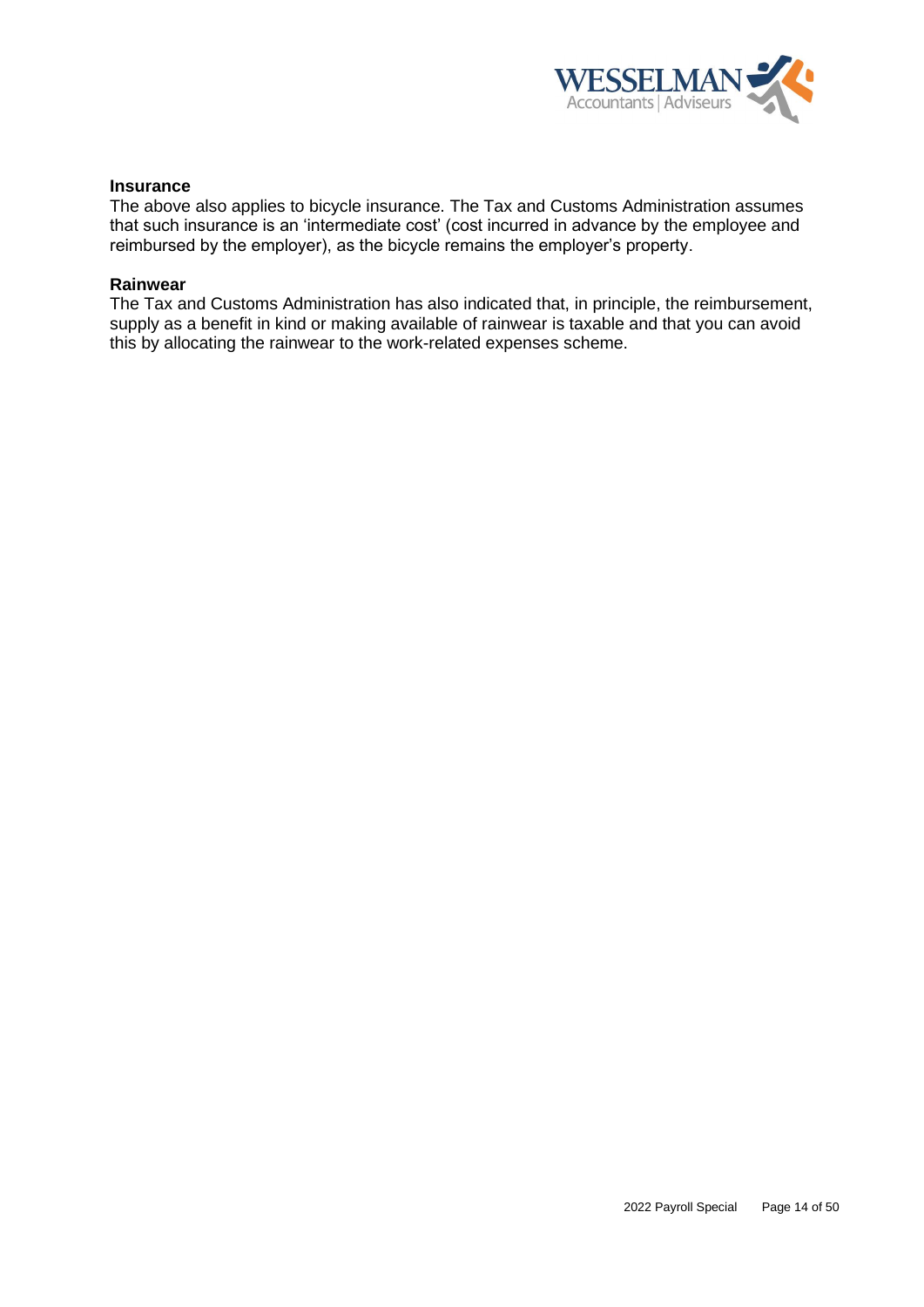

### **Insurance**

The above also applies to bicycle insurance. The Tax and Customs Administration assumes that such insurance is an 'intermediate cost' (cost incurred in advance by the employee and reimbursed by the employer), as the bicycle remains the employer's property.

#### **Rainwear**

The Tax and Customs Administration has also indicated that, in principle, the reimbursement, supply as a benefit in kind or making available of rainwear is taxable and that you can avoid this by allocating the rainwear to the work-related expenses scheme.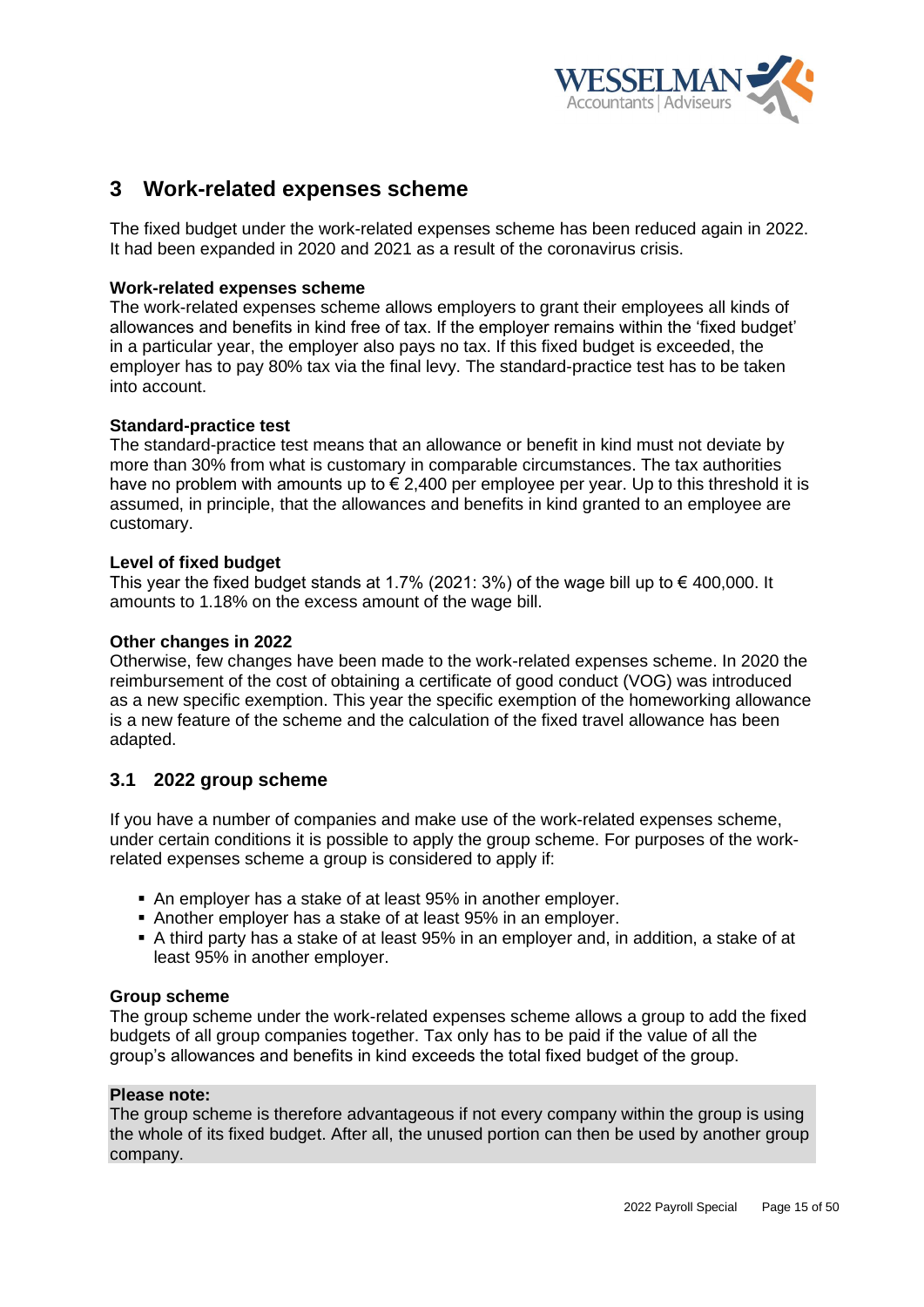

# <span id="page-14-0"></span>**3 Work-related expenses scheme**

The fixed budget under the work-related expenses scheme has been reduced again in 2022. It had been expanded in 2020 and 2021 as a result of the coronavirus crisis.

# **Work-related expenses scheme**

The work-related expenses scheme allows employers to grant their employees all kinds of allowances and benefits in kind free of tax. If the employer remains within the 'fixed budget' in a particular year, the employer also pays no tax. If this fixed budget is exceeded, the employer has to pay 80% tax via the final levy. The standard-practice test has to be taken into account.

## **Standard-practice test**

The standard-practice test means that an allowance or benefit in kind must not deviate by more than 30% from what is customary in comparable circumstances. The tax authorities have no problem with amounts up to  $\epsilon$  2.400 per employee per year. Up to this threshold it is assumed, in principle, that the allowances and benefits in kind granted to an employee are customary.

## **Level of fixed budget**

This year the fixed budget stands at 1.7% (2021: 3%) of the wage bill up to  $\epsilon$  400.000. It amounts to 1.18% on the excess amount of the wage bill.

## **Other changes in 2022**

Otherwise, few changes have been made to the work-related expenses scheme. In 2020 the reimbursement of the cost of obtaining a certificate of good conduct (VOG) was introduced as a new specific exemption. This year the specific exemption of the homeworking allowance is a new feature of the scheme and the calculation of the fixed travel allowance has been adapted.

# <span id="page-14-1"></span>**3.1 2022 group scheme**

If you have a number of companies and make use of the work-related expenses scheme, under certain conditions it is possible to apply the group scheme. For purposes of the workrelated expenses scheme a group is considered to apply if:

- An employer has a stake of at least 95% in another employer.
- Another employer has a stake of at least 95% in an employer.
- A third party has a stake of at least 95% in an employer and, in addition, a stake of at least 95% in another employer.

#### **Group scheme**

The group scheme under the work-related expenses scheme allows a group to add the fixed budgets of all group companies together. Tax only has to be paid if the value of all the group's allowances and benefits in kind exceeds the total fixed budget of the group.

# **Please note:**

The group scheme is therefore advantageous if not every company within the group is using the whole of its fixed budget. After all, the unused portion can then be used by another group company.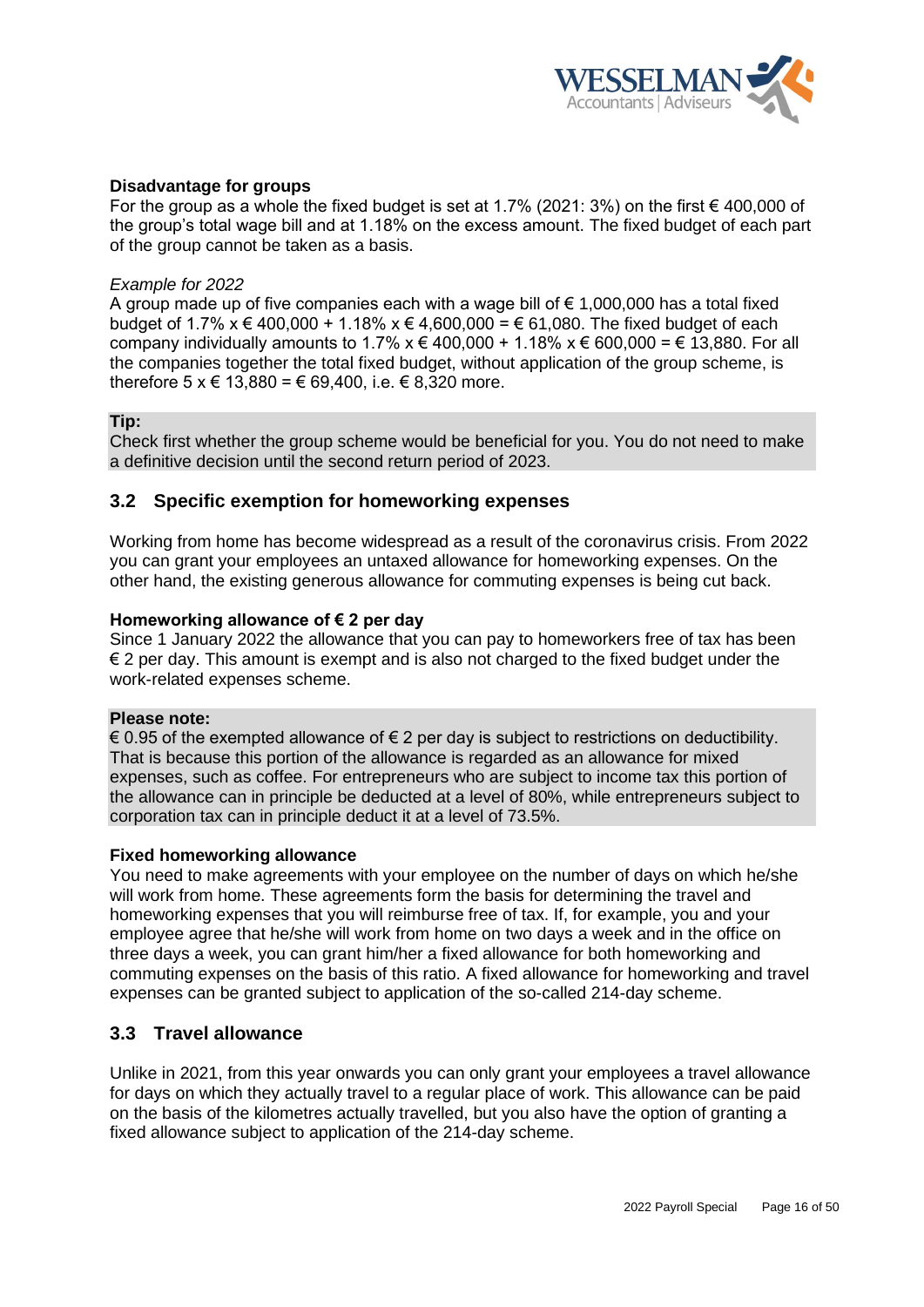

## **Disadvantage for groups**

For the group as a whole the fixed budget is set at 1.7% (2021: 3%) on the first  $\epsilon$  400,000 of the group's total wage bill and at 1.18% on the excess amount. The fixed budget of each part of the group cannot be taken as a basis.

#### *Example for 2022*

A group made up of five companies each with a wage bill of  $\epsilon$  1,000,000 has a total fixed budget of 1.7% x € 400,000 + 1.18% x € 4,600,000 = € 61,080. The fixed budget of each company individually amounts to 1.7%  $x \notin 400,000 + 1.18\%$   $x \notin 600,000 = 6$  13,880. For all the companies together the total fixed budget, without application of the group scheme, is therefore 5 x € 13,880 = € 69,400, i.e.  $\in$  8,320 more.

#### **Tip:**

Check first whether the group scheme would be beneficial for you. You do not need to make a definitive decision until the second return period of 2023.

## <span id="page-15-0"></span>**3.2 Specific exemption for homeworking expenses**

Working from home has become widespread as a result of the coronavirus crisis. From 2022 you can grant your employees an untaxed allowance for homeworking expenses. On the other hand, the existing generous allowance for commuting expenses is being cut back.

#### **Homeworking allowance of € 2 per day**

Since 1 January 2022 the allowance that you can pay to homeworkers free of tax has been  $\epsilon$  2 per day. This amount is exempt and is also not charged to the fixed budget under the work-related expenses scheme.

#### **Please note:**

€ 0.95 of the exempted allowance of  $∈$  2 per day is subject to restrictions on deductibility. That is because this portion of the allowance is regarded as an allowance for mixed expenses, such as coffee. For entrepreneurs who are subject to income tax this portion of the allowance can in principle be deducted at a level of 80%, while entrepreneurs subject to corporation tax can in principle deduct it at a level of 73.5%.

#### **Fixed homeworking allowance**

You need to make agreements with your employee on the number of days on which he/she will work from home. These agreements form the basis for determining the travel and homeworking expenses that you will reimburse free of tax. If, for example, you and your employee agree that he/she will work from home on two days a week and in the office on three days a week, you can grant him/her a fixed allowance for both homeworking and commuting expenses on the basis of this ratio. A fixed allowance for homeworking and travel expenses can be granted subject to application of the so-called 214-day scheme.

## <span id="page-15-1"></span>**3.3 Travel allowance**

Unlike in 2021, from this year onwards you can only grant your employees a travel allowance for days on which they actually travel to a regular place of work. This allowance can be paid on the basis of the kilometres actually travelled, but you also have the option of granting a fixed allowance subject to application of the 214-day scheme.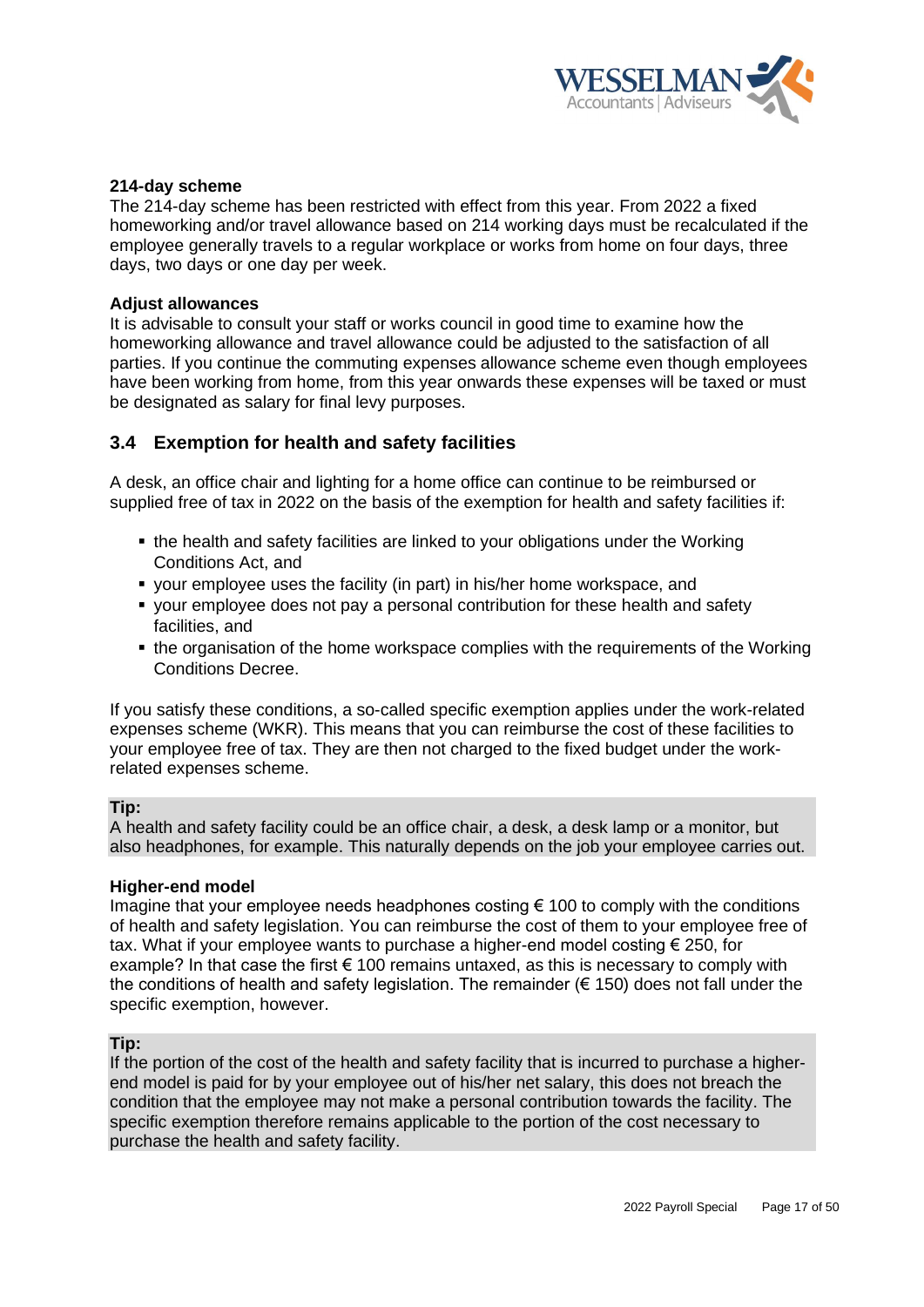

## <span id="page-16-0"></span>**214-day scheme**

The 214-day scheme has been restricted with effect from this year. From 2022 a fixed homeworking and/or travel allowance based on 214 working days must be recalculated if the employee generally travels to a regular workplace or works from home on four days, three days, two days or one day per week.

#### **Adjust allowances**

It is advisable to consult your staff or works council in good time to examine how the homeworking allowance and travel allowance could be adjusted to the satisfaction of all parties. If you continue the commuting expenses allowance scheme even though employees have been working from home, from this year onwards these expenses will be taxed or must be designated as salary for final levy purposes.

# <span id="page-16-1"></span>**3.4 Exemption for health and safety facilities**

A desk, an office chair and lighting for a home office can continue to be reimbursed or supplied free of tax in 2022 on the basis of the exemption for health and safety facilities if:

- the health and safety facilities are linked to your obligations under the Working Conditions Act, and
- your employee uses the facility (in part) in his/her home workspace, and
- your employee does not pay a personal contribution for these health and safety facilities, and
- the organisation of the home workspace complies with the requirements of the Working Conditions Decree.

If you satisfy these conditions, a so-called specific exemption applies under the work-related expenses scheme (WKR). This means that you can reimburse the cost of these facilities to your employee free of tax. They are then not charged to the fixed budget under the workrelated expenses scheme.

#### **Tip:**

A health and safety facility could be an office chair, a desk, a desk lamp or a monitor, but also headphones, for example. This naturally depends on the job your employee carries out.

#### **Higher-end model**

Imagine that your employee needs headphones costing  $\epsilon$  100 to comply with the conditions of health and safety legislation. You can reimburse the cost of them to your employee free of tax. What if your employee wants to purchase a higher-end model costing € 250, for example? In that case the first  $\epsilon$  100 remains untaxed, as this is necessary to comply with the conditions of health and safety legislation. The remainder (€ 150) does not fall under the specific exemption, however.

#### **Tip:**

If the portion of the cost of the health and safety facility that is incurred to purchase a higherend model is paid for by your employee out of his/her net salary, this does not breach the condition that the employee may not make a personal contribution towards the facility. The specific exemption therefore remains applicable to the portion of the cost necessary to purchase the health and safety facility.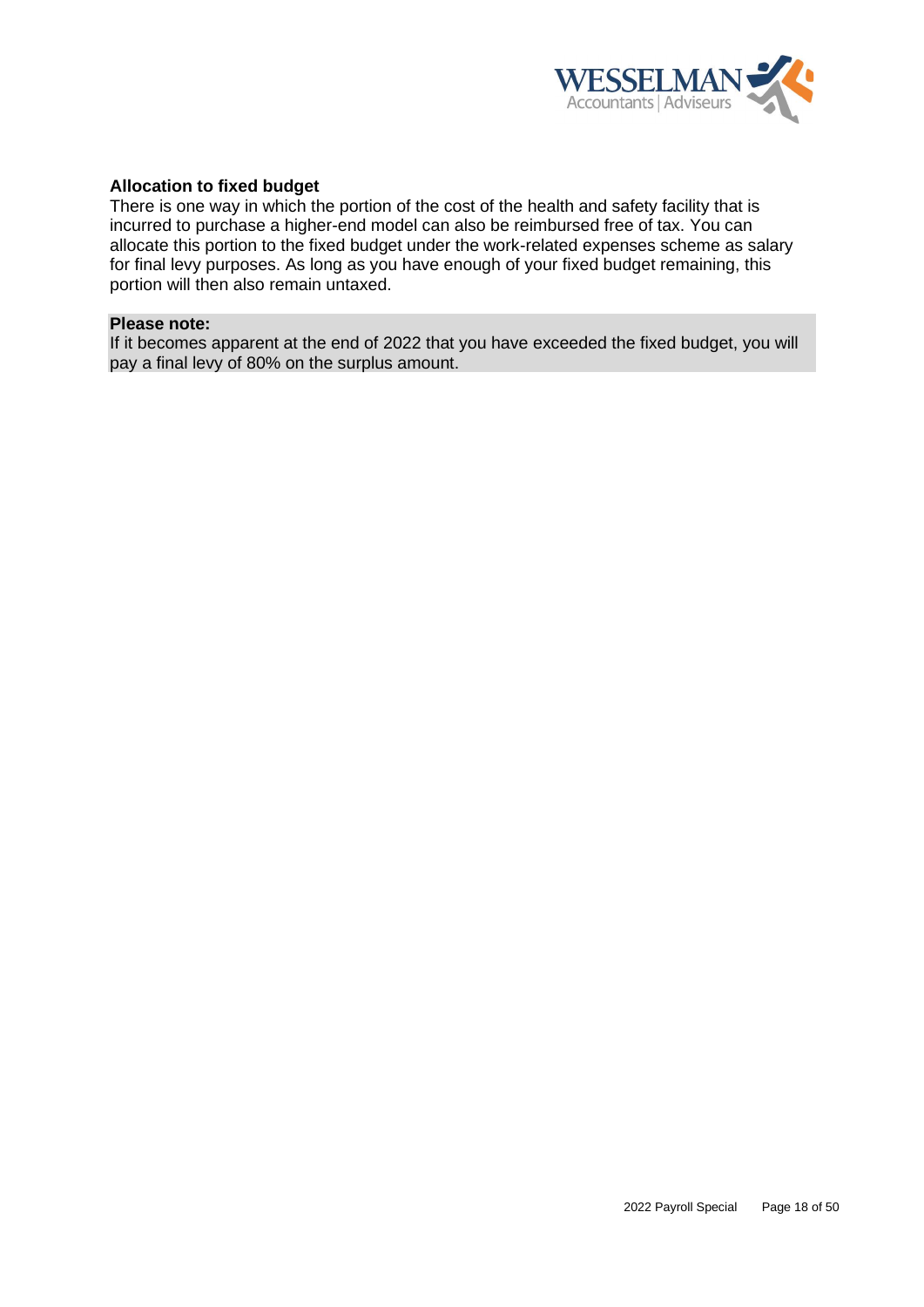

## **Allocation to fixed budget**

There is one way in which the portion of the cost of the health and safety facility that is incurred to purchase a higher-end model can also be reimbursed free of tax. You can allocate this portion to the fixed budget under the work-related expenses scheme as salary for final levy purposes. As long as you have enough of your fixed budget remaining, this portion will then also remain untaxed.

#### **Please note:**

If it becomes apparent at the end of 2022 that you have exceeded the fixed budget, you will pay a final levy of 80% on the surplus amount.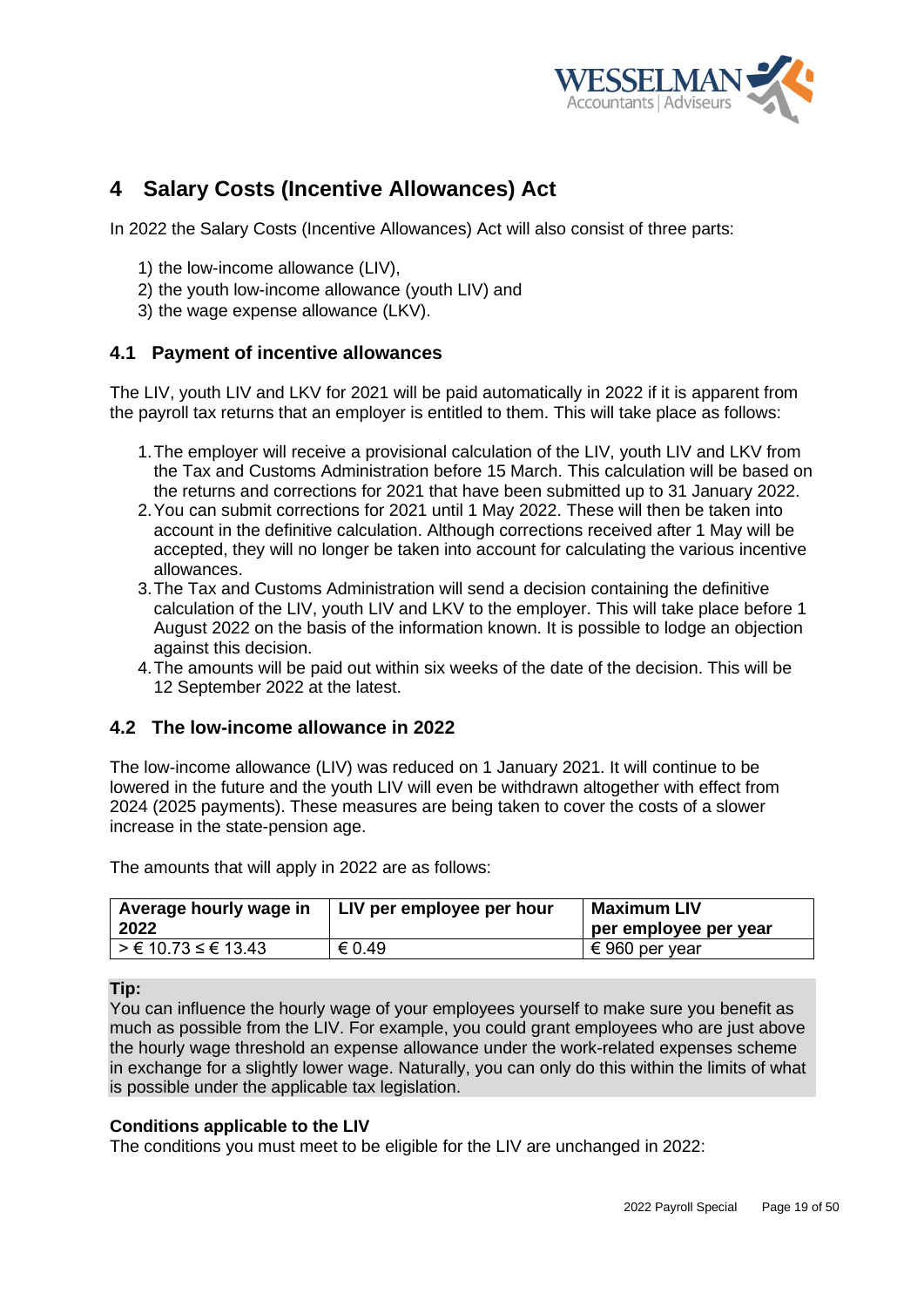

# <span id="page-18-0"></span>**4 Salary Costs (Incentive Allowances) Act**

In 2022 the Salary Costs (Incentive Allowances) Act will also consist of three parts:

- 1) the low-income allowance (LIV),
- 2) the youth low-income allowance (youth LIV) and
- 3) the wage expense allowance (LKV).

# <span id="page-18-1"></span>**4.1 Payment of incentive allowances**

The LIV, youth LIV and LKV for 2021 will be paid automatically in 2022 if it is apparent from the payroll tax returns that an employer is entitled to them. This will take place as follows:

- 1.The employer will receive a provisional calculation of the LIV, youth LIV and LKV from the Tax and Customs Administration before 15 March. This calculation will be based on the returns and corrections for 2021 that have been submitted up to 31 January 2022.
- 2.You can submit corrections for 2021 until 1 May 2022. These will then be taken into account in the definitive calculation. Although corrections received after 1 May will be accepted, they will no longer be taken into account for calculating the various incentive allowances.
- 3.The Tax and Customs Administration will send a decision containing the definitive calculation of the LIV, youth LIV and LKV to the employer. This will take place before 1 August 2022 on the basis of the information known. It is possible to lodge an objection against this decision.
- 4.The amounts will be paid out within six weeks of the date of the decision. This will be 12 September 2022 at the latest.

# <span id="page-18-2"></span>**4.2 The low-income allowance in 2022**

The low-income allowance (LIV) was reduced on 1 January 2021. It will continue to be lowered in the future and the youth LIV will even be withdrawn altogether with effect from 2024 (2025 payments). These measures are being taken to cover the costs of a slower increase in the state-pension age.

| Average hourly wage in<br>2022 | LIV per employee per hour | Maximum LIV<br>per employee per year |
|--------------------------------|---------------------------|--------------------------------------|
| $\geq$ € 10.73 ≤ € 13.43       | € 0.49                    | € 960 per year                       |

The amounts that will apply in 2022 are as follows:

#### **Tip:**

You can influence the hourly wage of your employees yourself to make sure you benefit as much as possible from the LIV. For example, you could grant employees who are just above the hourly wage threshold an expense allowance under the work-related expenses scheme in exchange for a slightly lower wage. Naturally, you can only do this within the limits of what is possible under the applicable tax legislation.

#### **Conditions applicable to the LIV**

The conditions you must meet to be eligible for the LIV are unchanged in 2022: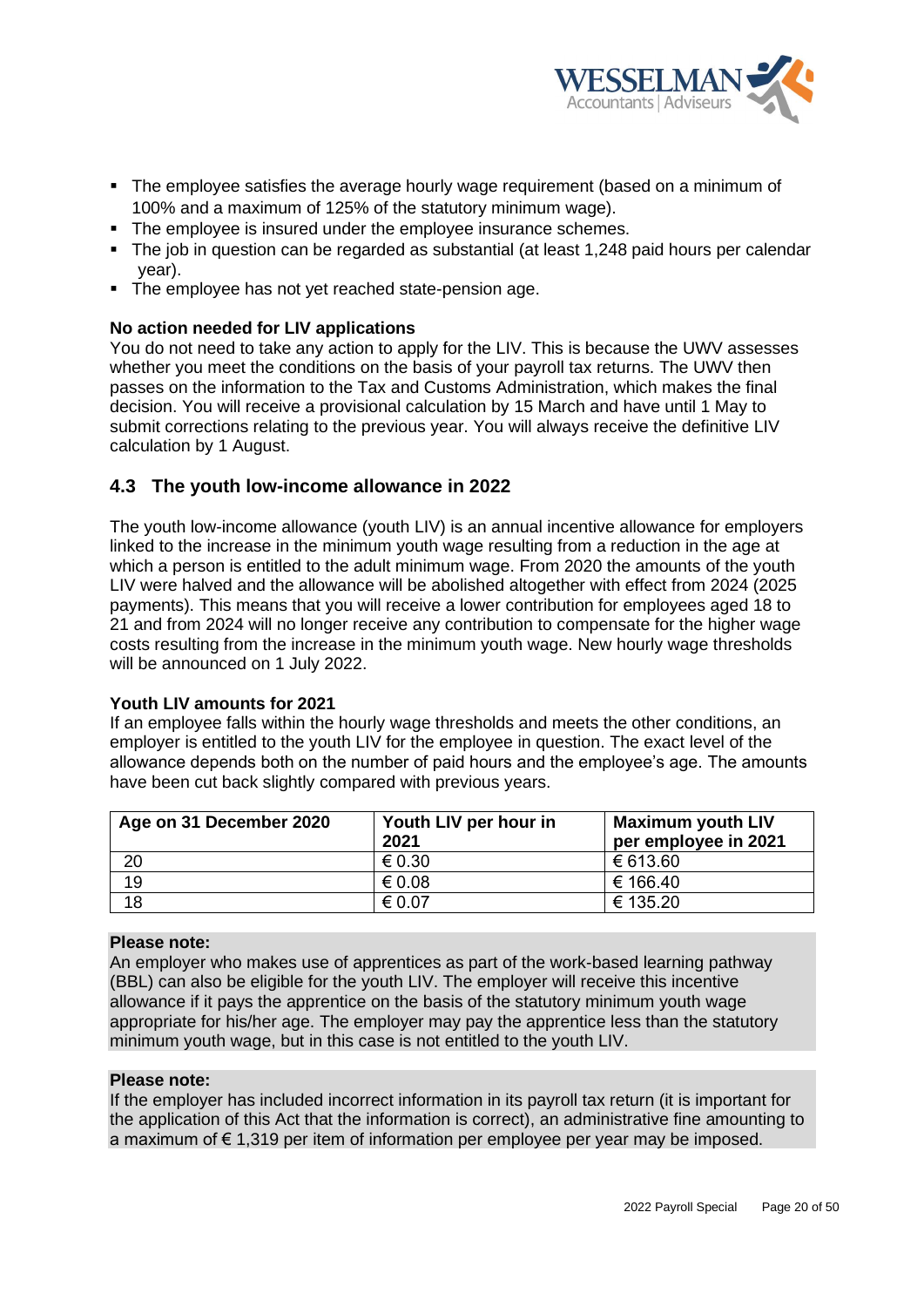

- The employee satisfies the average hourly wage requirement (based on a minimum of 100% and a maximum of 125% of the statutory minimum wage).
- The employee is insured under the employee insurance schemes.
- The job in question can be regarded as substantial (at least 1,248 paid hours per calendar year).
- The employee has not yet reached state-pension age.

# **No action needed for LIV applications**

You do not need to take any action to apply for the LIV. This is because the UWV assesses whether you meet the conditions on the basis of your payroll tax returns. The UWV then passes on the information to the Tax and Customs Administration, which makes the final decision. You will receive a provisional calculation by 15 March and have until 1 May to submit corrections relating to the previous year. You will always receive the definitive LIV calculation by 1 August.

# <span id="page-19-0"></span>**4.3 The youth low-income allowance in 2022**

The youth low-income allowance (youth LIV) is an annual incentive allowance for employers linked to the increase in the minimum youth wage resulting from a reduction in the age at which a person is entitled to the adult minimum wage. From 2020 the amounts of the youth LIV were halved and the allowance will be abolished altogether with effect from 2024 (2025 payments). This means that you will receive a lower contribution for employees aged 18 to 21 and from 2024 will no longer receive any contribution to compensate for the higher wage costs resulting from the increase in the minimum youth wage. New hourly wage thresholds will be announced on 1 July 2022.

#### **Youth LIV amounts for 2021**

If an employee falls within the hourly wage thresholds and meets the other conditions, an employer is entitled to the youth LIV for the employee in question. The exact level of the allowance depends both on the number of paid hours and the employee's age. The amounts have been cut back slightly compared with previous years.

| Age on 31 December 2020 | Youth LIV per hour in<br>2021 | <b>Maximum youth LIV</b><br>per employee in 2021 |
|-------------------------|-------------------------------|--------------------------------------------------|
| 20                      | € 0.30                        | € 613.60                                         |
| 19                      | € 0.08                        | € 166.40                                         |
| 18                      | € 0.07                        | € 135.20                                         |

#### **Please note:**

An employer who makes use of apprentices as part of the work-based learning pathway (BBL) can also be eligible for the youth LIV. The employer will receive this incentive allowance if it pays the apprentice on the basis of the statutory minimum youth wage appropriate for his/her age. The employer may pay the apprentice less than the statutory minimum youth wage, but in this case is not entitled to the youth LIV.

#### **Please note:**

If the employer has included incorrect information in its payroll tax return (it is important for the application of this Act that the information is correct), an administrative fine amounting to a maximum of  $\epsilon$  1,319 per item of information per employee per year may be imposed.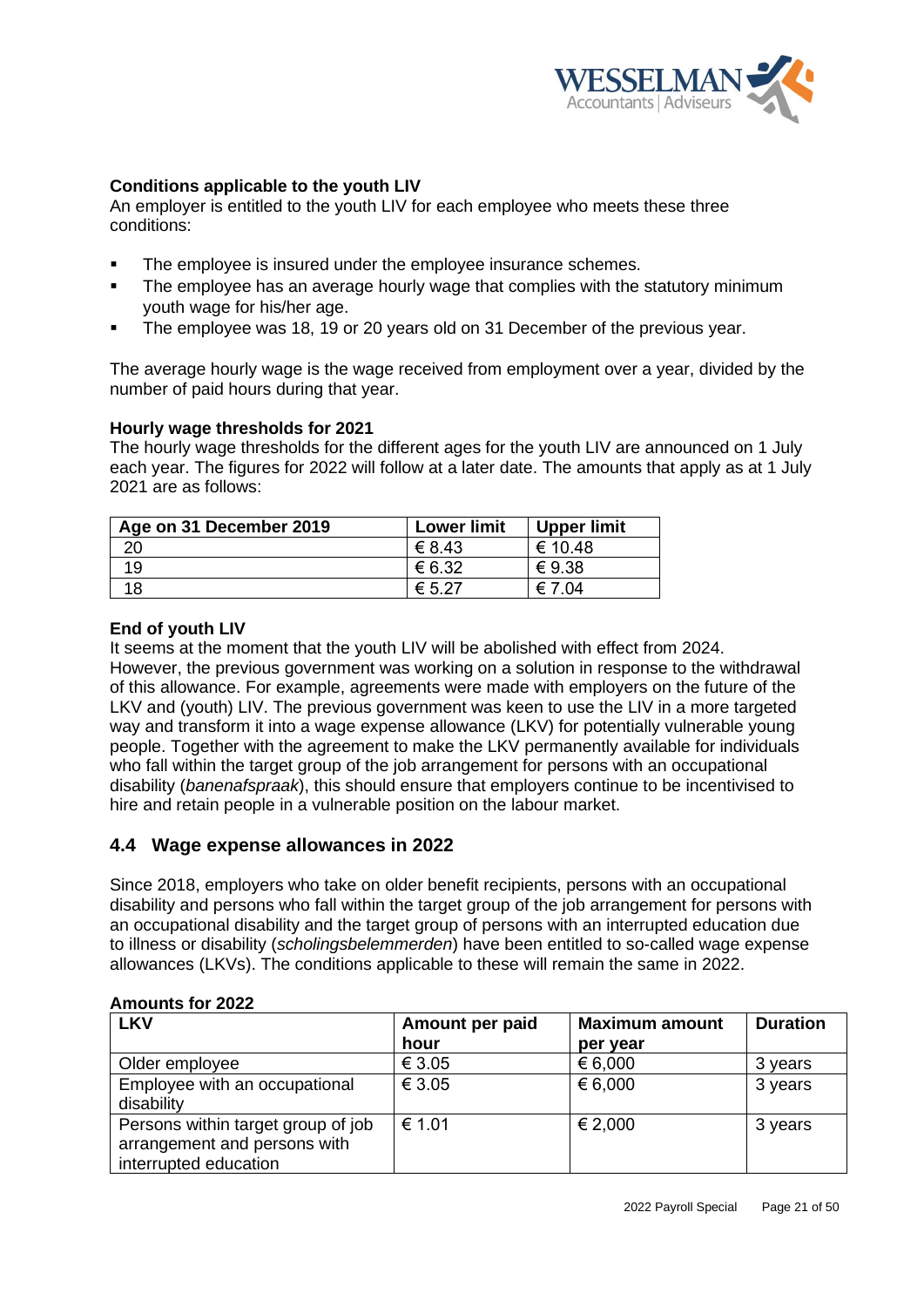

# **Conditions applicable to the youth LIV**

An employer is entitled to the youth LIV for each employee who meets these three conditions:

- The employee is insured under the employee insurance schemes.
- The employee has an average hourly wage that complies with the statutory minimum youth wage for his/her age.
- The employee was 18, 19 or 20 years old on 31 December of the previous year.

The average hourly wage is the wage received from employment over a year, divided by the number of paid hours during that year.

# **Hourly wage thresholds for 2021**

The hourly wage thresholds for the different ages for the youth LIV are announced on 1 July each year. The figures for 2022 will follow at a later date. The amounts that apply as at 1 July 2021 are as follows:

| Age on 31 December 2019 | <b>Lower limit</b> | <b>Upper limit</b> |
|-------------------------|--------------------|--------------------|
| 20                      | € 8.43             | € 10.48            |
|                         | € 6.32             | €9.38              |
|                         | $\epsilon$ 5.27    | € 7.04             |

## **End of youth LIV**

It seems at the moment that the youth LIV will be abolished with effect from 2024. However, the previous government was working on a solution in response to the withdrawal of this allowance. For example, agreements were made with employers on the future of the LKV and (youth) LIV. The previous government was keen to use the LIV in a more targeted way and transform it into a wage expense allowance (LKV) for potentially vulnerable young people. Together with the agreement to make the LKV permanently available for individuals who fall within the target group of the job arrangement for persons with an occupational disability (*banenafspraak*), this should ensure that employers continue to be incentivised to hire and retain people in a vulnerable position on the labour market.

# <span id="page-20-0"></span>**4.4 Wage expense allowances in 2022**

Since 2018, employers who take on older benefit recipients, persons with an occupational disability and persons who fall within the target group of the job arrangement for persons with an occupational disability and the target group of persons with an interrupted education due to illness or disability (*scholingsbelemmerden*) have been entitled to so-called wage expense allowances (LKVs). The conditions applicable to these will remain the same in 2022.

| <b>LKV</b>                                                                                  | Amount per paid<br>hour | <b>Maximum amount</b><br>per year | <b>Duration</b> |
|---------------------------------------------------------------------------------------------|-------------------------|-----------------------------------|-----------------|
| Older employee                                                                              | € 3.05                  | € 6,000                           | 3 years         |
| Employee with an occupational<br>disability                                                 | € 3.05                  | € 6,000                           | 3 years         |
| Persons within target group of job<br>arrangement and persons with<br>interrupted education | € 1.01                  | € 2,000                           | 3 years         |

#### **Amounts for 2022**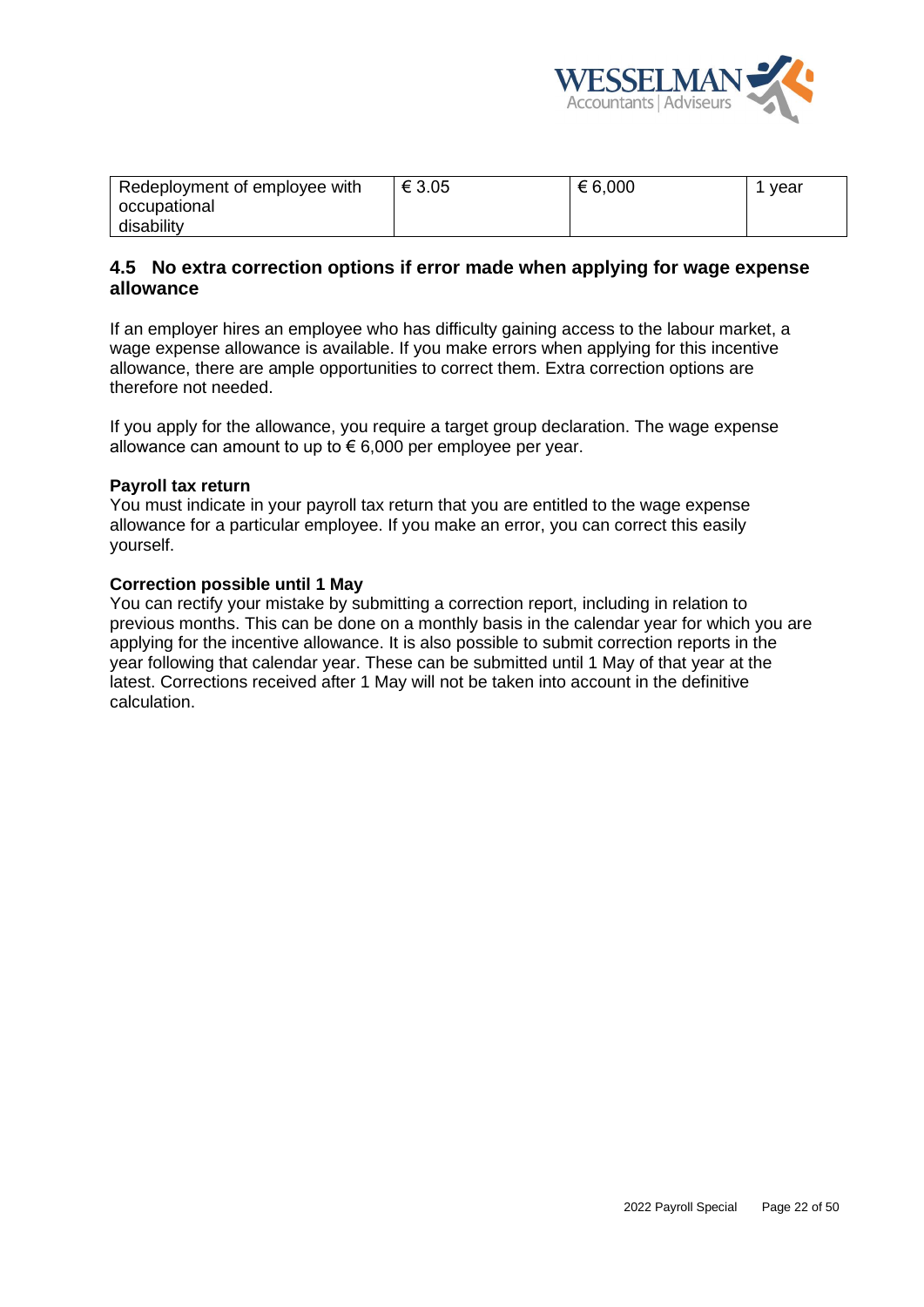

| Redeployment of employee with | € 3.05 | € 6,000 | vear |
|-------------------------------|--------|---------|------|
| occupational                  |        |         |      |
| disability                    |        |         |      |

# <span id="page-21-0"></span>**4.5 No extra correction options if error made when applying for wage expense allowance**

If an employer hires an employee who has difficulty gaining access to the labour market, a wage expense allowance is available. If you make errors when applying for this incentive allowance, there are ample opportunities to correct them. Extra correction options are therefore not needed.

If you apply for the allowance, you require a target group declaration. The wage expense allowance can amount to up to  $\epsilon$  6,000 per employee per year.

#### **Payroll tax return**

You must indicate in your payroll tax return that you are entitled to the wage expense allowance for a particular employee. If you make an error, you can correct this easily yourself.

#### **Correction possible until 1 May**

You can rectify your mistake by submitting a correction report, including in relation to previous months. This can be done on a monthly basis in the calendar year for which you are applying for the incentive allowance. It is also possible to submit correction reports in the year following that calendar year. These can be submitted until 1 May of that year at the latest. Corrections received after 1 May will not be taken into account in the definitive calculation.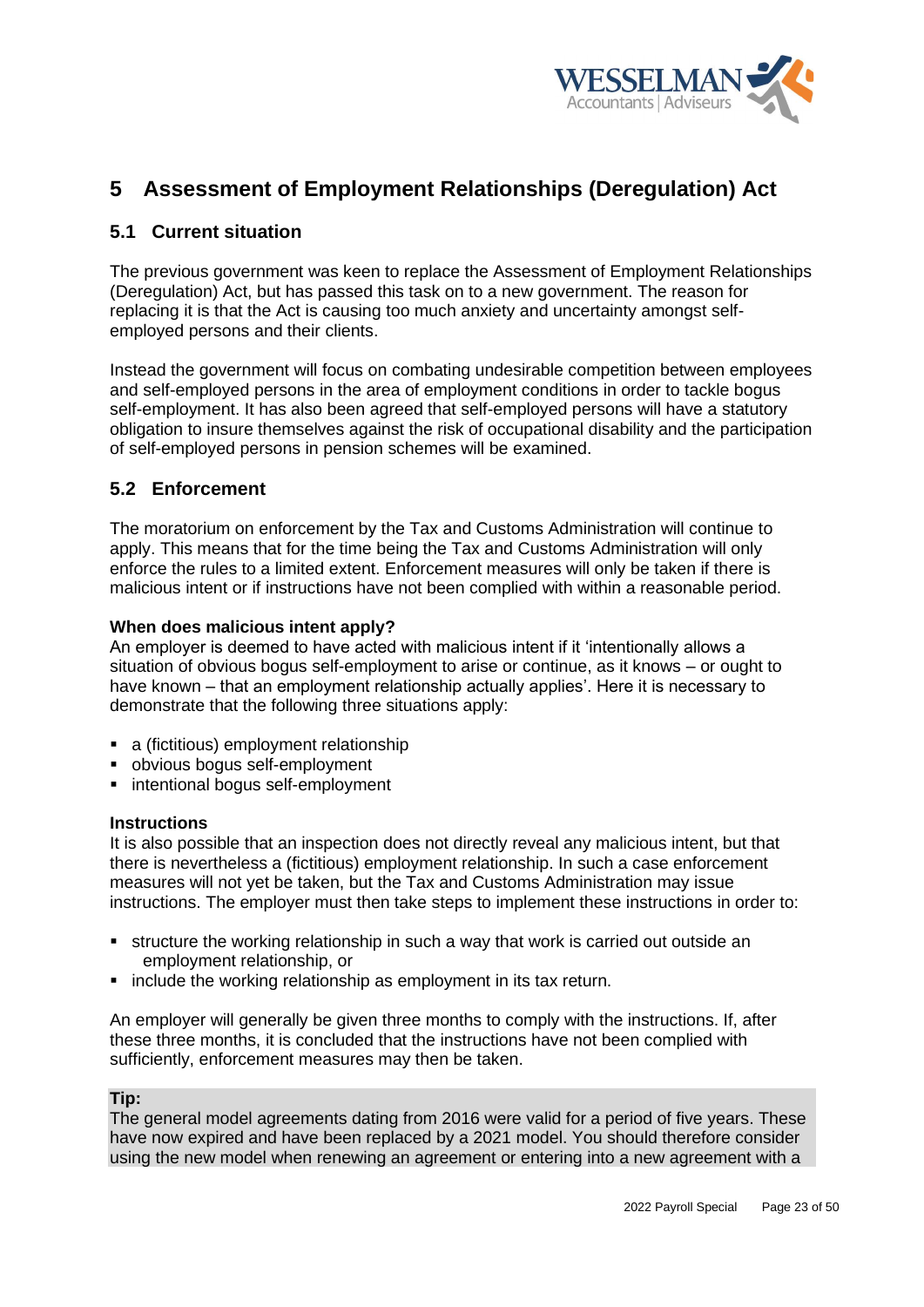

# <span id="page-22-0"></span>**5 Assessment of Employment Relationships (Deregulation) Act**

# <span id="page-22-1"></span>**5.1 Current situation**

The previous government was keen to replace the Assessment of Employment Relationships (Deregulation) Act, but has passed this task on to a new government. The reason for replacing it is that the Act is causing too much anxiety and uncertainty amongst selfemployed persons and their clients.

Instead the government will focus on combating undesirable competition between employees and self-employed persons in the area of employment conditions in order to tackle bogus self-employment. It has also been agreed that self-employed persons will have a statutory obligation to insure themselves against the risk of occupational disability and the participation of self-employed persons in pension schemes will be examined.

# <span id="page-22-2"></span>**5.2 Enforcement**

The moratorium on enforcement by the Tax and Customs Administration will continue to apply. This means that for the time being the Tax and Customs Administration will only enforce the rules to a limited extent. Enforcement measures will only be taken if there is malicious intent or if instructions have not been complied with within a reasonable period.

## **When does malicious intent apply?**

An employer is deemed to have acted with malicious intent if it 'intentionally allows a situation of obvious bogus self-employment to arise or continue, as it knows – or ought to have known – that an employment relationship actually applies'. Here it is necessary to demonstrate that the following three situations apply:

- a (fictitious) employment relationship
- obvious bogus self-employment
- intentional bogus self-employment

#### **Instructions**

It is also possible that an inspection does not directly reveal any malicious intent, but that there is nevertheless a (fictitious) employment relationship. In such a case enforcement measures will not yet be taken, but the Tax and Customs Administration may issue instructions. The employer must then take steps to implement these instructions in order to:

- structure the working relationship in such a way that work is carried out outside an employment relationship, or
- include the working relationship as employment in its tax return.

An employer will generally be given three months to comply with the instructions. If, after these three months, it is concluded that the instructions have not been complied with sufficiently, enforcement measures may then be taken.

#### **Tip:**

The general model agreements dating from 2016 were valid for a period of five years. These have now expired and have been replaced by a 2021 model. You should therefore consider using the new model when renewing an agreement or entering into a new agreement with a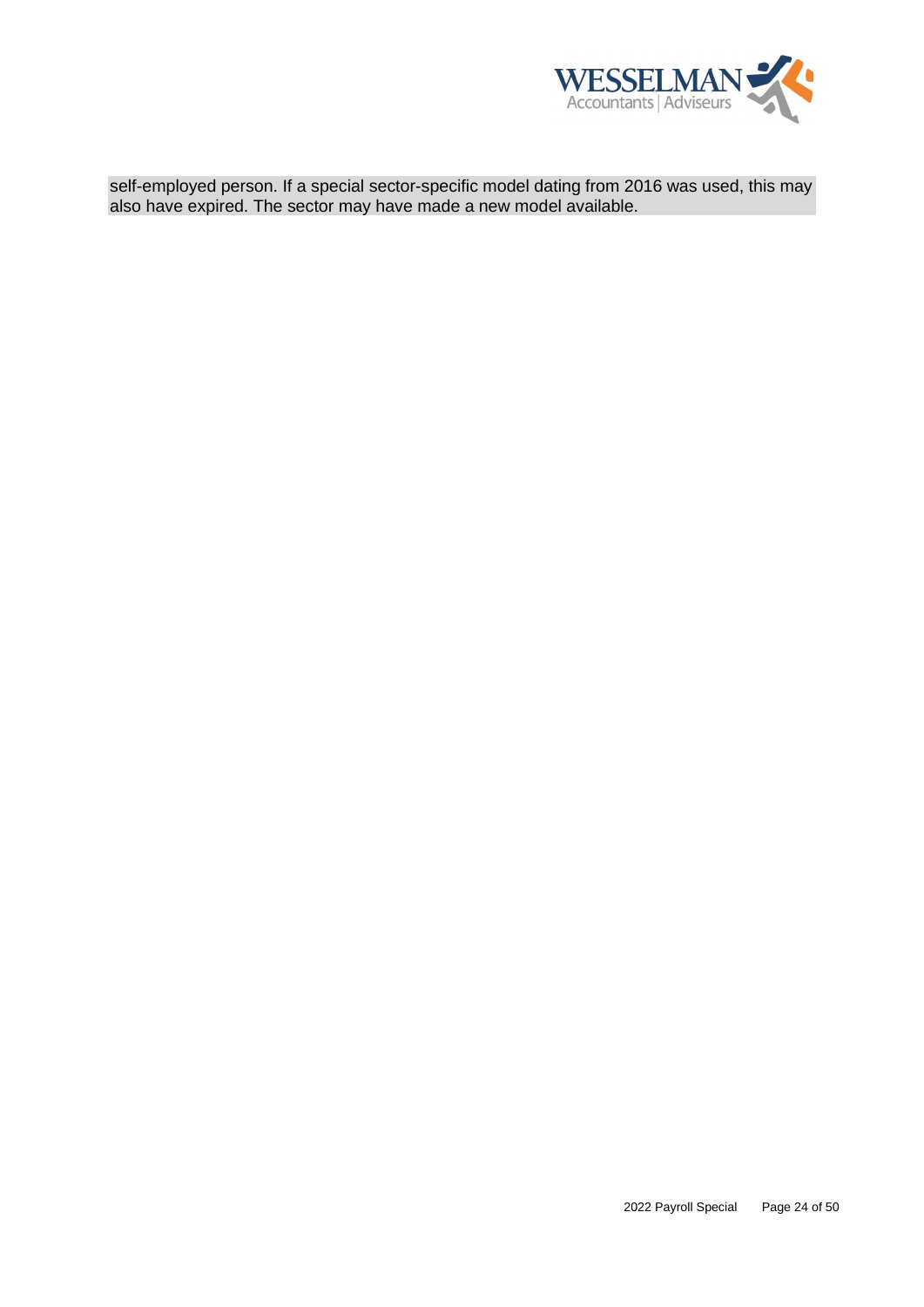

self-employed person. If a special sector-specific model dating from 2016 was used, this may also have expired. The sector may have made a new model available.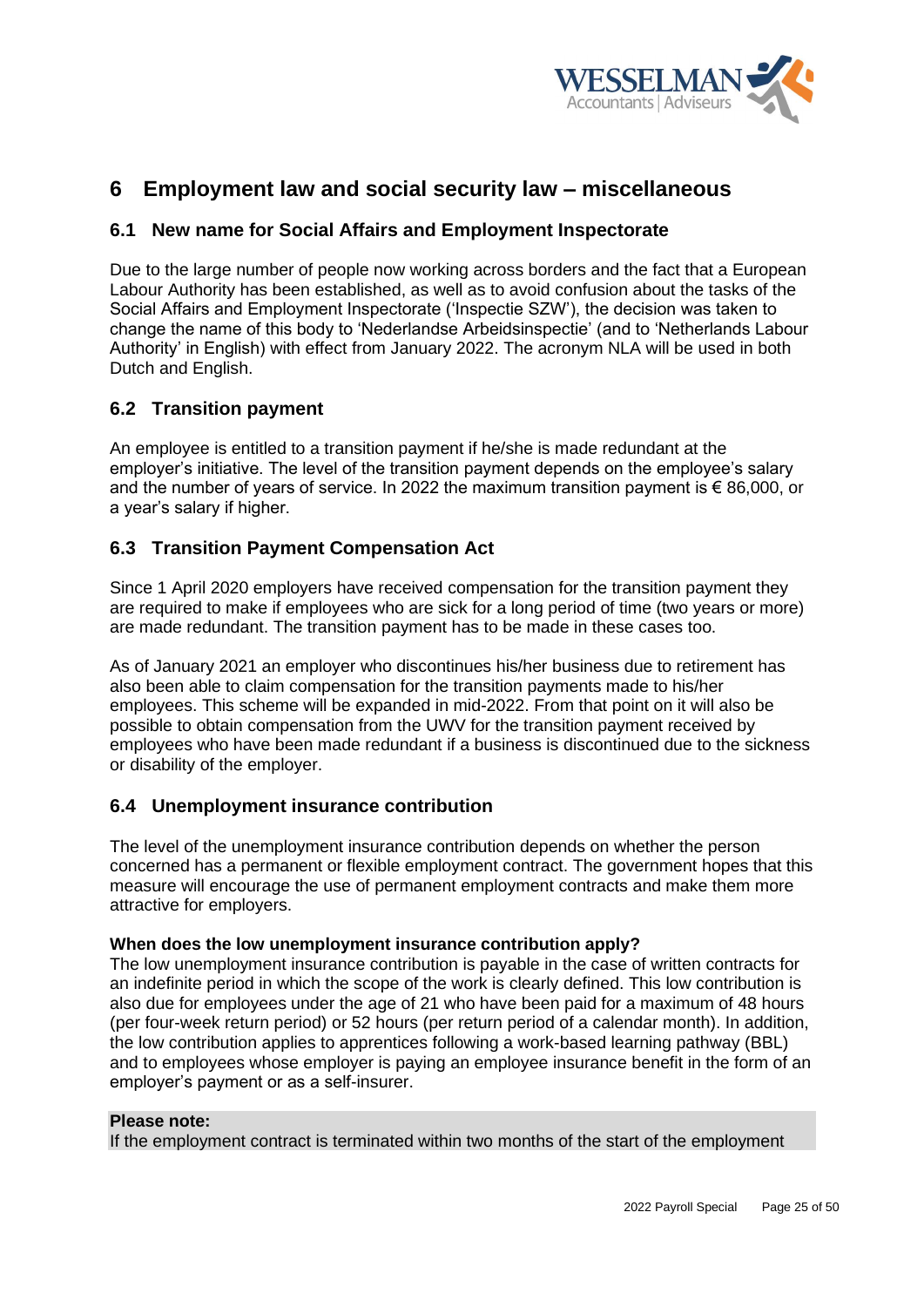

# <span id="page-24-0"></span>**6 Employment law and social security law – miscellaneous**

# <span id="page-24-1"></span>**6.1 New name for Social Affairs and Employment Inspectorate**

Due to the large number of people now working across borders and the fact that a European Labour Authority has been established, as well as to avoid confusion about the tasks of the Social Affairs and Employment Inspectorate ('Inspectie SZW'), the decision was taken to change the name of this body to 'Nederlandse Arbeidsinspectie' (and to 'Netherlands Labour Authority' in English) with effect from January 2022. The acronym NLA will be used in both Dutch and English.

# <span id="page-24-2"></span>**6.2 Transition payment**

An employee is entitled to a transition payment if he/she is made redundant at the employer's initiative. The level of the transition payment depends on the employee's salary and the number of years of service. In 2022 the maximum transition payment is € 86,000, or a year's salary if higher.

# <span id="page-24-3"></span>**6.3 Transition Payment Compensation Act**

Since 1 April 2020 employers have received compensation for the transition payment they are required to make if employees who are sick for a long period of time (two years or more) are made redundant. The transition payment has to be made in these cases too.

As of January 2021 an employer who discontinues his/her business due to retirement has also been able to claim compensation for the transition payments made to his/her employees. This scheme will be expanded in mid-2022. From that point on it will also be possible to obtain compensation from the UWV for the transition payment received by employees who have been made redundant if a business is discontinued due to the sickness or disability of the employer.

# <span id="page-24-4"></span>**6.4 Unemployment insurance contribution**

The level of the unemployment insurance contribution depends on whether the person concerned has a permanent or flexible employment contract. The government hopes that this measure will encourage the use of permanent employment contracts and make them more attractive for employers.

#### **When does the low unemployment insurance contribution apply?**

The low unemployment insurance contribution is payable in the case of written contracts for an indefinite period in which the scope of the work is clearly defined. This low contribution is also due for employees under the age of 21 who have been paid for a maximum of 48 hours (per four-week return period) or 52 hours (per return period of a calendar month). In addition, the low contribution applies to apprentices following a work-based learning pathway (BBL) and to employees whose employer is paying an employee insurance benefit in the form of an employer's payment or as a self-insurer.

### **Please note:**

If the employment contract is terminated within two months of the start of the employment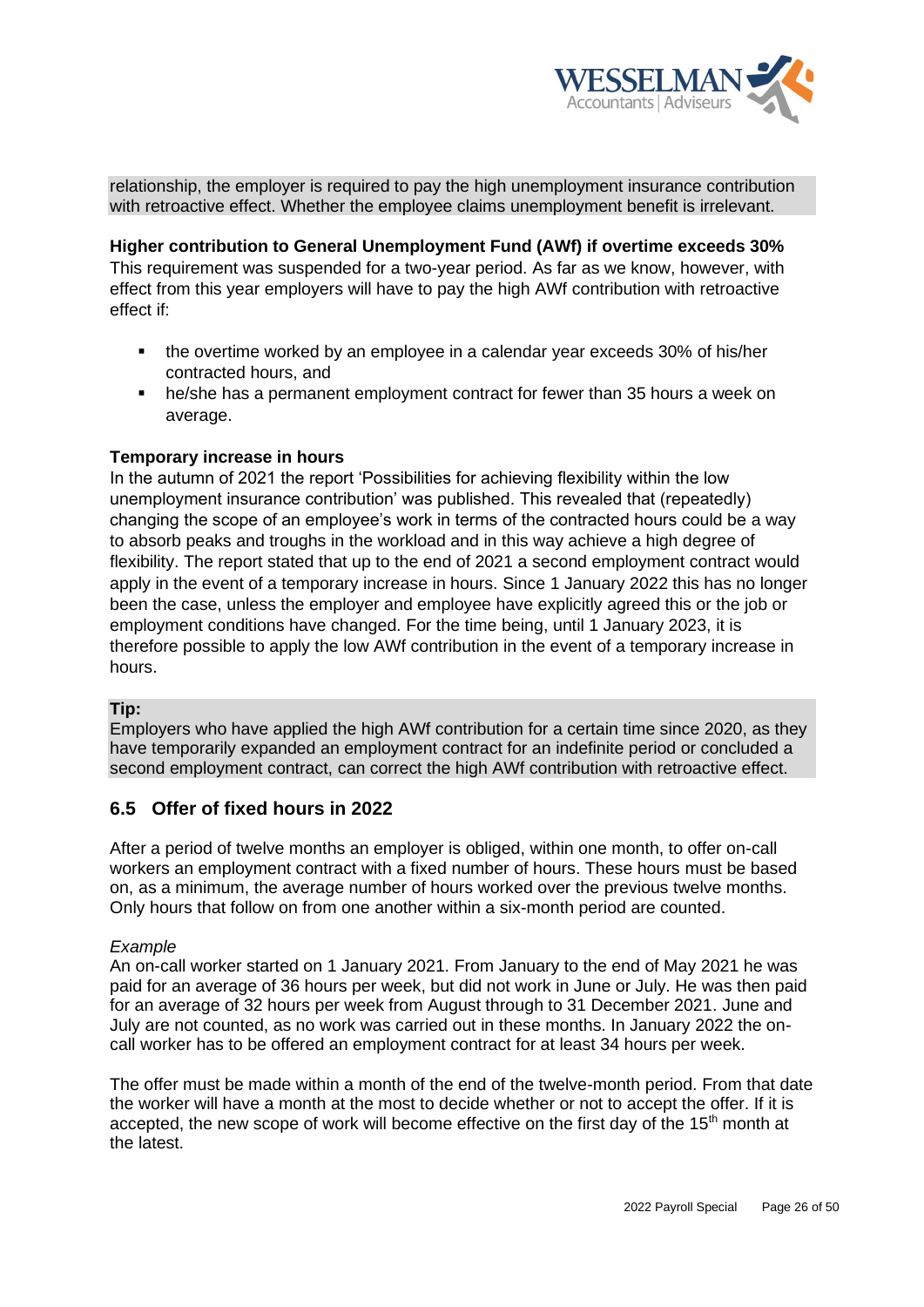

relationship, the employer is required to pay the high unemployment insurance contribution with retroactive effect. Whether the employee claims unemployment benefit is irrelevant.

**Higher contribution to General Unemployment Fund (AWf) if overtime exceeds 30%** This requirement was suspended for a two-year period. As far as we know, however, with effect from this year employers will have to pay the high AWf contribution with retroactive effect if:

- the overtime worked by an employee in a calendar year exceeds 30% of his/her contracted hours, and
- he/she has a permanent employment contract for fewer than 35 hours a week on average.

## **Temporary increase in hours**

In the autumn of 2021 the report 'Possibilities for achieving flexibility within the low unemployment insurance contribution' was published. This revealed that (repeatedly) changing the scope of an employee's work in terms of the contracted hours could be a way to absorb peaks and troughs in the workload and in this way achieve a high degree of flexibility. The report stated that up to the end of 2021 a second employment contract would apply in the event of a temporary increase in hours. Since 1 January 2022 this has no longer been the case, unless the employer and employee have explicitly agreed this or the job or employment conditions have changed. For the time being, until 1 January 2023, it is therefore possible to apply the low AWf contribution in the event of a temporary increase in hours.

#### **Tip:**

Employers who have applied the high AWf contribution for a certain time since 2020, as they have temporarily expanded an employment contract for an indefinite period or concluded a second employment contract, can correct the high AWf contribution with retroactive effect.

# <span id="page-25-0"></span>**6.5 Offer of fixed hours in 2022**

After a period of twelve months an employer is obliged, within one month, to offer on-call workers an employment contract with a fixed number of hours. These hours must be based on, as a minimum, the average number of hours worked over the previous twelve months. Only hours that follow on from one another within a six-month period are counted.

#### *Example*

An on-call worker started on 1 January 2021. From January to the end of May 2021 he was paid for an average of 36 hours per week, but did not work in June or July. He was then paid for an average of 32 hours per week from August through to 31 December 2021. June and July are not counted, as no work was carried out in these months. In January 2022 the oncall worker has to be offered an employment contract for at least 34 hours per week.

The offer must be made within a month of the end of the twelve-month period. From that date the worker will have a month at the most to decide whether or not to accept the offer. If it is accepted, the new scope of work will become effective on the first day of the  $15<sup>th</sup>$  month at the latest.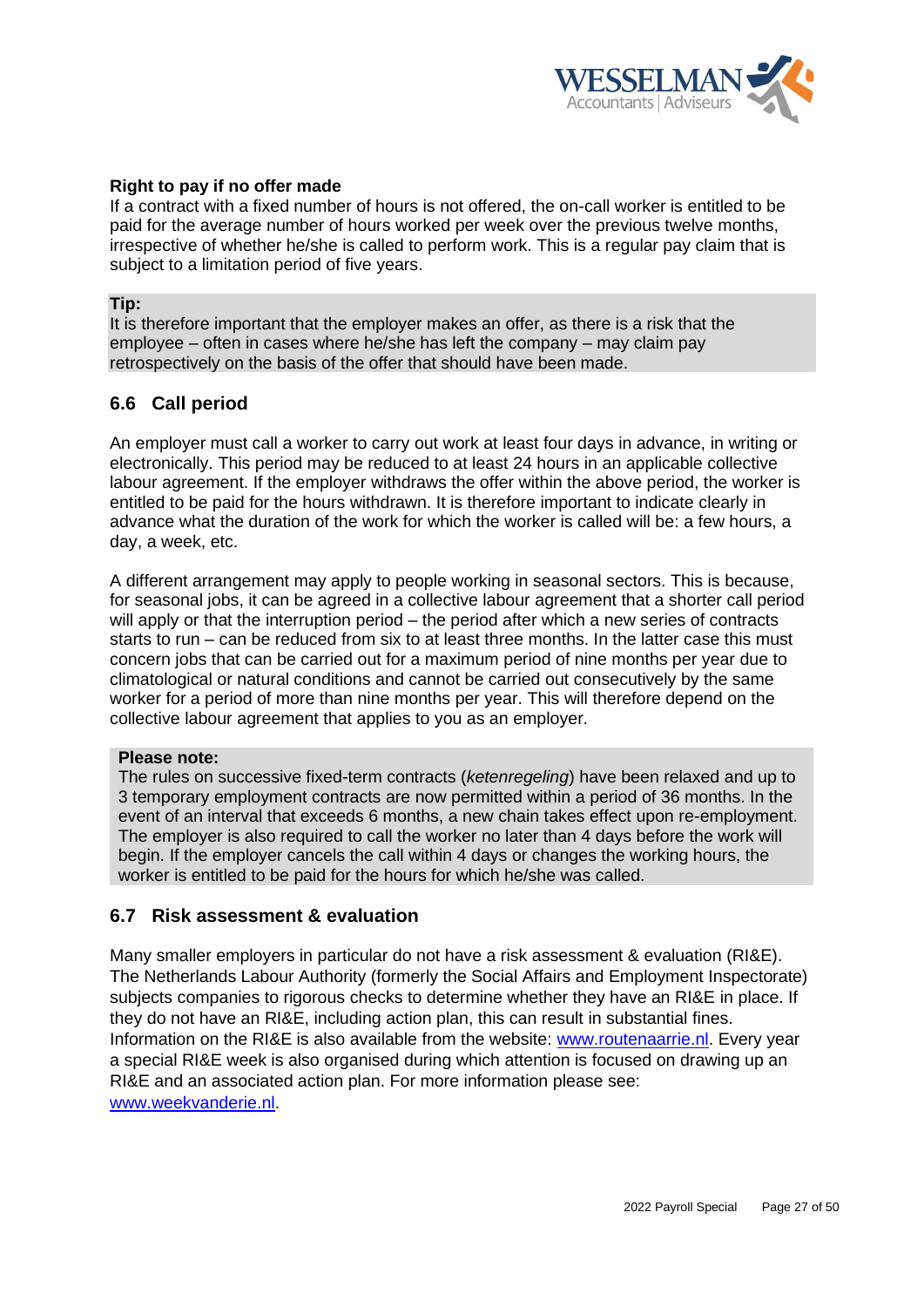

## **Right to pay if no offer made**

If a contract with a fixed number of hours is not offered, the on-call worker is entitled to be paid for the average number of hours worked per week over the previous twelve months, irrespective of whether he/she is called to perform work. This is a regular pay claim that is subject to a limitation period of five years.

#### **Tip:**

It is therefore important that the employer makes an offer, as there is a risk that the employee – often in cases where he/she has left the company – may claim pay retrospectively on the basis of the offer that should have been made.

# <span id="page-26-0"></span>**6.6 Call period**

An employer must call a worker to carry out work at least four days in advance, in writing or electronically. This period may be reduced to at least 24 hours in an applicable collective labour agreement. If the employer withdraws the offer within the above period, the worker is entitled to be paid for the hours withdrawn. It is therefore important to indicate clearly in advance what the duration of the work for which the worker is called will be: a few hours, a day, a week, etc.

A different arrangement may apply to people working in seasonal sectors. This is because, for seasonal jobs, it can be agreed in a collective labour agreement that a shorter call period will apply or that the interruption period – the period after which a new series of contracts starts to run – can be reduced from six to at least three months. In the latter case this must concern jobs that can be carried out for a maximum period of nine months per year due to climatological or natural conditions and cannot be carried out consecutively by the same worker for a period of more than nine months per year. This will therefore depend on the collective labour agreement that applies to you as an employer.

#### **Please note:**

The rules on successive fixed-term contracts (*ketenregeling*) have been relaxed and up to 3 temporary employment contracts are now permitted within a period of 36 months. In the event of an interval that exceeds 6 months, a new chain takes effect upon re-employment. The employer is also required to call the worker no later than 4 days before the work will begin. If the employer cancels the call within 4 days or changes the working hours, the worker is entitled to be paid for the hours for which he/she was called.

# <span id="page-26-1"></span>**6.7 Risk assessment & evaluation**

Many smaller employers in particular do not have a risk assessment & evaluation (RI&E). The Netherlands Labour Authority (formerly the Social Affairs and Employment Inspectorate) subjects companies to rigorous checks to determine whether they have an RI&E in place. If they do not have an RI&E, including action plan, this can result in substantial fines. Information on the RI&E is also available from the website: [www.routenaarrie.nl.](http://www.routenaarrie.nl/) Every year a special RI&E week is also organised during which attention is focused on drawing up an RI&E and an associated action plan. For more information please see: [www.weekvanderie.nl.](http://www.weekvanderie.nl/)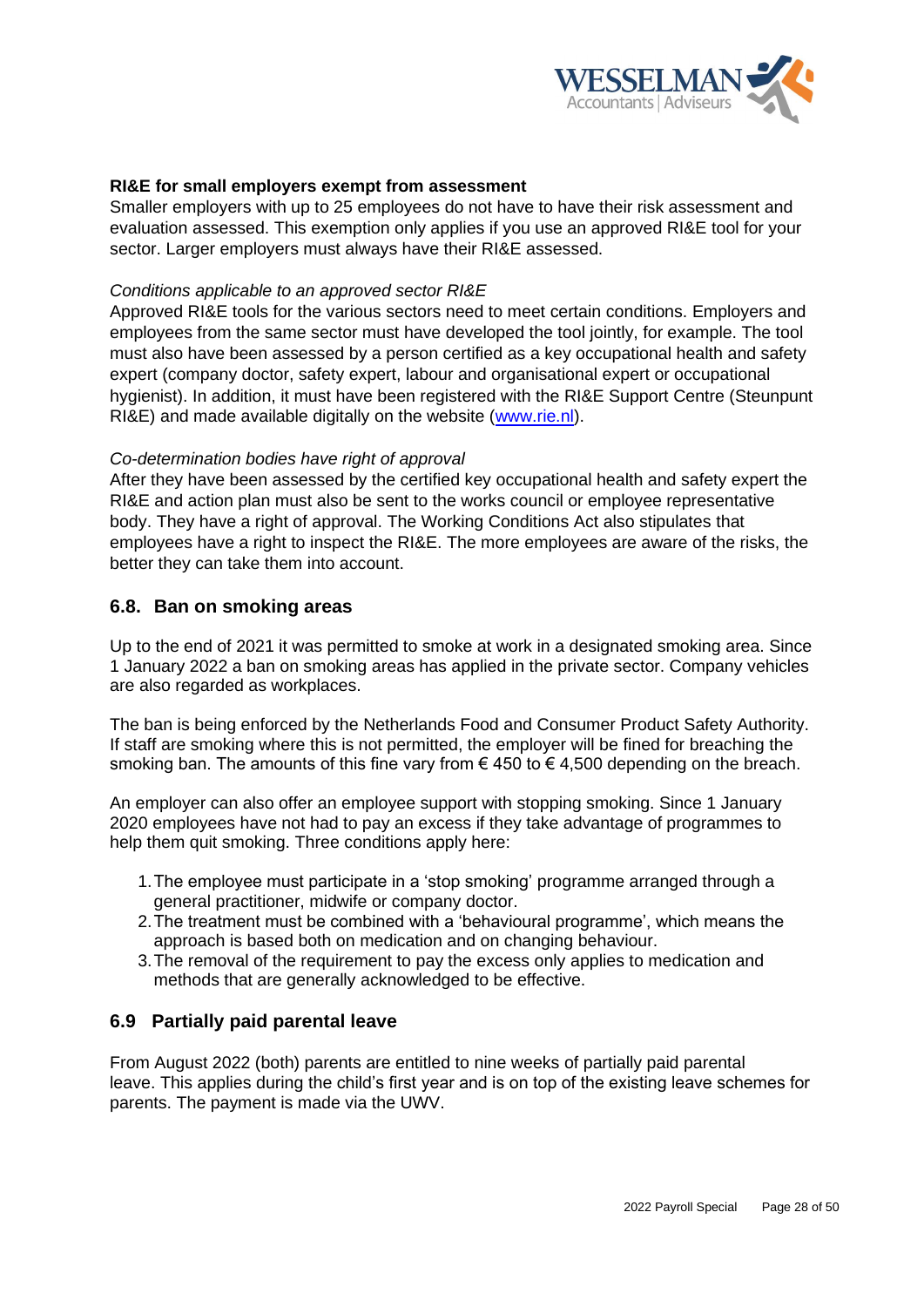

## **RI&E for small employers exempt from assessment**

Smaller employers with up to 25 employees do not have to have their risk assessment and evaluation assessed. This exemption only applies if you use an approved RI&E tool for your sector. Larger employers must always have their RI&E assessed.

#### *Conditions applicable to an approved sector RI&E*

Approved RI&E tools for the various sectors need to meet certain conditions. Employers and employees from the same sector must have developed the tool jointly, for example. The tool must also have been assessed by a person certified as a key occupational health and safety expert (company doctor, safety expert, labour and organisational expert or occupational hygienist). In addition, it must have been registered with the RI&E Support Centre (Steunpunt RI&E) and made available digitally on the website [\(www.rie.nl\)](http://www.rie.nl/).

#### *Co-determination bodies have right of approval*

After they have been assessed by the certified key occupational health and safety expert the RI&E and action plan must also be sent to the works council or employee representative body. They have a right of approval. The Working Conditions Act also stipulates that employees have a right to inspect the RI&E. The more employees are aware of the risks, the better they can take them into account.

### <span id="page-27-0"></span>**6.8. Ban on smoking areas**

Up to the end of 2021 it was permitted to smoke at work in a designated smoking area. Since 1 January 2022 a ban on smoking areas has applied in the private sector. Company vehicles are also regarded as workplaces.

The ban is being enforced by the Netherlands Food and Consumer Product Safety Authority. If staff are smoking where this is not permitted, the employer will be fined for breaching the smoking ban. The amounts of this fine vary from  $\epsilon$  450 to  $\epsilon$  4,500 depending on the breach.

An employer can also offer an employee support with stopping smoking. Since 1 January 2020 employees have not had to pay an excess if they take advantage of programmes to help them quit smoking. Three conditions apply here:

- 1.The employee must participate in a 'stop smoking' programme arranged through a general practitioner, midwife or company doctor.
- 2.The treatment must be combined with a 'behavioural programme', which means the approach is based both on medication and on changing behaviour.
- 3.The removal of the requirement to pay the excess only applies to medication and methods that are generally acknowledged to be effective.

#### <span id="page-27-1"></span>**6.9 Partially paid parental leave**

From August 2022 (both) parents are entitled to nine weeks of partially paid parental leave. This applies during the child's first year and is on top of the existing leave schemes for parents. The payment is made via the UWV.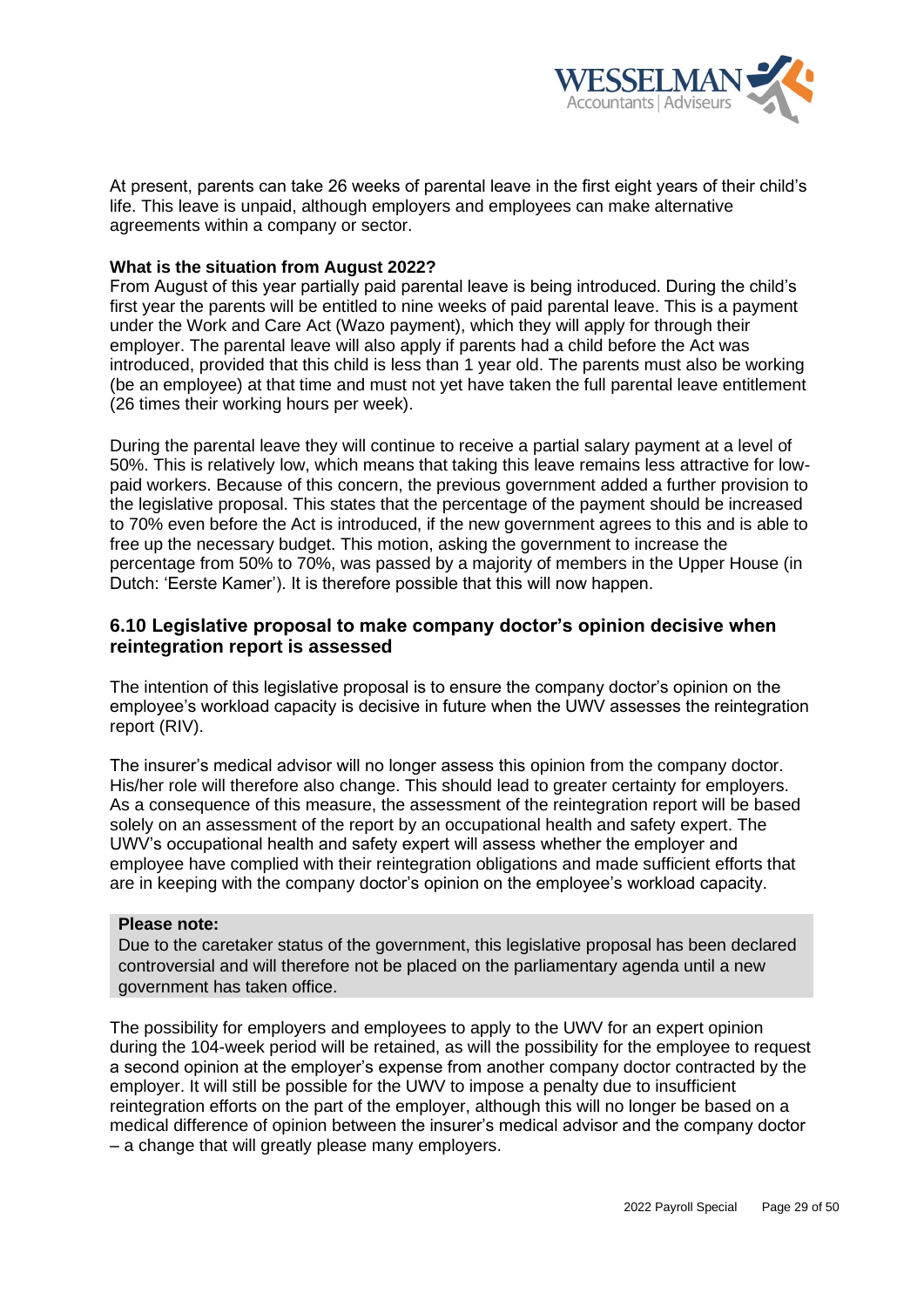

At present, parents can take 26 weeks of parental leave in the first eight years of their child's life. This leave is unpaid, although employers and employees can make alternative agreements within a company or sector.

### **What is the situation from August 2022?**

From August of this year partially paid parental leave is being introduced. During the child's first year the parents will be entitled to nine weeks of paid parental leave. This is a payment under the Work and Care Act (Wazo payment), which they will apply for through their employer. The parental leave will also apply if parents had a child before the Act was introduced, provided that this child is less than 1 year old. The parents must also be working (be an employee) at that time and must not yet have taken the full parental leave entitlement (26 times their working hours per week).

During the parental leave they will continue to receive a partial salary payment at a level of 50%. This is relatively low, which means that taking this leave remains less attractive for lowpaid workers. Because of this concern, the previous government added a further provision to the legislative proposal. This states that the percentage of the payment should be increased to 70% even before the Act is introduced, if the new government agrees to this and is able to free up the necessary budget. This motion, asking the government to increase the percentage from 50% to 70%, was passed by a majority of members in the Upper House (in Dutch: 'Eerste Kamer'). It is therefore possible that this will now happen.

# <span id="page-28-0"></span>**6.10 Legislative proposal to make company doctor's opinion decisive when reintegration report is assessed**

The intention of this legislative proposal is to ensure the company doctor's opinion on the employee's workload capacity is decisive in future when the UWV assesses the reintegration report (RIV).

The insurer's medical advisor will no longer assess this opinion from the company doctor. His/her role will therefore also change. This should lead to greater certainty for employers. As a consequence of this measure, the assessment of the reintegration report will be based solely on an assessment of the report by an occupational health and safety expert. The UWV's occupational health and safety expert will assess whether the employer and employee have complied with their reintegration obligations and made sufficient efforts that are in keeping with the company doctor's opinion on the employee's workload capacity.

#### **Please note:**

Due to the caretaker status of the government, this legislative proposal has been declared controversial and will therefore not be placed on the parliamentary agenda until a new government has taken office.

The possibility for employers and employees to apply to the UWV for an expert opinion during the 104-week period will be retained, as will the possibility for the employee to request a second opinion at the employer's expense from another company doctor contracted by the employer. It will still be possible for the UWV to impose a penalty due to insufficient reintegration efforts on the part of the employer, although this will no longer be based on a medical difference of opinion between the insurer's medical advisor and the company doctor – a change that will greatly please many employers.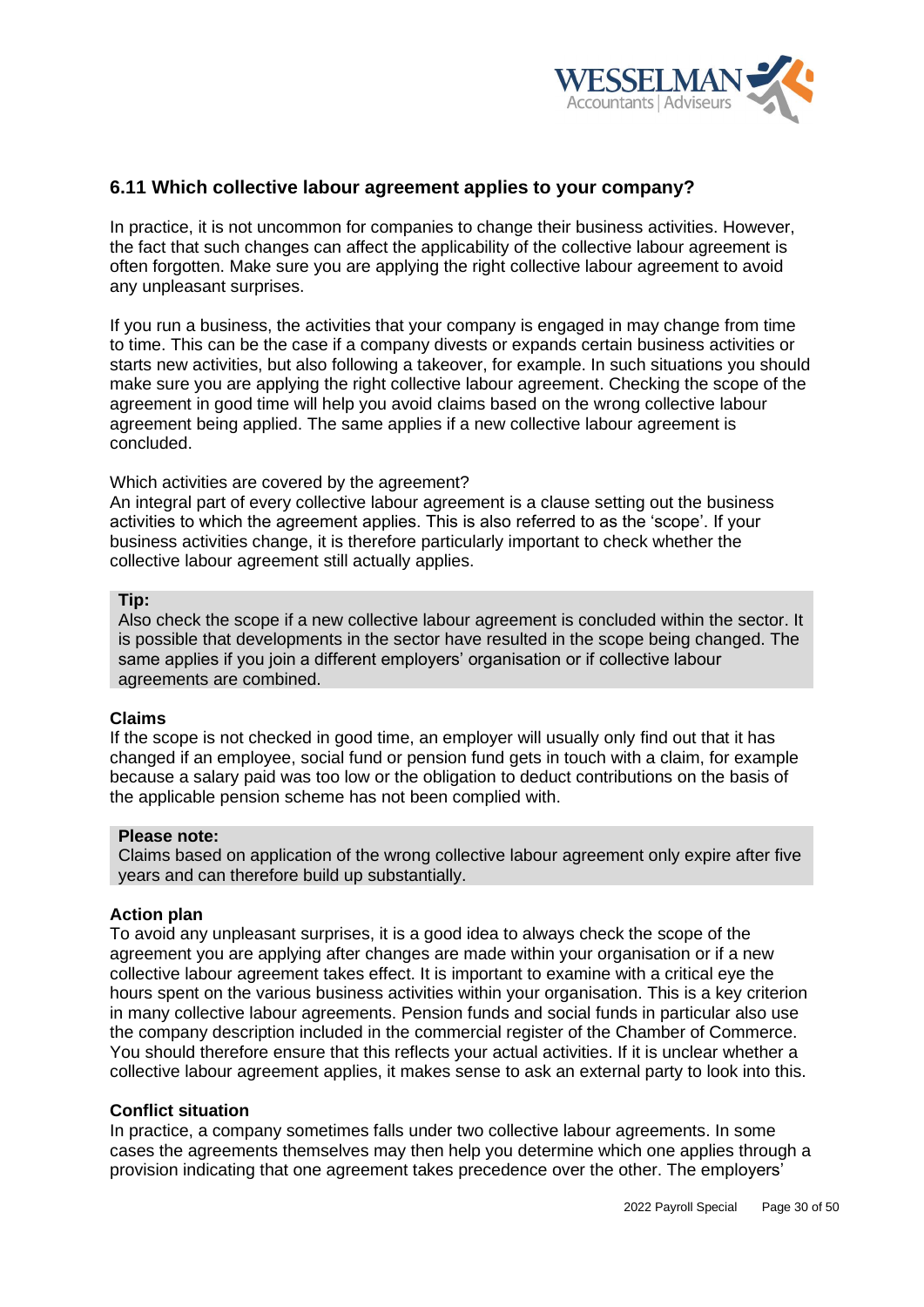

# <span id="page-29-0"></span>**6.11 Which collective labour agreement applies to your company?**

In practice, it is not uncommon for companies to change their business activities. However, the fact that such changes can affect the applicability of the collective labour agreement is often forgotten. Make sure you are applying the right collective labour agreement to avoid any unpleasant surprises.

If you run a business, the activities that your company is engaged in may change from time to time. This can be the case if a company divests or expands certain business activities or starts new activities, but also following a takeover, for example. In such situations you should make sure you are applying the right collective labour agreement. Checking the scope of the agreement in good time will help you avoid claims based on the wrong collective labour agreement being applied. The same applies if a new collective labour agreement is concluded.

#### Which activities are covered by the agreement?

An integral part of every collective labour agreement is a clause setting out the business activities to which the agreement applies. This is also referred to as the 'scope'. If your business activities change, it is therefore particularly important to check whether the collective labour agreement still actually applies.

#### **Tip:**

Also check the scope if a new collective labour agreement is concluded within the sector. It is possible that developments in the sector have resulted in the scope being changed. The same applies if you join a different employers' organisation or if collective labour agreements are combined.

#### **Claims**

If the scope is not checked in good time, an employer will usually only find out that it has changed if an employee, social fund or pension fund gets in touch with a claim, for example because a salary paid was too low or the obligation to deduct contributions on the basis of the applicable pension scheme has not been complied with.

#### **Please note:**

Claims based on application of the wrong collective labour agreement only expire after five years and can therefore build up substantially.

### **Action plan**

To avoid any unpleasant surprises, it is a good idea to always check the scope of the agreement you are applying after changes are made within your organisation or if a new collective labour agreement takes effect. It is important to examine with a critical eye the hours spent on the various business activities within your organisation. This is a key criterion in many collective labour agreements. Pension funds and social funds in particular also use the company description included in the commercial register of the Chamber of Commerce. You should therefore ensure that this reflects your actual activities. If it is unclear whether a collective labour agreement applies, it makes sense to ask an external party to look into this.

#### **Conflict situation**

In practice, a company sometimes falls under two collective labour agreements. In some cases the agreements themselves may then help you determine which one applies through a provision indicating that one agreement takes precedence over the other. The employers'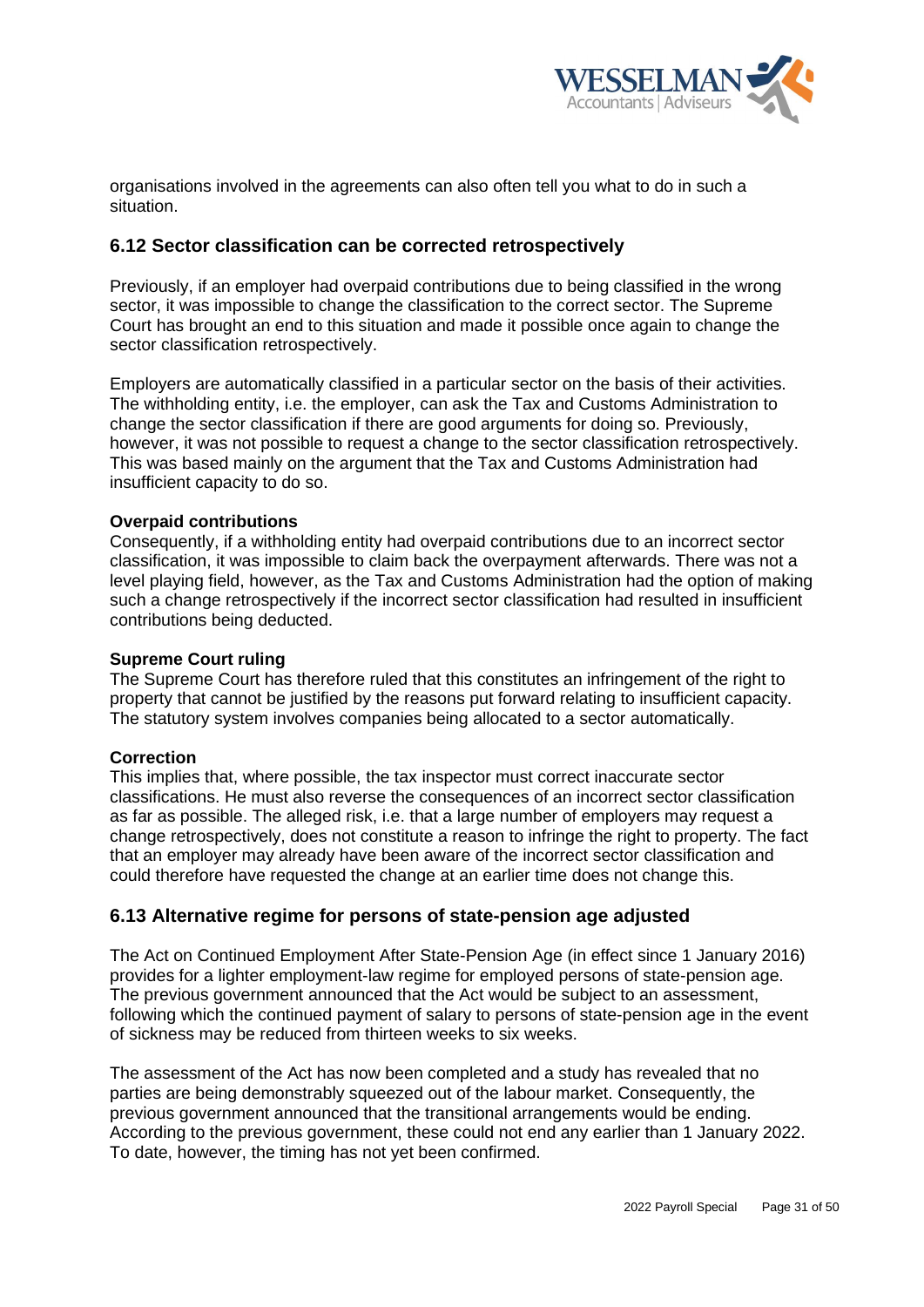

organisations involved in the agreements can also often tell you what to do in such a situation.

# <span id="page-30-0"></span>**6.12 Sector classification can be corrected retrospectively**

Previously, if an employer had overpaid contributions due to being classified in the wrong sector, it was impossible to change the classification to the correct sector. The Supreme Court has brought an end to this situation and made it possible once again to change the sector classification retrospectively.

Employers are automatically classified in a particular sector on the basis of their activities. The withholding entity, i.e. the employer, can ask the Tax and Customs Administration to change the sector classification if there are good arguments for doing so. Previously, however, it was not possible to request a change to the sector classification retrospectively. This was based mainly on the argument that the Tax and Customs Administration had insufficient capacity to do so.

## **Overpaid contributions**

Consequently, if a withholding entity had overpaid contributions due to an incorrect sector classification, it was impossible to claim back the overpayment afterwards. There was not a level playing field, however, as the Tax and Customs Administration had the option of making such a change retrospectively if the incorrect sector classification had resulted in insufficient contributions being deducted.

#### **Supreme Court ruling**

The Supreme Court has therefore ruled that this constitutes an infringement of the right to property that cannot be justified by the reasons put forward relating to insufficient capacity. The statutory system involves companies being allocated to a sector automatically.

# **Correction**

This implies that, where possible, the tax inspector must correct inaccurate sector classifications. He must also reverse the consequences of an incorrect sector classification as far as possible. The alleged risk, i.e. that a large number of employers may request a change retrospectively, does not constitute a reason to infringe the right to property. The fact that an employer may already have been aware of the incorrect sector classification and could therefore have requested the change at an earlier time does not change this.

# <span id="page-30-1"></span>**6.13 Alternative regime for persons of state-pension age adjusted**

The Act on Continued Employment After State-Pension Age (in effect since 1 January 2016) provides for a lighter employment-law regime for employed persons of state-pension age. The previous government announced that the Act would be subject to an assessment, following which the continued payment of salary to persons of state-pension age in the event of sickness may be reduced from thirteen weeks to six weeks.

The assessment of the Act has now been completed and a study has revealed that no parties are being demonstrably squeezed out of the labour market. Consequently, the previous government announced that the transitional arrangements would be ending. According to the previous government, these could not end any earlier than 1 January 2022. To date, however, the timing has not yet been confirmed.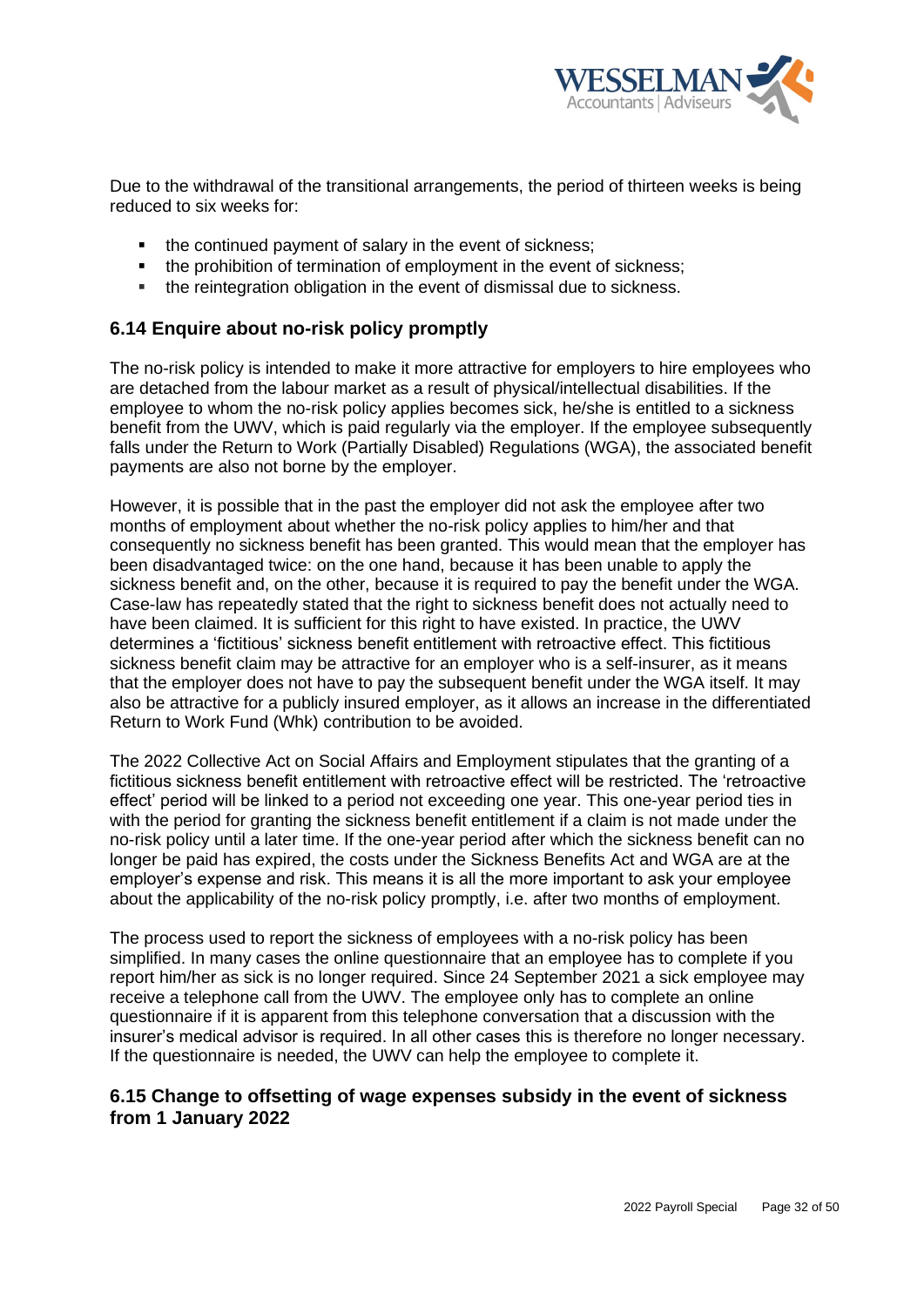

Due to the withdrawal of the transitional arrangements, the period of thirteen weeks is being reduced to six weeks for:

- the continued payment of salary in the event of sickness;
- the prohibition of termination of employment in the event of sickness;
- the reintegration obligation in the event of dismissal due to sickness.

# <span id="page-31-0"></span>**6.14 Enquire about no-risk policy promptly**

The no-risk policy is intended to make it more attractive for employers to hire employees who are detached from the labour market as a result of physical/intellectual disabilities. If the employee to whom the no-risk policy applies becomes sick, he/she is entitled to a sickness benefit from the UWV, which is paid regularly via the employer. If the employee subsequently falls under the Return to Work (Partially Disabled) Regulations (WGA), the associated benefit payments are also not borne by the employer.

However, it is possible that in the past the employer did not ask the employee after two months of employment about whether the no-risk policy applies to him/her and that consequently no sickness benefit has been granted. This would mean that the employer has been disadvantaged twice: on the one hand, because it has been unable to apply the sickness benefit and, on the other, because it is required to pay the benefit under the WGA. Case-law has repeatedly stated that the right to sickness benefit does not actually need to have been claimed. It is sufficient for this right to have existed. In practice, the UWV determines a 'fictitious' sickness benefit entitlement with retroactive effect. This fictitious sickness benefit claim may be attractive for an employer who is a self-insurer, as it means that the employer does not have to pay the subsequent benefit under the WGA itself. It may also be attractive for a publicly insured employer, as it allows an increase in the differentiated Return to Work Fund (Whk) contribution to be avoided.

The 2022 Collective Act on Social Affairs and Employment stipulates that the granting of a fictitious sickness benefit entitlement with retroactive effect will be restricted. The 'retroactive effect' period will be linked to a period not exceeding one year. This one-year period ties in with the period for granting the sickness benefit entitlement if a claim is not made under the no-risk policy until a later time. If the one-year period after which the sickness benefit can no longer be paid has expired, the costs under the Sickness Benefits Act and WGA are at the employer's expense and risk. This means it is all the more important to ask your employee about the applicability of the no-risk policy promptly, i.e. after two months of employment.

The process used to report the sickness of employees with a no-risk policy has been simplified. In many cases the online questionnaire that an employee has to complete if you report him/her as sick is no longer required. Since 24 September 2021 a sick employee may receive a telephone call from the UWV. The employee only has to complete an online questionnaire if it is apparent from this telephone conversation that a discussion with the insurer's medical advisor is required. In all other cases this is therefore no longer necessary. If the questionnaire is needed, the UWV can help the employee to complete it.

# **6.15 Change to offsetting of wage expenses subsidy in the event of sickness from 1 January 2022**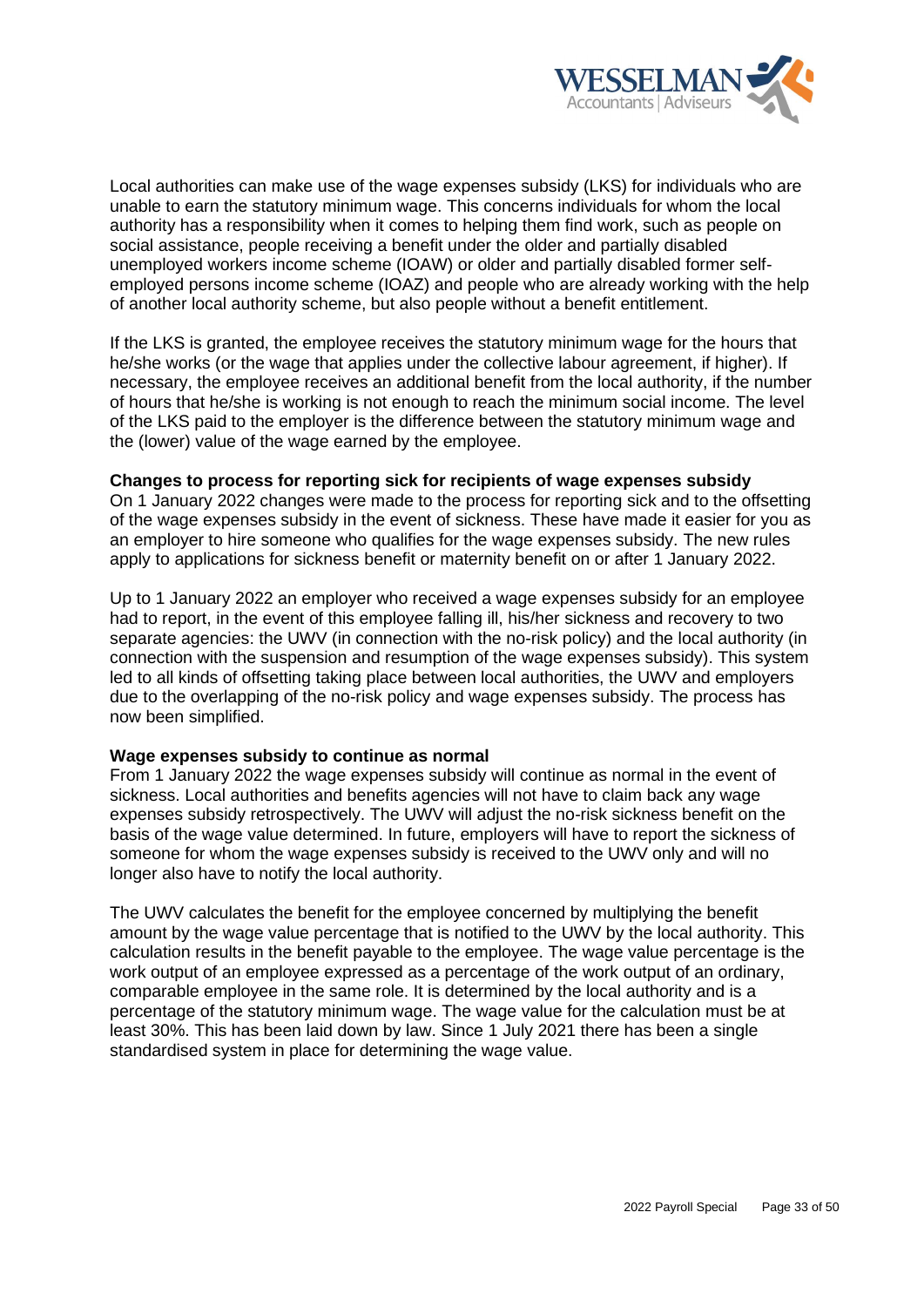

Local authorities can make use of the wage expenses subsidy (LKS) for individuals who are unable to earn the statutory minimum wage. This concerns individuals for whom the local authority has a responsibility when it comes to helping them find work, such as people on social assistance, people receiving a benefit under the older and partially disabled unemployed workers income scheme (IOAW) or older and partially disabled former selfemployed persons income scheme (IOAZ) and people who are already working with the help of another local authority scheme, but also people without a benefit entitlement.

If the LKS is granted, the employee receives the statutory minimum wage for the hours that he/she works (or the wage that applies under the collective labour agreement, if higher). If necessary, the employee receives an additional benefit from the local authority, if the number of hours that he/she is working is not enough to reach the minimum social income. The level of the LKS paid to the employer is the difference between the statutory minimum wage and the (lower) value of the wage earned by the employee.

#### **Changes to process for reporting sick for recipients of wage expenses subsidy**

On 1 January 2022 changes were made to the process for reporting sick and to the offsetting of the wage expenses subsidy in the event of sickness. These have made it easier for you as an employer to hire someone who qualifies for the wage expenses subsidy. The new rules apply to applications for sickness benefit or maternity benefit on or after 1 January 2022.

Up to 1 January 2022 an employer who received a wage expenses subsidy for an employee had to report, in the event of this employee falling ill, his/her sickness and recovery to two separate agencies: the UWV (in connection with the no-risk policy) and the local authority (in connection with the suspension and resumption of the wage expenses subsidy). This system led to all kinds of offsetting taking place between local authorities, the UWV and employers due to the overlapping of the no-risk policy and wage expenses subsidy. The process has now been simplified.

#### **Wage expenses subsidy to continue as normal**

From 1 January 2022 the wage expenses subsidy will continue as normal in the event of sickness. Local authorities and benefits agencies will not have to claim back any wage expenses subsidy retrospectively. The UWV will adjust the no-risk sickness benefit on the basis of the wage value determined. In future, employers will have to report the sickness of someone for whom the wage expenses subsidy is received to the UWV only and will no longer also have to notify the local authority.

The UWV calculates the benefit for the employee concerned by multiplying the benefit amount by the wage value percentage that is notified to the UWV by the local authority. This calculation results in the benefit payable to the employee. The wage value percentage is the work output of an employee expressed as a percentage of the work output of an ordinary, comparable employee in the same role. It is determined by the local authority and is a percentage of the statutory minimum wage. The wage value for the calculation must be at least 30%. This has been laid down by law. Since 1 July 2021 there has been a single standardised system in place for determining the wage value.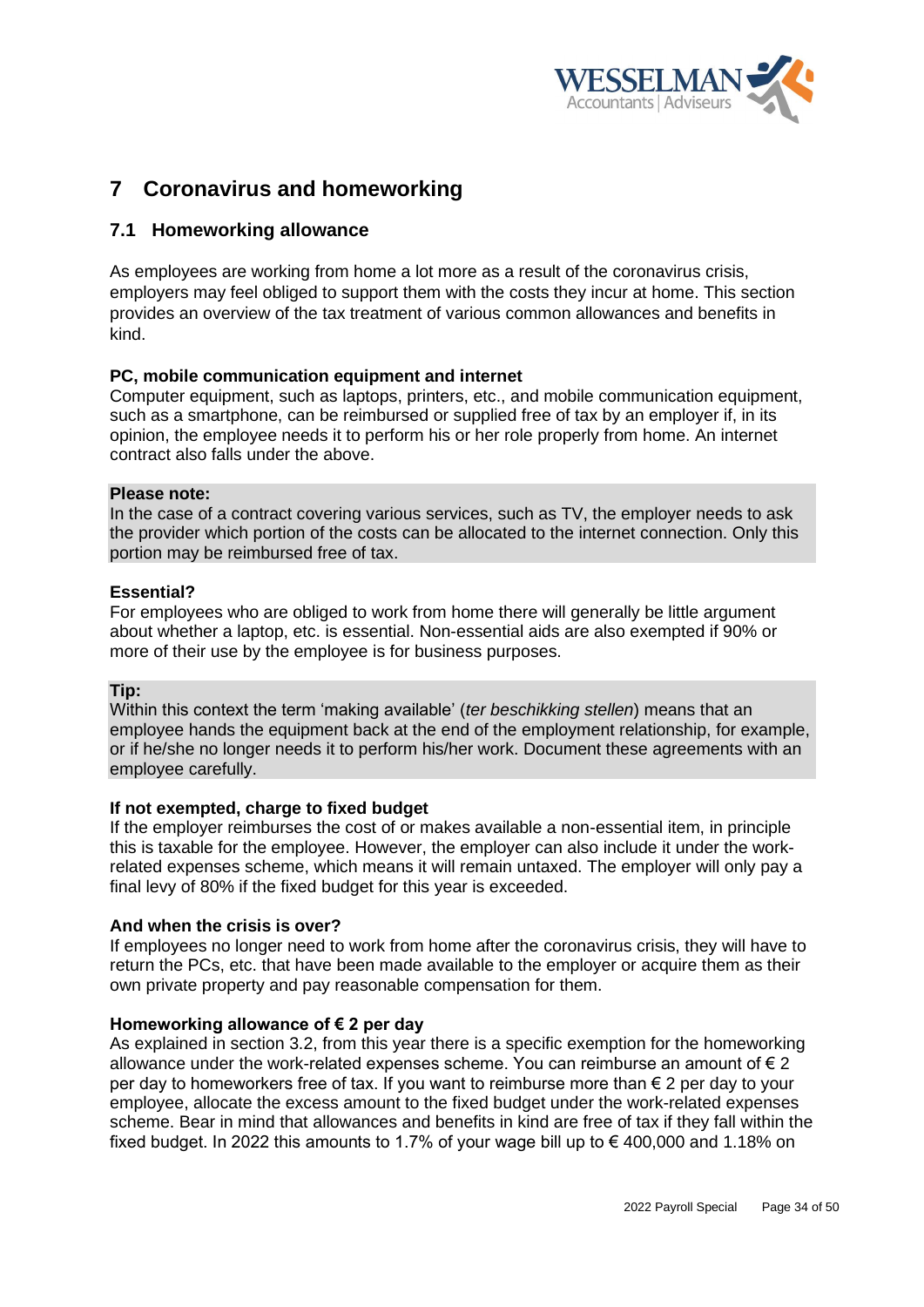

# <span id="page-33-0"></span>**7 Coronavirus and homeworking**

# <span id="page-33-1"></span>**7.1 Homeworking allowance**

As employees are working from home a lot more as a result of the coronavirus crisis, employers may feel obliged to support them with the costs they incur at home. This section provides an overview of the tax treatment of various common allowances and benefits in kind.

# **PC, mobile communication equipment and internet**

Computer equipment, such as laptops, printers, etc., and mobile communication equipment, such as a smartphone, can be reimbursed or supplied free of tax by an employer if, in its opinion, the employee needs it to perform his or her role properly from home. An internet contract also falls under the above.

#### **Please note:**

In the case of a contract covering various services, such as TV, the employer needs to ask the provider which portion of the costs can be allocated to the internet connection. Only this portion may be reimbursed free of tax.

## **Essential?**

For employees who are obliged to work from home there will generally be little argument about whether a laptop, etc. is essential. Non-essential aids are also exempted if 90% or more of their use by the employee is for business purposes.

# **Tip:**

Within this context the term 'making available' (*ter beschikking stellen*) means that an employee hands the equipment back at the end of the employment relationship, for example, or if he/she no longer needs it to perform his/her work. Document these agreements with an employee carefully.

# **If not exempted, charge to fixed budget**

If the employer reimburses the cost of or makes available a non-essential item, in principle this is taxable for the employee. However, the employer can also include it under the workrelated expenses scheme, which means it will remain untaxed. The employer will only pay a final levy of 80% if the fixed budget for this year is exceeded.

#### **And when the crisis is over?**

If employees no longer need to work from home after the coronavirus crisis, they will have to return the PCs, etc. that have been made available to the employer or acquire them as their own private property and pay reasonable compensation for them.

#### **Homeworking allowance of € 2 per day**

As explained in section 3.2, from this year there is a specific exemption for the homeworking allowance under the work-related expenses scheme. You can reimburse an amount of  $\epsilon$  2 per day to homeworkers free of tax. If you want to reimburse more than € 2 per day to your employee, allocate the excess amount to the fixed budget under the work-related expenses scheme. Bear in mind that allowances and benefits in kind are free of tax if they fall within the fixed budget. In 2022 this amounts to 1.7% of your wage bill up to  $\epsilon$  400,000 and 1.18% on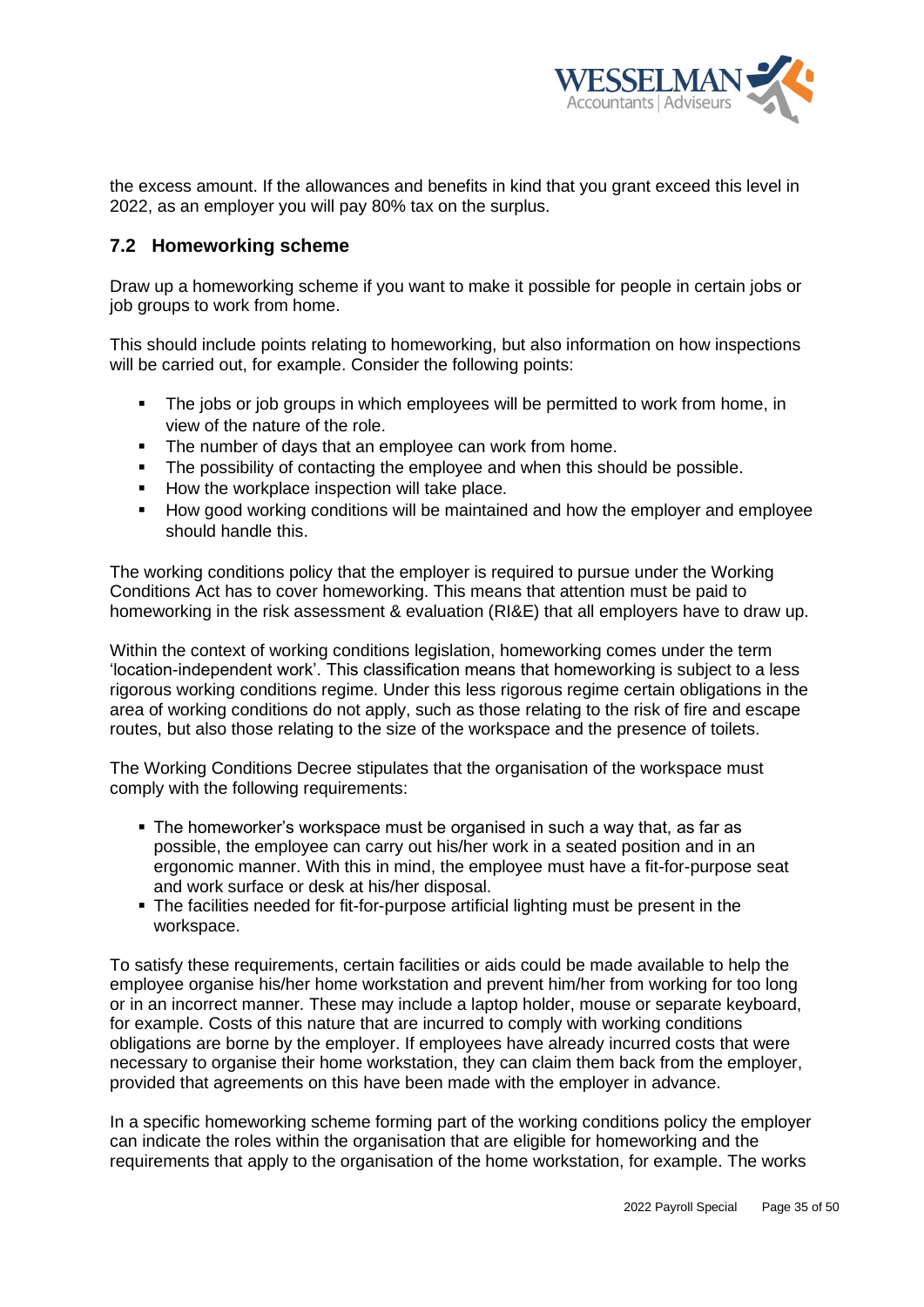

the excess amount. If the allowances and benefits in kind that you grant exceed this level in 2022, as an employer you will pay 80% tax on the surplus.

# <span id="page-34-0"></span>**7.2 Homeworking scheme**

Draw up a homeworking scheme if you want to make it possible for people in certain jobs or job groups to work from home.

This should include points relating to homeworking, but also information on how inspections will be carried out, for example. Consider the following points:

- The jobs or job groups in which employees will be permitted to work from home, in view of the nature of the role.
- The number of days that an employee can work from home.
- **•** The possibility of contacting the employee and when this should be possible.
- How the workplace inspection will take place.
- How good working conditions will be maintained and how the employer and employee should handle this.

The working conditions policy that the employer is required to pursue under the Working Conditions Act has to cover homeworking. This means that attention must be paid to homeworking in the risk assessment & evaluation (RI&E) that all employers have to draw up.

Within the context of working conditions legislation, homeworking comes under the term 'location-independent work'. This classification means that homeworking is subject to a less rigorous working conditions regime. Under this less rigorous regime certain obligations in the area of working conditions do not apply, such as those relating to the risk of fire and escape routes, but also those relating to the size of the workspace and the presence of toilets.

The Working Conditions Decree stipulates that the organisation of the workspace must comply with the following requirements:

- The homeworker's workspace must be organised in such a way that, as far as possible, the employee can carry out his/her work in a seated position and in an ergonomic manner. With this in mind, the employee must have a fit-for-purpose seat and work surface or desk at his/her disposal.
- The facilities needed for fit-for-purpose artificial lighting must be present in the workspace.

To satisfy these requirements, certain facilities or aids could be made available to help the employee organise his/her home workstation and prevent him/her from working for too long or in an incorrect manner. These may include a laptop holder, mouse or separate keyboard, for example. Costs of this nature that are incurred to comply with working conditions obligations are borne by the employer. If employees have already incurred costs that were necessary to organise their home workstation, they can claim them back from the employer, provided that agreements on this have been made with the employer in advance.

In a specific homeworking scheme forming part of the working conditions policy the employer can indicate the roles within the organisation that are eligible for homeworking and the requirements that apply to the organisation of the home workstation, for example. The works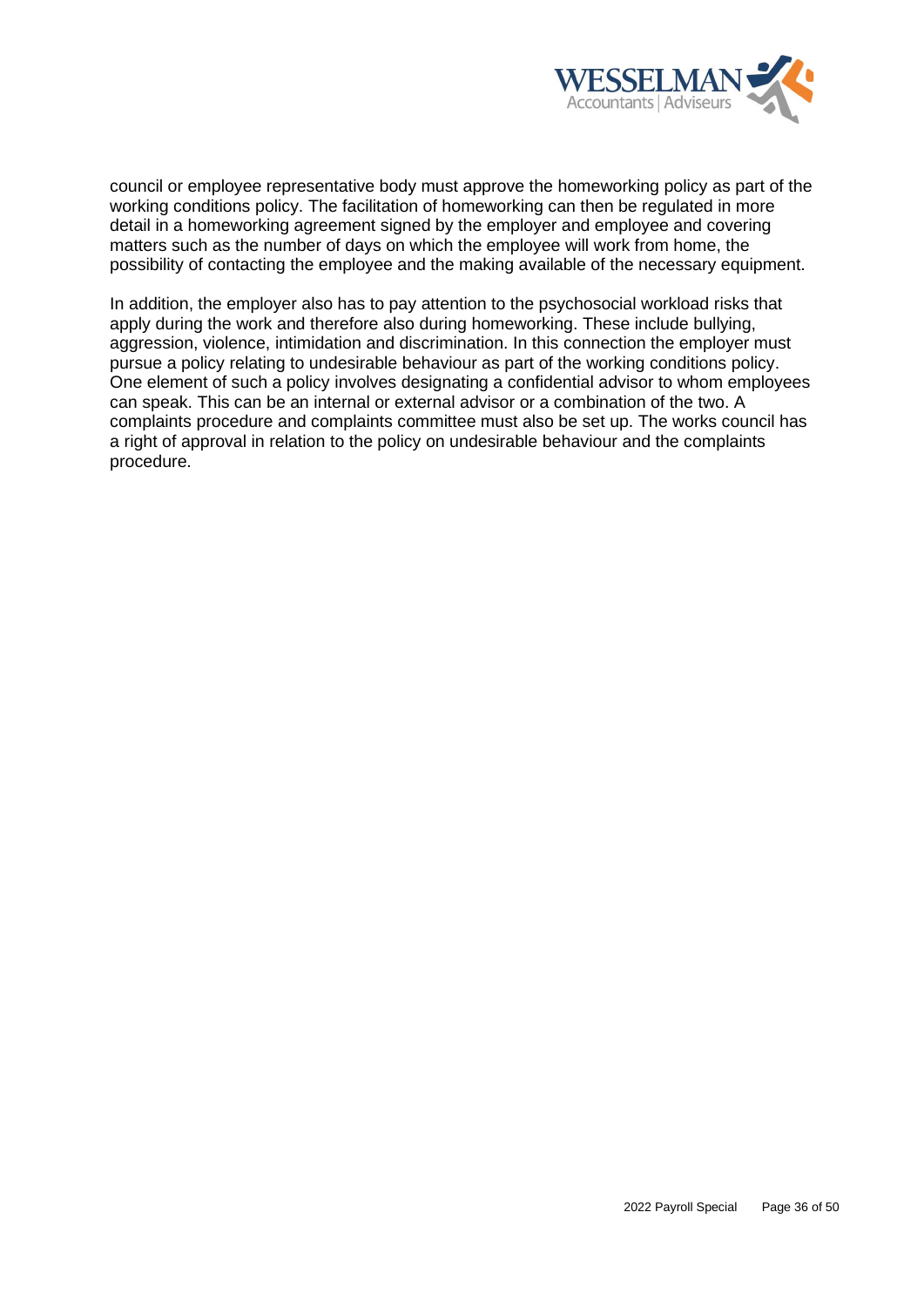

council or employee representative body must approve the homeworking policy as part of the working conditions policy. The facilitation of homeworking can then be regulated in more detail in a homeworking agreement signed by the employer and employee and covering matters such as the number of days on which the employee will work from home, the possibility of contacting the employee and the making available of the necessary equipment.

In addition, the employer also has to pay attention to the psychosocial workload risks that apply during the work and therefore also during homeworking. These include bullying, aggression, violence, intimidation and discrimination. In this connection the employer must pursue a policy relating to undesirable behaviour as part of the working conditions policy. One element of such a policy involves designating a confidential advisor to whom employees can speak. This can be an internal or external advisor or a combination of the two. A complaints procedure and complaints committee must also be set up. The works council has a right of approval in relation to the policy on undesirable behaviour and the complaints procedure.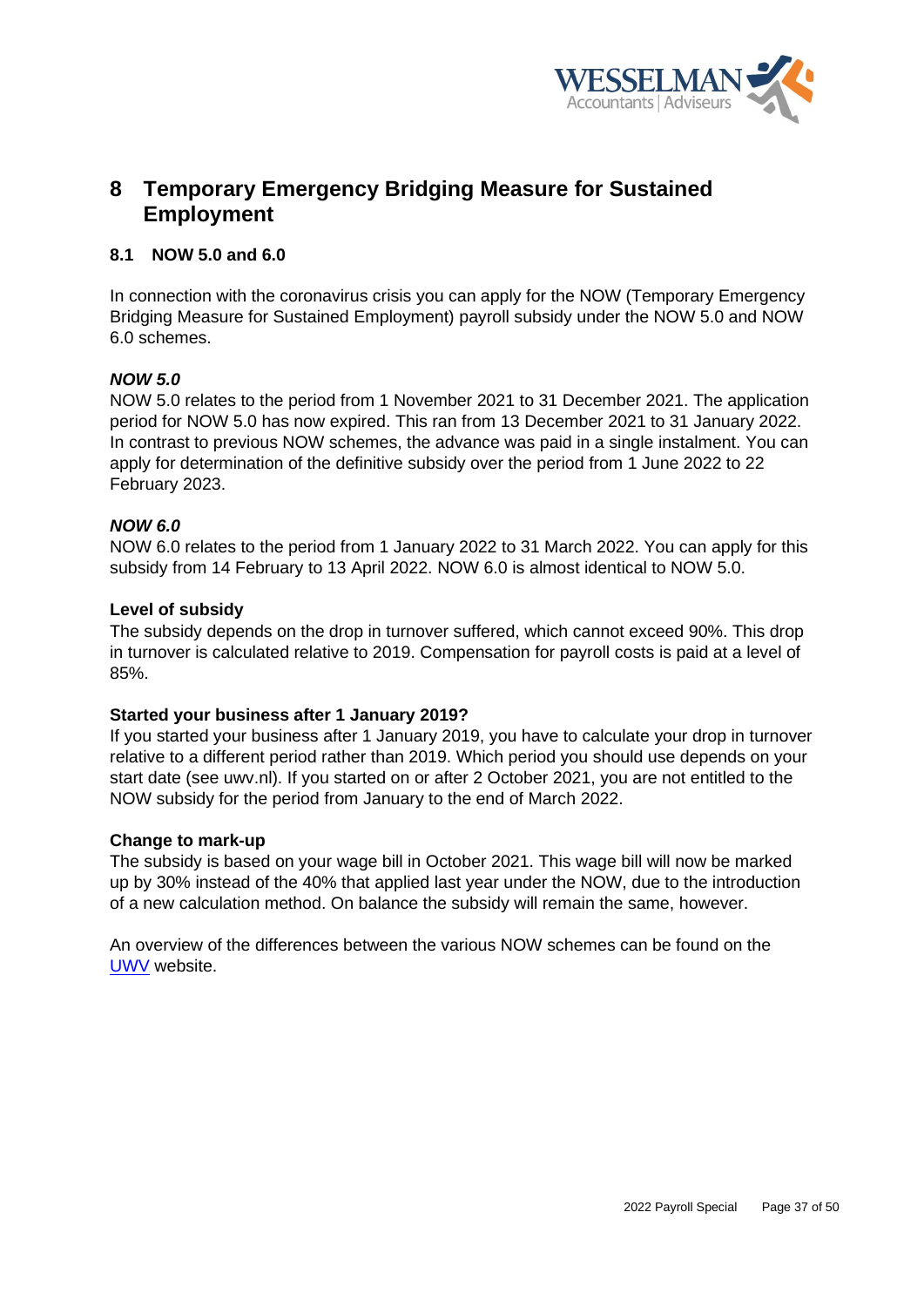

# <span id="page-36-0"></span>**8 Temporary Emergency Bridging Measure for Sustained Employment**

# <span id="page-36-1"></span>**8.1 NOW 5.0 and 6.0**

In connection with the coronavirus crisis you can apply for the NOW (Temporary Emergency Bridging Measure for Sustained Employment) payroll subsidy under the NOW 5.0 and NOW 6.0 schemes.

# *NOW 5.0*

NOW 5.0 relates to the period from 1 November 2021 to 31 December 2021. The application period for NOW 5.0 has now expired. This ran from 13 December 2021 to 31 January 2022. In contrast to previous NOW schemes, the advance was paid in a single instalment. You can apply for determination of the definitive subsidy over the period from 1 June 2022 to 22 February 2023.

## *NOW 6.0*

NOW 6.0 relates to the period from 1 January 2022 to 31 March 2022. You can apply for this subsidy from 14 February to 13 April 2022. NOW 6.0 is almost identical to NOW 5.0.

## **Level of subsidy**

The subsidy depends on the drop in turnover suffered, which cannot exceed 90%. This drop in turnover is calculated relative to 2019. Compensation for payroll costs is paid at a level of 85%.

#### **Started your business after 1 January 2019?**

If you started your business after 1 January 2019, you have to calculate your drop in turnover relative to a different period rather than 2019. Which period you should use depends on your start date (see uwv.nl). If you started on or after 2 October 2021, you are not entitled to the NOW subsidy for the period from January to the end of March 2022.

#### **Change to mark-up**

The subsidy is based on your wage bill in October 2021. This wage bill will now be marked up by 30% instead of the 40% that applied last year under the NOW, due to the introduction of a new calculation method. On balance the subsidy will remain the same, however.

An overview of the differences between the various NOW schemes can be found on the [UWV](https://www.uwv.nl/werkgevers/Images/overzicht-aanvraagperiodes-now.pdf) website.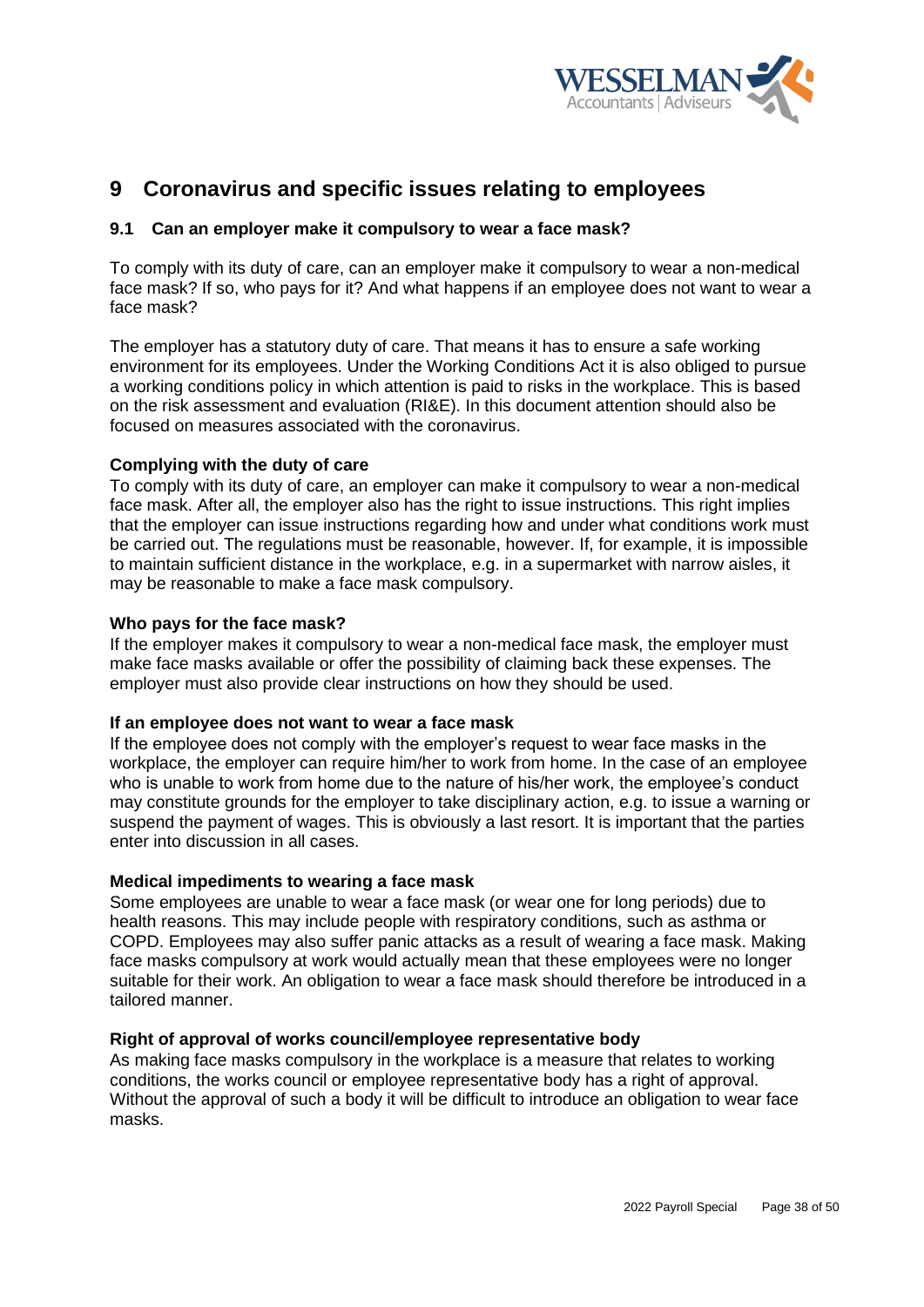

# <span id="page-37-0"></span>**9 Coronavirus and specific issues relating to employees**

# <span id="page-37-1"></span>**9.1 Can an employer make it compulsory to wear a face mask?**

To comply with its duty of care, can an employer make it compulsory to wear a non-medical face mask? If so, who pays for it? And what happens if an employee does not want to wear a face mask?

The employer has a statutory duty of care. That means it has to ensure a safe working environment for its employees. Under the Working Conditions Act it is also obliged to pursue a working conditions policy in which attention is paid to risks in the workplace. This is based on the risk assessment and evaluation (RI&E). In this document attention should also be focused on measures associated with the coronavirus.

## **Complying with the duty of care**

To comply with its duty of care, an employer can make it compulsory to wear a non-medical face mask. After all, the employer also has the right to issue instructions. This right implies that the employer can issue instructions regarding how and under what conditions work must be carried out. The regulations must be reasonable, however. If, for example, it is impossible to maintain sufficient distance in the workplace, e.g. in a supermarket with narrow aisles, it may be reasonable to make a face mask compulsory.

## **Who pays for the face mask?**

If the employer makes it compulsory to wear a non-medical face mask, the employer must make face masks available or offer the possibility of claiming back these expenses. The employer must also provide clear instructions on how they should be used.

#### **If an employee does not want to wear a face mask**

If the employee does not comply with the employer's request to wear face masks in the workplace, the employer can require him/her to work from home. In the case of an employee who is unable to work from home due to the nature of his/her work, the employee's conduct may constitute grounds for the employer to take disciplinary action, e.g. to issue a warning or suspend the payment of wages. This is obviously a last resort. It is important that the parties enter into discussion in all cases.

#### **Medical impediments to wearing a face mask**

Some employees are unable to wear a face mask (or wear one for long periods) due to health reasons. This may include people with respiratory conditions, such as asthma or COPD. Employees may also suffer panic attacks as a result of wearing a face mask. Making face masks compulsory at work would actually mean that these employees were no longer suitable for their work. An obligation to wear a face mask should therefore be introduced in a tailored manner.

#### **Right of approval of works council/employee representative body**

As making face masks compulsory in the workplace is a measure that relates to working conditions, the works council or employee representative body has a right of approval. Without the approval of such a body it will be difficult to introduce an obligation to wear face masks.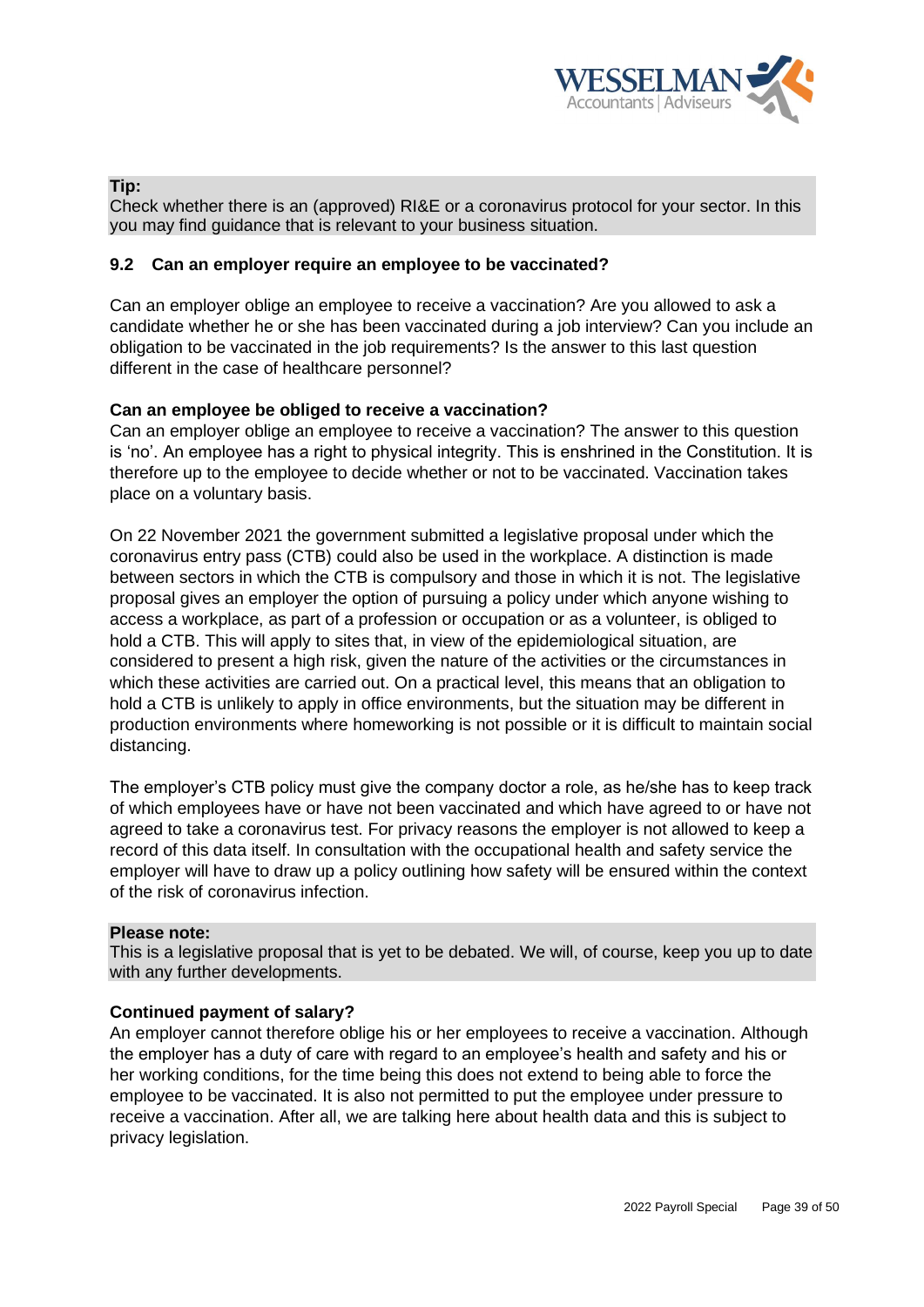

# **Tip:**

Check whether there is an (approved) RI&E or a coronavirus protocol for your sector. In this you may find guidance that is relevant to your business situation.

## <span id="page-38-0"></span>**9.2 Can an employer require an employee to be vaccinated?**

Can an employer oblige an employee to receive a vaccination? Are you allowed to ask a candidate whether he or she has been vaccinated during a job interview? Can you include an obligation to be vaccinated in the job requirements? Is the answer to this last question different in the case of healthcare personnel?

# **Can an employee be obliged to receive a vaccination?**

Can an employer oblige an employee to receive a vaccination? The answer to this question is 'no'. An employee has a right to physical integrity. This is enshrined in the Constitution. It is therefore up to the employee to decide whether or not to be vaccinated. Vaccination takes place on a voluntary basis.

On 22 November 2021 the government submitted a legislative proposal under which the coronavirus entry pass (CTB) could also be used in the workplace. A distinction is made between sectors in which the CTB is compulsory and those in which it is not. The legislative proposal gives an employer the option of pursuing a policy under which anyone wishing to access a workplace, as part of a profession or occupation or as a volunteer, is obliged to hold a CTB. This will apply to sites that, in view of the epidemiological situation, are considered to present a high risk, given the nature of the activities or the circumstances in which these activities are carried out. On a practical level, this means that an obligation to hold a CTB is unlikely to apply in office environments, but the situation may be different in production environments where homeworking is not possible or it is difficult to maintain social distancing.

The employer's CTB policy must give the company doctor a role, as he/she has to keep track of which employees have or have not been vaccinated and which have agreed to or have not agreed to take a coronavirus test. For privacy reasons the employer is not allowed to keep a record of this data itself. In consultation with the occupational health and safety service the employer will have to draw up a policy outlining how safety will be ensured within the context of the risk of coronavirus infection.

#### **Please note:**

This is a legislative proposal that is yet to be debated. We will, of course, keep you up to date with any further developments.

# **Continued payment of salary?**

An employer cannot therefore oblige his or her employees to receive a vaccination. Although the employer has a duty of care with regard to an employee's health and safety and his or her working conditions, for the time being this does not extend to being able to force the employee to be vaccinated. It is also not permitted to put the employee under pressure to receive a vaccination. After all, we are talking here about health data and this is subject to privacy legislation.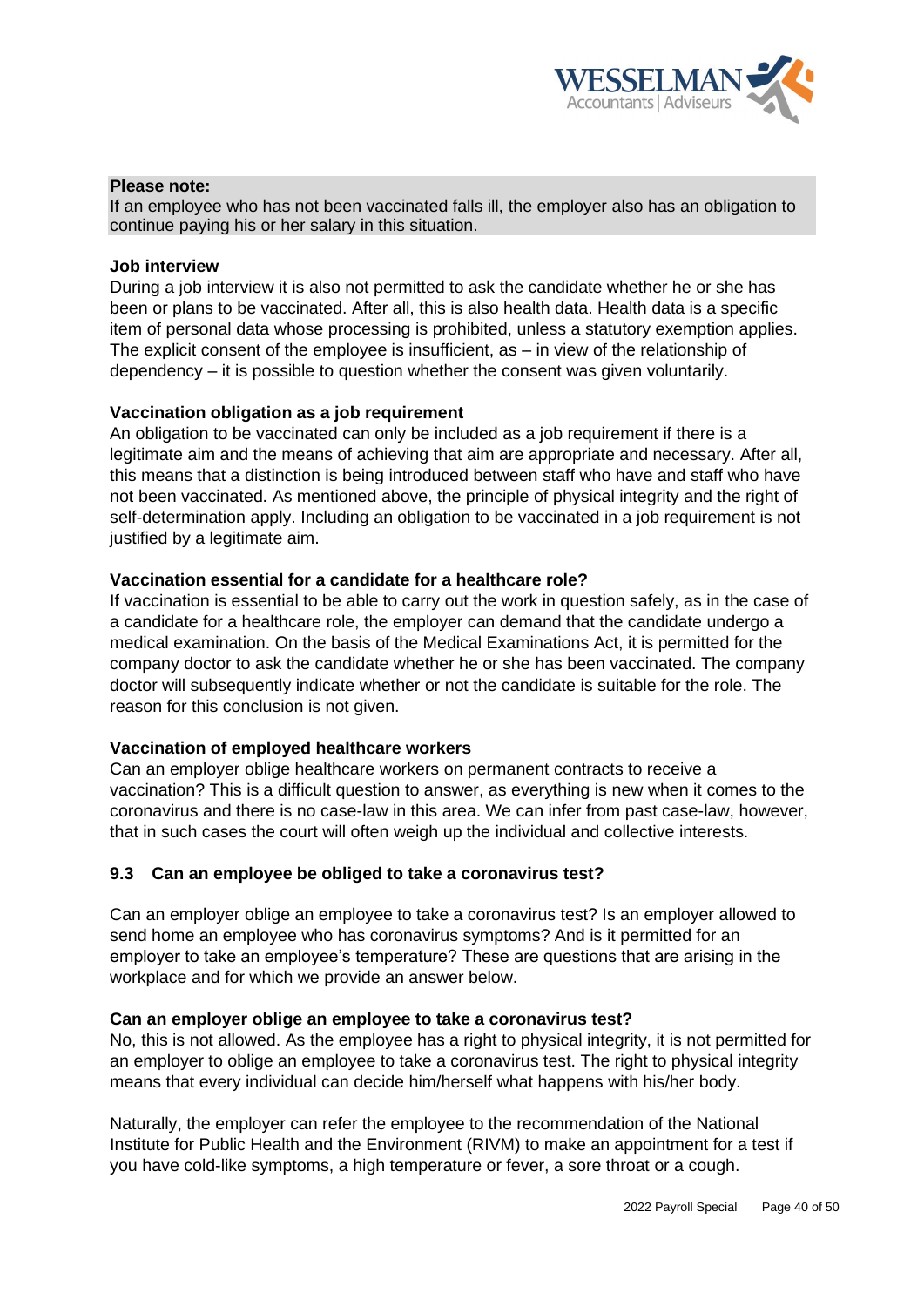

## **Please note:**

If an employee who has not been vaccinated falls ill, the employer also has an obligation to continue paying his or her salary in this situation.

#### **Job interview**

During a job interview it is also not permitted to ask the candidate whether he or she has been or plans to be vaccinated. After all, this is also health data. Health data is a specific item of personal data whose processing is prohibited, unless a statutory exemption applies. The explicit consent of the employee is insufficient, as – in view of the relationship of dependency – it is possible to question whether the consent was given voluntarily.

#### **Vaccination obligation as a job requirement**

An obligation to be vaccinated can only be included as a job requirement if there is a legitimate aim and the means of achieving that aim are appropriate and necessary. After all, this means that a distinction is being introduced between staff who have and staff who have not been vaccinated. As mentioned above, the principle of physical integrity and the right of self-determination apply. Including an obligation to be vaccinated in a job requirement is not justified by a legitimate aim.

## **Vaccination essential for a candidate for a healthcare role?**

If vaccination is essential to be able to carry out the work in question safely, as in the case of a candidate for a healthcare role, the employer can demand that the candidate undergo a medical examination. On the basis of the Medical Examinations Act, it is permitted for the company doctor to ask the candidate whether he or she has been vaccinated. The company doctor will subsequently indicate whether or not the candidate is suitable for the role. The reason for this conclusion is not given.

#### **Vaccination of employed healthcare workers**

Can an employer oblige healthcare workers on permanent contracts to receive a vaccination? This is a difficult question to answer, as everything is new when it comes to the coronavirus and there is no case-law in this area. We can infer from past case-law, however, that in such cases the court will often weigh up the individual and collective interests.

#### <span id="page-39-0"></span>**9.3 Can an employee be obliged to take a coronavirus test?**

Can an employer oblige an employee to take a coronavirus test? Is an employer allowed to send home an employee who has coronavirus symptoms? And is it permitted for an employer to take an employee's temperature? These are questions that are arising in the workplace and for which we provide an answer below.

#### **Can an employer oblige an employee to take a coronavirus test?**

No, this is not allowed. As the employee has a right to physical integrity, it is not permitted for an employer to oblige an employee to take a coronavirus test. The right to physical integrity means that every individual can decide him/herself what happens with his/her body.

Naturally, the employer can refer the employee to the recommendation of the National Institute for Public Health and the Environment (RIVM) to make an appointment for a test if you have cold-like symptoms, a high temperature or fever, a sore throat or a cough.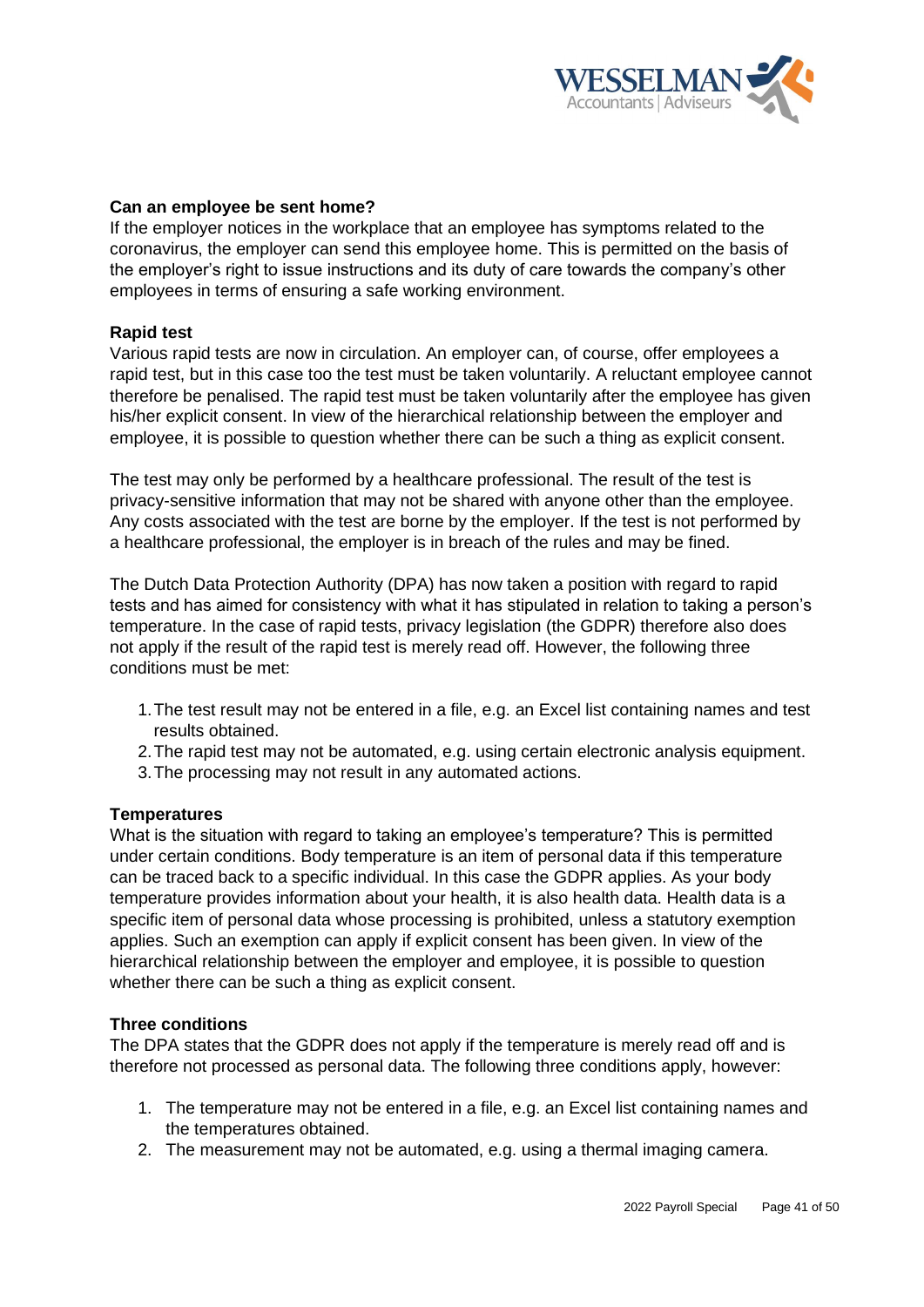

## **Can an employee be sent home?**

If the employer notices in the workplace that an employee has symptoms related to the coronavirus, the employer can send this employee home. This is permitted on the basis of the employer's right to issue instructions and its duty of care towards the company's other employees in terms of ensuring a safe working environment.

#### **Rapid test**

Various rapid tests are now in circulation. An employer can, of course, offer employees a rapid test, but in this case too the test must be taken voluntarily. A reluctant employee cannot therefore be penalised. The rapid test must be taken voluntarily after the employee has given his/her explicit consent. In view of the hierarchical relationship between the employer and employee, it is possible to question whether there can be such a thing as explicit consent.

The test may only be performed by a healthcare professional. The result of the test is privacy-sensitive information that may not be shared with anyone other than the employee. Any costs associated with the test are borne by the employer. If the test is not performed by a healthcare professional, the employer is in breach of the rules and may be fined.

The Dutch Data Protection Authority (DPA) has now taken a position with regard to rapid tests and has aimed for consistency with what it has stipulated in relation to taking a person's temperature. In the case of rapid tests, privacy legislation (the GDPR) therefore also does not apply if the result of the rapid test is merely read off. However, the following three conditions must be met:

- 1.The test result may not be entered in a file, e.g. an Excel list containing names and test results obtained.
- 2.The rapid test may not be automated, e.g. using certain electronic analysis equipment.
- 3.The processing may not result in any automated actions.

#### **Temperatures**

What is the situation with regard to taking an employee's temperature? This is permitted under certain conditions. Body temperature is an item of personal data if this temperature can be traced back to a specific individual. In this case the GDPR applies. As your body temperature provides information about your health, it is also health data. Health data is a specific item of personal data whose processing is prohibited, unless a statutory exemption applies. Such an exemption can apply if explicit consent has been given. In view of the hierarchical relationship between the employer and employee, it is possible to question whether there can be such a thing as explicit consent.

#### **Three conditions**

The DPA states that the GDPR does not apply if the temperature is merely read off and is therefore not processed as personal data. The following three conditions apply, however:

- 1. The temperature may not be entered in a file, e.g. an Excel list containing names and the temperatures obtained.
- 2. The measurement may not be automated, e.g. using a thermal imaging camera.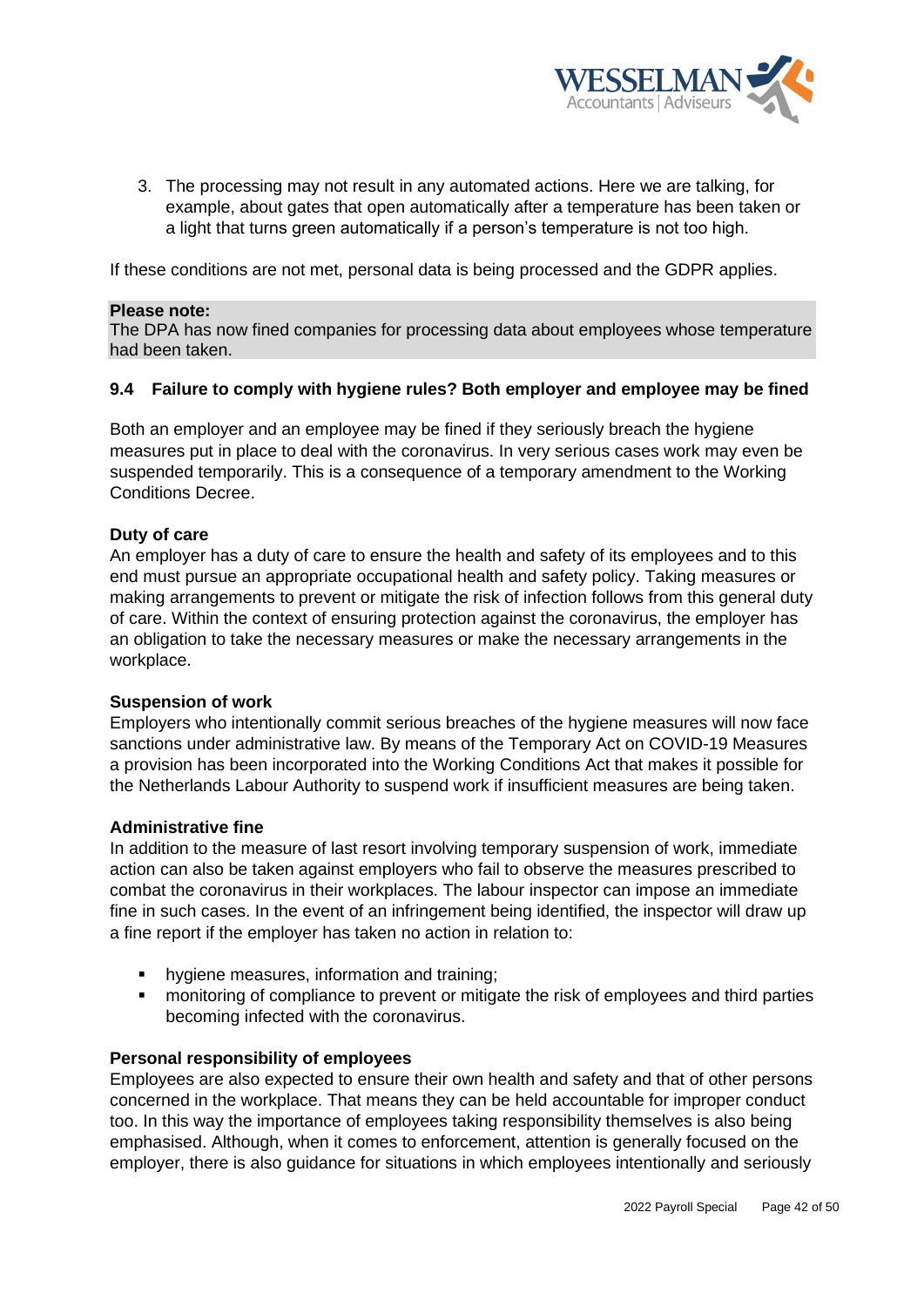

3. The processing may not result in any automated actions. Here we are talking, for example, about gates that open automatically after a temperature has been taken or a light that turns green automatically if a person's temperature is not too high.

If these conditions are not met, personal data is being processed and the GDPR applies.

#### **Please note:**

The DPA has now fined companies for processing data about employees whose temperature had been taken.

#### <span id="page-41-0"></span>**9.4 Failure to comply with hygiene rules? Both employer and employee may be fined**

Both an employer and an employee may be fined if they seriously breach the hygiene measures put in place to deal with the coronavirus. In very serious cases work may even be suspended temporarily. This is a consequence of a temporary amendment to the Working Conditions Decree.

## **Duty of care**

An employer has a duty of care to ensure the health and safety of its employees and to this end must pursue an appropriate occupational health and safety policy. Taking measures or making arrangements to prevent or mitigate the risk of infection follows from this general duty of care. Within the context of ensuring protection against the coronavirus, the employer has an obligation to take the necessary measures or make the necessary arrangements in the workplace.

#### **Suspension of work**

Employers who intentionally commit serious breaches of the hygiene measures will now face sanctions under administrative law. By means of the Temporary Act on COVID-19 Measures a provision has been incorporated into the Working Conditions Act that makes it possible for the Netherlands Labour Authority to suspend work if insufficient measures are being taken.

#### **Administrative fine**

In addition to the measure of last resort involving temporary suspension of work, immediate action can also be taken against employers who fail to observe the measures prescribed to combat the coronavirus in their workplaces. The labour inspector can impose an immediate fine in such cases. In the event of an infringement being identified, the inspector will draw up a fine report if the employer has taken no action in relation to:

- hygiene measures, information and training;
- monitoring of compliance to prevent or mitigate the risk of employees and third parties becoming infected with the coronavirus.

#### **Personal responsibility of employees**

Employees are also expected to ensure their own health and safety and that of other persons concerned in the workplace. That means they can be held accountable for improper conduct too. In this way the importance of employees taking responsibility themselves is also being emphasised. Although, when it comes to enforcement, attention is generally focused on the employer, there is also guidance for situations in which employees intentionally and seriously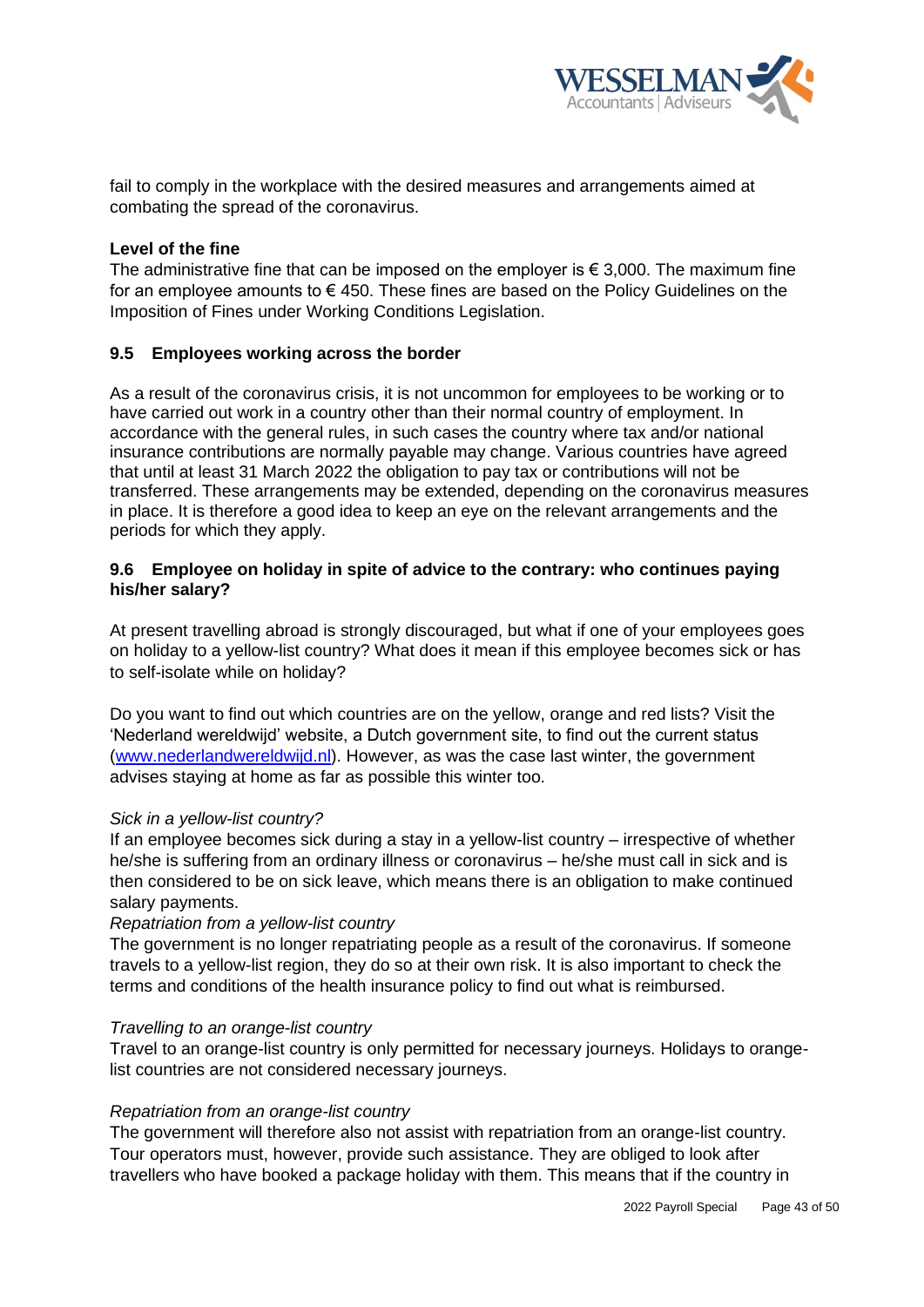

fail to comply in the workplace with the desired measures and arrangements aimed at combating the spread of the coronavirus.

## **Level of the fine**

The administrative fine that can be imposed on the employer is  $\epsilon$  3,000. The maximum fine for an employee amounts to  $\epsilon$  450. These fines are based on the Policy Guidelines on the Imposition of Fines under Working Conditions Legislation.

## <span id="page-42-0"></span>**9.5 Employees working across the border**

As a result of the coronavirus crisis, it is not uncommon for employees to be working or to have carried out work in a country other than their normal country of employment. In accordance with the general rules, in such cases the country where tax and/or national insurance contributions are normally payable may change. Various countries have agreed that until at least 31 March 2022 the obligation to pay tax or contributions will not be transferred. These arrangements may be extended, depending on the coronavirus measures in place. It is therefore a good idea to keep an eye on the relevant arrangements and the periods for which they apply.

## <span id="page-42-1"></span>**9.6 Employee on holiday in spite of advice to the contrary: who continues paying his/her salary?**

At present travelling abroad is strongly discouraged, but what if one of your employees goes on holiday to a yellow-list country? What does it mean if this employee becomes sick or has to self-isolate while on holiday?

Do you want to find out which countries are on the yellow, orange and red lists? Visit the 'Nederland wereldwijd' website, a Dutch government site, to find out the current status [\(www.nederlandwereldwijd.nl\)](http://www.nederlandwereldwijd.nl/). However, as was the case last winter, the government advises staying at home as far as possible this winter too.

#### *Sick in a yellow-list country?*

If an employee becomes sick during a stay in a yellow-list country – irrespective of whether he/she is suffering from an ordinary illness or coronavirus – he/she must call in sick and is then considered to be on sick leave, which means there is an obligation to make continued salary payments.

#### *Repatriation from a yellow-list country*

The government is no longer repatriating people as a result of the coronavirus. If someone travels to a yellow-list region, they do so at their own risk. It is also important to check the terms and conditions of the health insurance policy to find out what is reimbursed.

#### *Travelling to an orange-list country*

Travel to an orange-list country is only permitted for necessary journeys. Holidays to orangelist countries are not considered necessary journeys.

#### *Repatriation from an orange-list country*

The government will therefore also not assist with repatriation from an orange-list country. Tour operators must, however, provide such assistance. They are obliged to look after travellers who have booked a package holiday with them. This means that if the country in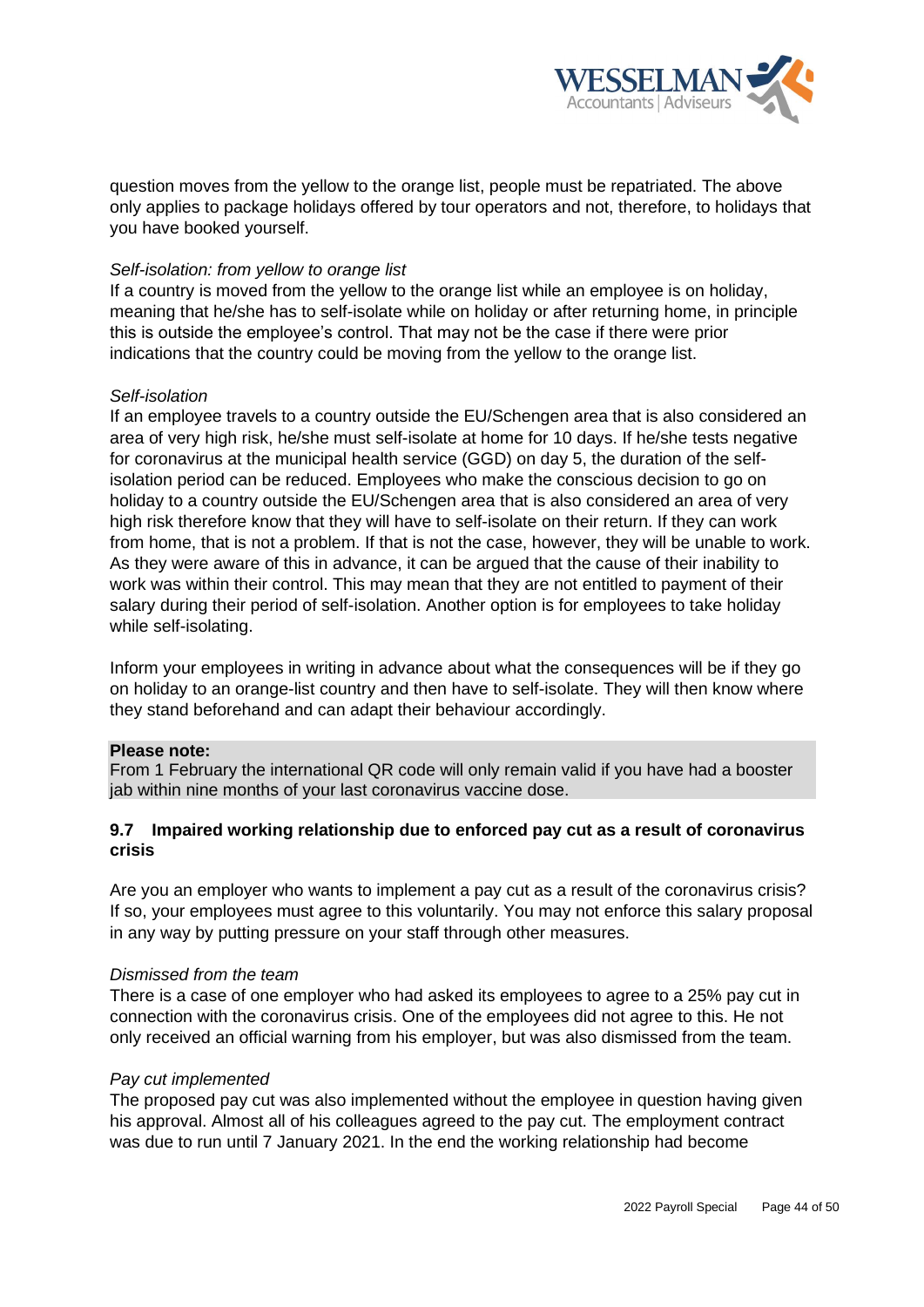

question moves from the yellow to the orange list, people must be repatriated. The above only applies to package holidays offered by tour operators and not, therefore, to holidays that you have booked yourself.

## *Self-isolation: from yellow to orange list*

If a country is moved from the yellow to the orange list while an employee is on holiday, meaning that he/she has to self-isolate while on holiday or after returning home, in principle this is outside the employee's control. That may not be the case if there were prior indications that the country could be moving from the yellow to the orange list.

## *Self-isolation*

If an employee travels to a country outside the EU/Schengen area that is also considered an area of very high risk, he/she must self-isolate at home for 10 days. If he/she tests negative for coronavirus at the municipal health service (GGD) on day 5, the duration of the selfisolation period can be reduced. Employees who make the conscious decision to go on holiday to a country outside the EU/Schengen area that is also considered an area of very high risk therefore know that they will have to self-isolate on their return. If they can work from home, that is not a problem. If that is not the case, however, they will be unable to work. As they were aware of this in advance, it can be argued that the cause of their inability to work was within their control. This may mean that they are not entitled to payment of their salary during their period of self-isolation. Another option is for employees to take holiday while self-isolating.

Inform your employees in writing in advance about what the consequences will be if they go on holiday to an orange-list country and then have to self-isolate. They will then know where they stand beforehand and can adapt their behaviour accordingly.

#### **Please note:**

From 1 February the international QR code will only remain valid if you have had a booster jab within nine months of your last coronavirus vaccine dose.

# <span id="page-43-0"></span>**9.7 Impaired working relationship due to enforced pay cut as a result of coronavirus crisis**

Are you an employer who wants to implement a pay cut as a result of the coronavirus crisis? If so, your employees must agree to this voluntarily. You may not enforce this salary proposal in any way by putting pressure on your staff through other measures.

#### *Dismissed from the team*

There is a case of one employer who had asked its employees to agree to a 25% pay cut in connection with the coronavirus crisis. One of the employees did not agree to this. He not only received an official warning from his employer, but was also dismissed from the team.

#### *Pay cut implemented*

The proposed pay cut was also implemented without the employee in question having given his approval. Almost all of his colleagues agreed to the pay cut. The employment contract was due to run until 7 January 2021. In the end the working relationship had become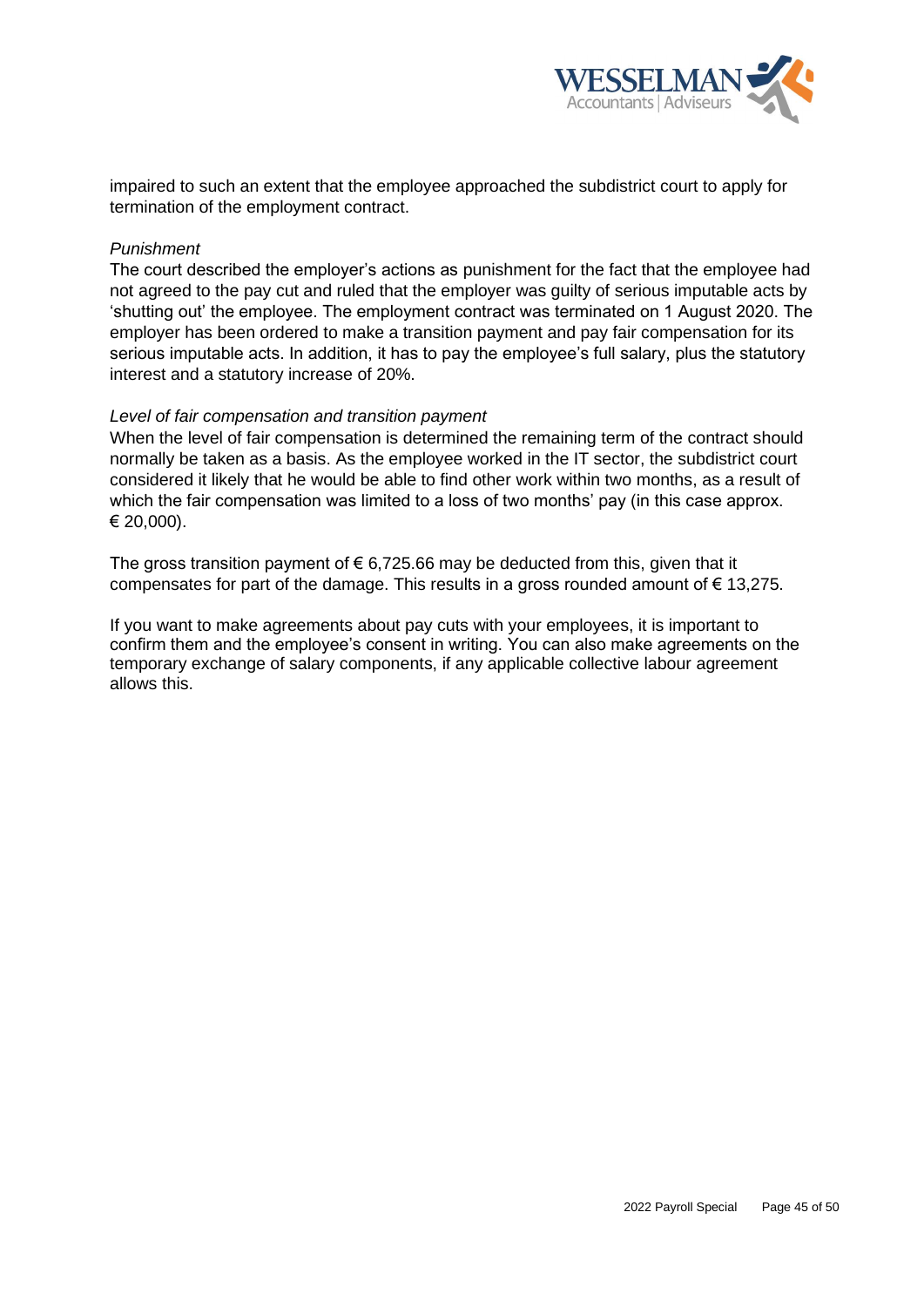

impaired to such an extent that the employee approached the subdistrict court to apply for termination of the employment contract.

## *Punishment*

The court described the employer's actions as punishment for the fact that the employee had not agreed to the pay cut and ruled that the employer was guilty of serious imputable acts by 'shutting out' the employee. The employment contract was terminated on 1 August 2020. The employer has been ordered to make a transition payment and pay fair compensation for its serious imputable acts. In addition, it has to pay the employee's full salary, plus the statutory interest and a statutory increase of 20%.

#### *Level of fair compensation and transition payment*

When the level of fair compensation is determined the remaining term of the contract should normally be taken as a basis. As the employee worked in the IT sector, the subdistrict court considered it likely that he would be able to find other work within two months, as a result of which the fair compensation was limited to a loss of two months' pay (in this case approx. € 20,000).

The gross transition payment of  $\epsilon$  6,725.66 may be deducted from this, given that it compensates for part of the damage. This results in a gross rounded amount of  $\epsilon$  13,275.

If you want to make agreements about pay cuts with your employees, it is important to confirm them and the employee's consent in writing. You can also make agreements on the temporary exchange of salary components, if any applicable collective labour agreement allows this.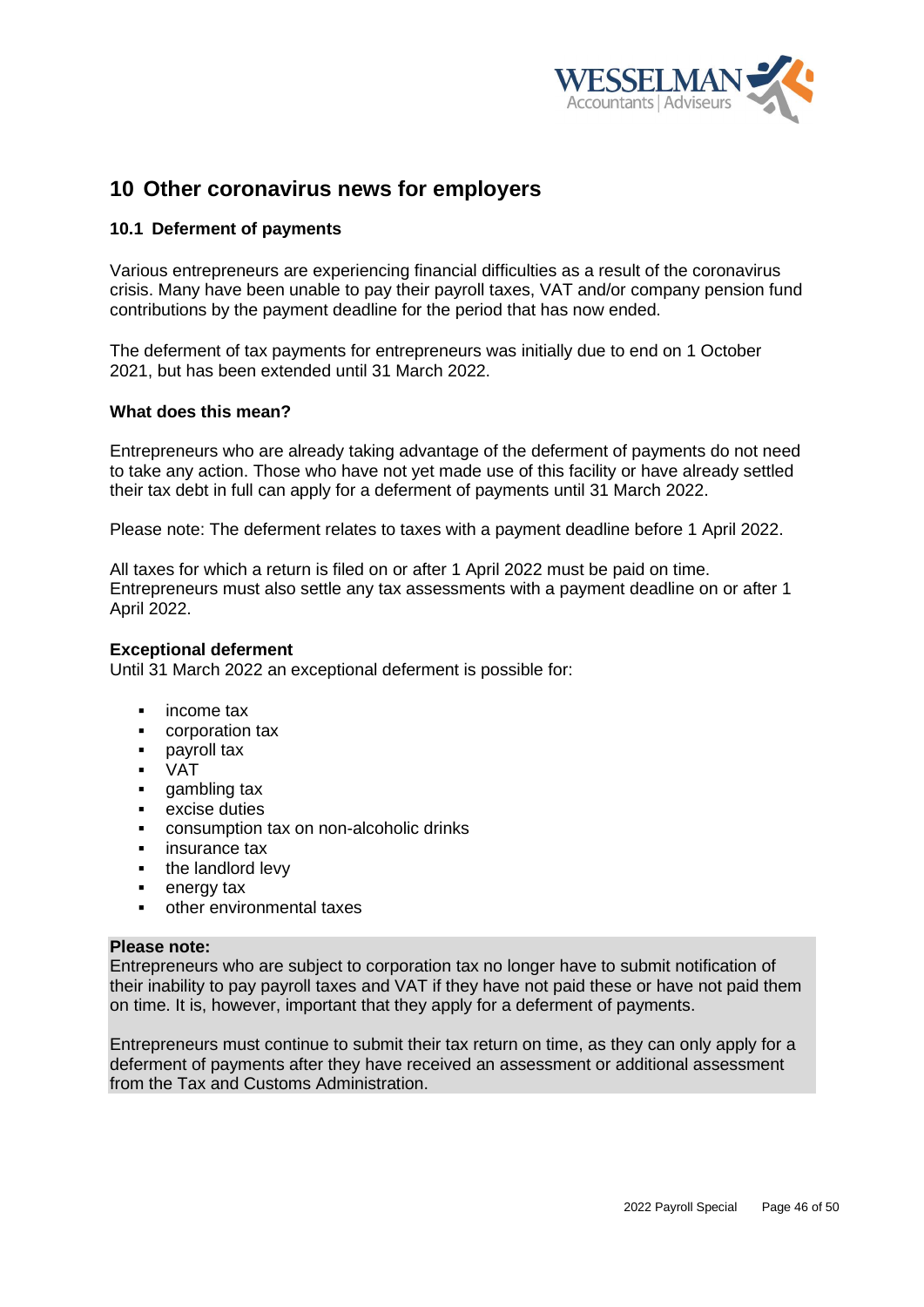

# <span id="page-45-0"></span>**10 Other coronavirus news for employers**

## <span id="page-45-1"></span>**10.1 Deferment of payments**

Various entrepreneurs are experiencing financial difficulties as a result of the coronavirus crisis. Many have been unable to pay their payroll taxes, VAT and/or company pension fund contributions by the payment deadline for the period that has now ended.

The deferment of tax payments for entrepreneurs was initially due to end on 1 October 2021, but has been extended until 31 March 2022.

#### **What does this mean?**

Entrepreneurs who are already taking advantage of the deferment of payments do not need to take any action. Those who have not yet made use of this facility or have already settled their tax debt in full can apply for a deferment of payments until 31 March 2022.

Please note: The deferment relates to taxes with a payment deadline before 1 April 2022.

All taxes for which a return is filed on or after 1 April 2022 must be paid on time. Entrepreneurs must also settle any tax assessments with a payment deadline on or after 1 April 2022.

#### **Exceptional deferment**

Until 31 March 2022 an exceptional deferment is possible for:

- income tax
- corporation tax
- payroll tax
- VAT
- **•** gambling tax<br>• excise duties
- excise duties
- consumption tax on non-alcoholic drinks
- insurance tax
- the landlord levy
- energy tax
- other environmental taxes

#### **Please note:**

Entrepreneurs who are subject to corporation tax no longer have to submit notification of their inability to pay payroll taxes and VAT if they have not paid these or have not paid them on time. It is, however, important that they apply for a deferment of payments.

Entrepreneurs must continue to submit their tax return on time, as they can only apply for a deferment of payments after they have received an assessment or additional assessment from the Tax and Customs Administration.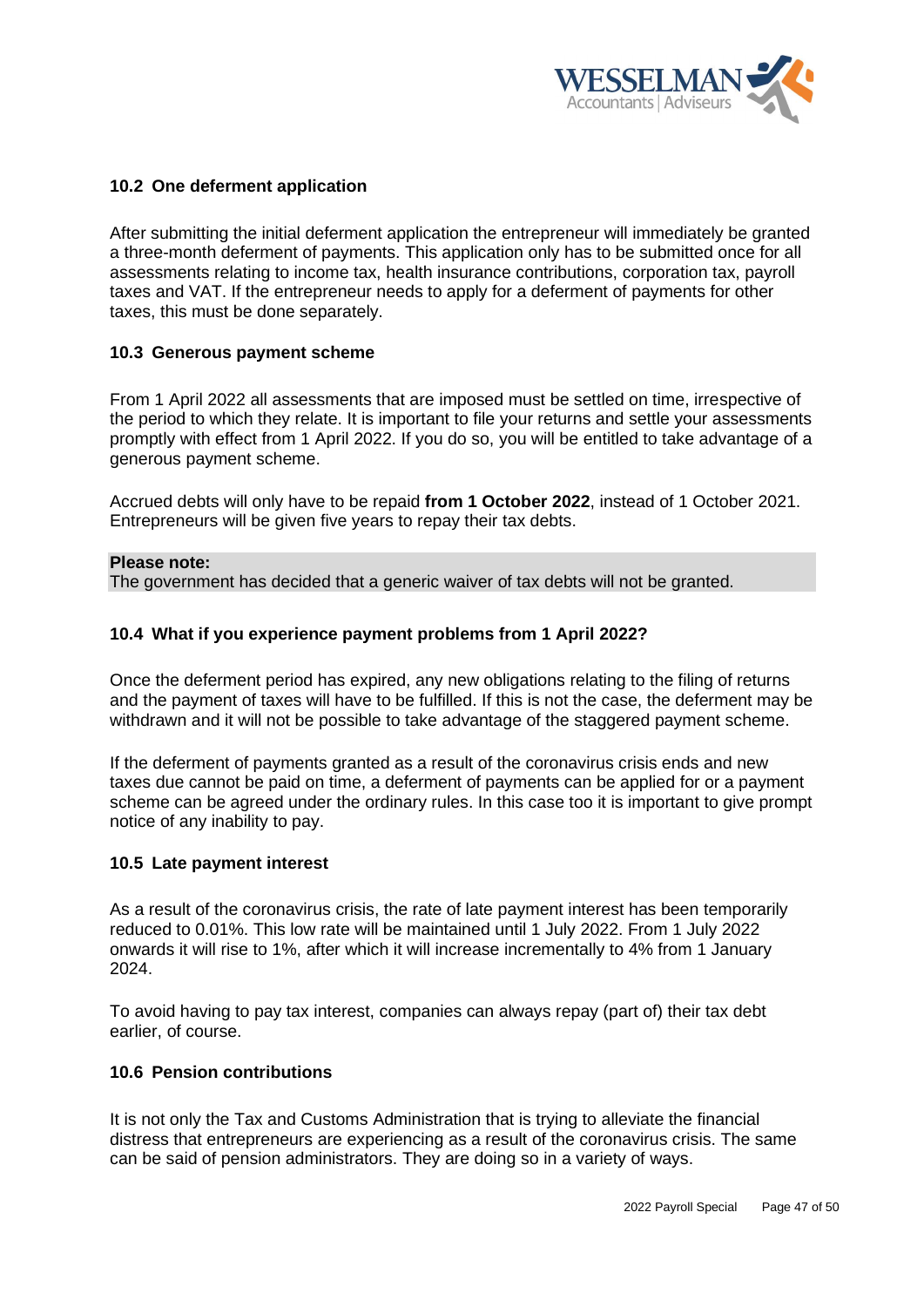

# <span id="page-46-0"></span>**10.2 One deferment application**

After submitting the initial deferment application the entrepreneur will immediately be granted a three-month deferment of payments. This application only has to be submitted once for all assessments relating to income tax, health insurance contributions, corporation tax, payroll taxes and VAT. If the entrepreneur needs to apply for a deferment of payments for other taxes, this must be done separately.

## <span id="page-46-1"></span>**10.3 Generous payment scheme**

From 1 April 2022 all assessments that are imposed must be settled on time, irrespective of the period to which they relate. It is important to file your returns and settle your assessments promptly with effect from 1 April 2022. If you do so, you will be entitled to take advantage of a generous payment scheme.

Accrued debts will only have to be repaid **from 1 October 2022**, instead of 1 October 2021. Entrepreneurs will be given five years to repay their tax debts.

#### **Please note:**

The government has decided that a generic waiver of tax debts will not be granted.

#### <span id="page-46-2"></span>**10.4 What if you experience payment problems from 1 April 2022?**

Once the deferment period has expired, any new obligations relating to the filing of returns and the payment of taxes will have to be fulfilled. If this is not the case, the deferment may be withdrawn and it will not be possible to take advantage of the [staggered payment scheme.](https://www.jonglaan.nl/nieuws/soepelere-regeling-aflossing-belastingschulden)

If the deferment of payments granted as a result of the coronavirus crisis ends and new taxes due cannot be paid on time, a deferment of payments can be applied for or a payment scheme can be agreed under the ordinary rules. In this case too it is important to give prompt notice of any inability to pay.

#### <span id="page-46-3"></span>**10.5 Late payment interest**

As a result of the coronavirus crisis, the rate of late payment interest has been temporarily reduced to 0.01%. This low rate will be maintained until 1 July 2022. From 1 July 2022 onwards it will rise to 1%, after which it will increase incrementally to 4% from 1 January 2024.

To avoid having to pay tax interest, companies can always repay (part of) their tax debt earlier, of course.

### <span id="page-46-4"></span>**10.6 Pension contributions**

It is not only the Tax and Customs Administration that is trying to alleviate the financial distress that entrepreneurs are experiencing as a result of the coronavirus crisis. The same can be said of pension administrators. They are doing so in a variety of ways.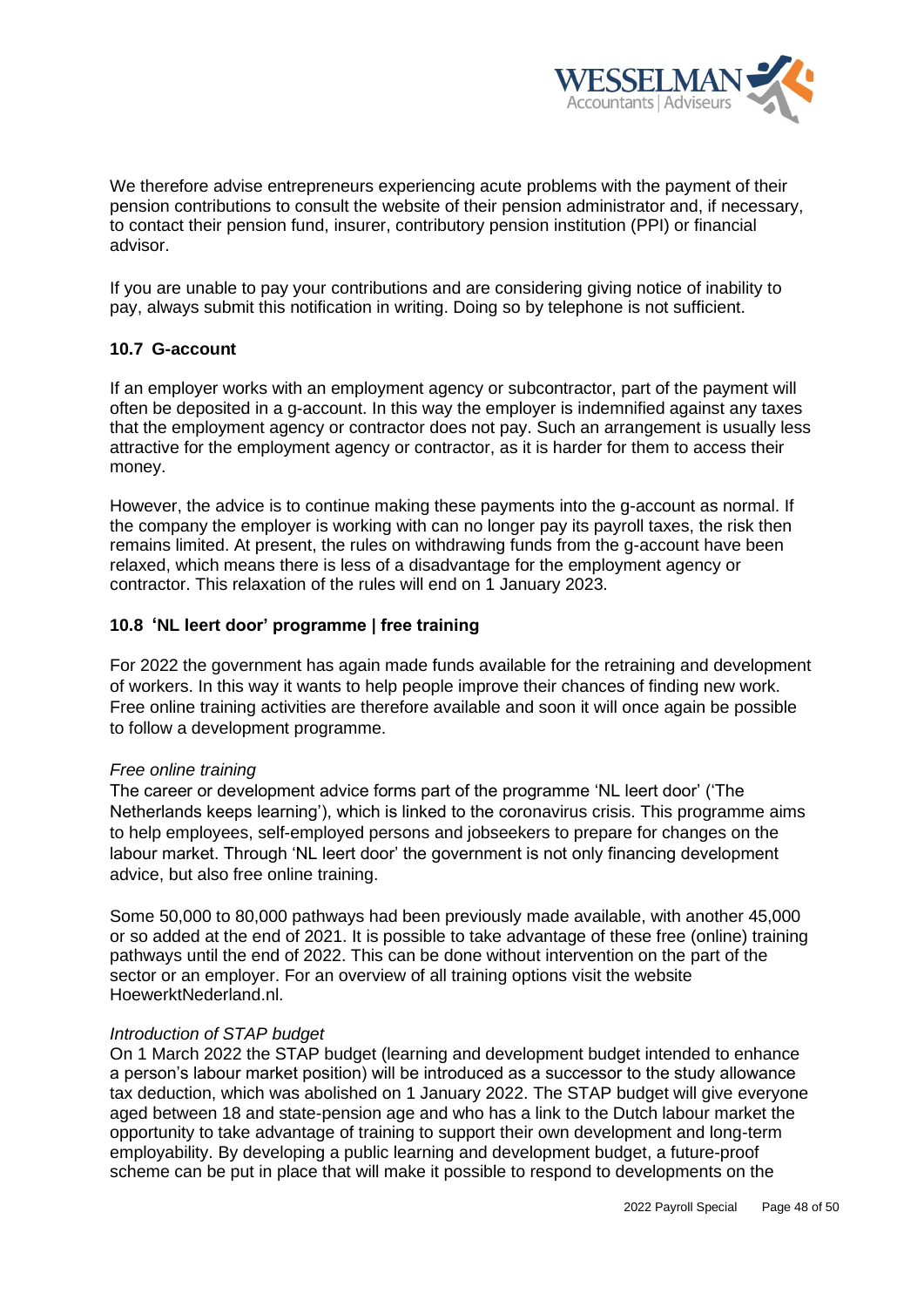

We therefore advise entrepreneurs experiencing acute problems with the payment of their pension contributions to consult the website of their pension administrator and, if necessary, to contact their pension fund, insurer, contributory pension institution (PPI) or financial advisor.

If you are unable to pay your contributions and are considering giving notice of inability to pay, always submit this notification in writing. Doing so by telephone is not sufficient.

# <span id="page-47-0"></span>**10.7 G-account**

If an employer works with an employment agency or subcontractor, part of the payment will often be deposited in a g-account. In this way the employer is indemnified against any taxes that the employment agency or contractor does not pay. Such an arrangement is usually less attractive for the employment agency or contractor, as it is harder for them to access their money.

However, the advice is to continue making these payments into the g-account as normal. If the company the employer is working with can no longer pay its payroll taxes, the risk then remains limited. At present, the rules on withdrawing funds from the g-account have been relaxed, which means there is less of a disadvantage for the employment agency or contractor. This relaxation of the rules will end on 1 January 2023.

## <span id="page-47-1"></span>**10.8 'NL leert door' programme | free training**

For 2022 the government has again made funds available for the retraining and development of workers. In this way it wants to help people improve their chances of finding new work. Free online training activities are therefore available and soon it will once again be possible to follow a development programme.

#### *Free online training*

The career or development advice forms part of the programme 'NL leert door' ('The Netherlands keeps learning'), which is linked to the coronavirus crisis. This programme aims to help employees, self-employed persons and jobseekers to prepare for changes on the labour market. Through 'NL leert door' the government is not only financing development advice, but also free online training.

Some 50,000 to 80,000 pathways had been previously made available, with another 45,000 or so added at the end of 2021. It is possible to take advantage of these free (online) training pathways until the end of 2022. This can be done without intervention on the part of the sector or an employer. For an overview of all training options visit the website HoewerktNederland.nl.

### *Introduction of STAP budget*

On 1 March 2022 the STAP budget (learning and development budget intended to enhance a person's labour market position) will be introduced as a successor to the study allowance tax deduction, which was abolished on 1 January 2022. The STAP budget will give everyone aged between 18 and state-pension age and who has a link to the Dutch labour market the opportunity to take advantage of training to support their own development and long-term employability. By developing a public learning and development budget, a future-proof scheme can be put in place that will make it possible to respond to developments on the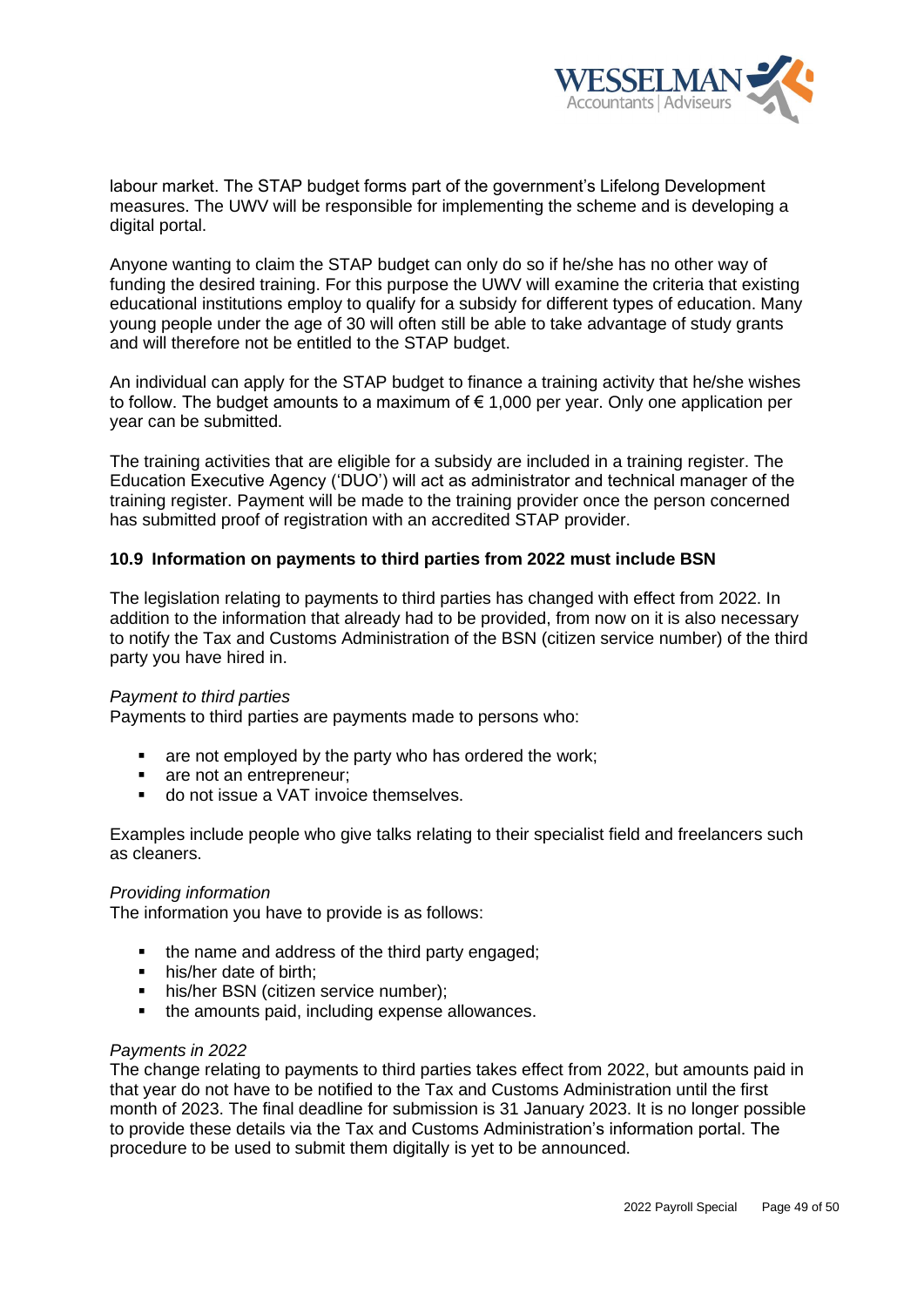

labour market. The STAP budget forms part of the government's Lifelong Development measures. The UWV will be responsible for implementing the scheme and is developing a digital portal.

Anyone wanting to claim the STAP budget can only do so if he/she has no other way of funding the desired training. For this purpose the UWV will examine the criteria that existing educational institutions employ to qualify for a subsidy for different types of education. Many young people under the age of 30 will often still be able to take advantage of study grants and will therefore not be entitled to the STAP budget.

An individual can apply for the STAP budget to finance a training activity that he/she wishes to follow. The budget amounts to a maximum of € 1,000 per year. Only one application per year can be submitted.

The training activities that are eligible for a subsidy are included in a training register. The Education Executive Agency ('DUO') will act as administrator and technical manager of the training register. Payment will be made to the training provider once the person concerned has submitted proof of registration with an accredited STAP provider.

## <span id="page-48-0"></span>**10.9 Information on payments to third parties from 2022 must include BSN**

The legislation relating to payments to third parties has changed with effect from 2022. In addition to the information that already had to be provided, from now on it is also necessary to notify the Tax and Customs Administration of the BSN (citizen service number) of the third party you have hired in.

#### *Payment to third parties*

Payments to third parties are payments made to persons who:

- are not employed by the party who has ordered the work;
- are not an entrepreneur:
- do not issue a VAT invoice themselves.

Examples include people who give talks relating to their specialist field and freelancers such as cleaners.

#### *Providing information*

The information you have to provide is as follows:

- the name and address of the third party engaged;
- his/her date of birth:
- **·** his/her BSN (citizen service number);
- the amounts paid, including expense allowances.

#### *Payments in 2022*

The change relating to payments to third parties takes effect from 2022, but amounts paid in that year do not have to be notified to the Tax and Customs Administration until the first month of 2023. The final deadline for submission is 31 January 2023. It is no longer possible to provide these details via the Tax and Customs Administration's information portal. The procedure to be used to submit them digitally is yet to be announced.